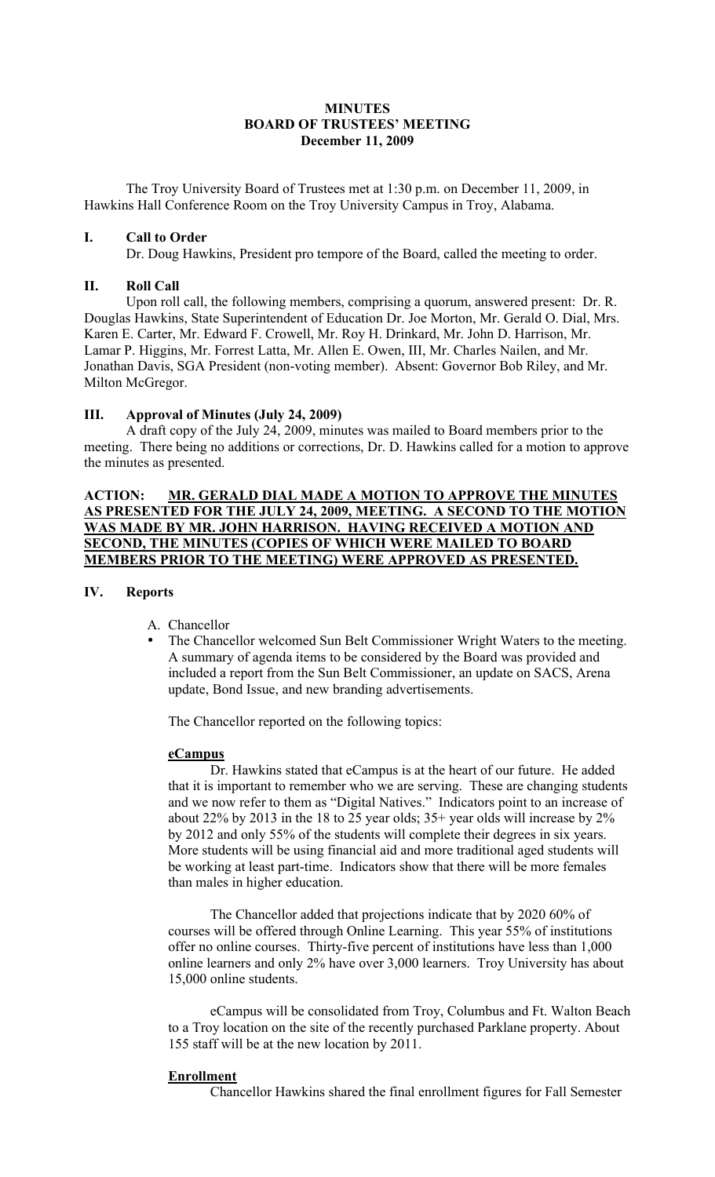# **MINUTES BOARD OF TRUSTEES' MEETING December 11, 2009**

The Troy University Board of Trustees met at 1:30 p.m. on December 11, 2009, in Hawkins Hall Conference Room on the Troy University Campus in Troy, Alabama.

# **I. Call to Order**

Dr. Doug Hawkins, President pro tempore of the Board, called the meeting to order.

# **II. Roll Call**

Upon roll call, the following members, comprising a quorum, answered present: Dr. R. Douglas Hawkins, State Superintendent of Education Dr. Joe Morton, Mr. Gerald O. Dial, Mrs. Karen E. Carter, Mr. Edward F. Crowell, Mr. Roy H. Drinkard, Mr. John D. Harrison, Mr. Lamar P. Higgins, Mr. Forrest Latta, Mr. Allen E. Owen, III, Mr. Charles Nailen, and Mr. Jonathan Davis, SGA President (non-voting member). Absent: Governor Bob Riley, and Mr. Milton McGregor.

# **III. Approval of Minutes (July 24, 2009)**

A draft copy of the July 24, 2009, minutes was mailed to Board members prior to the meeting. There being no additions or corrections, Dr. D. Hawkins called for a motion to approve the minutes as presented.

# **ACTION: MR. GERALD DIAL MADE A MOTION TO APPROVE THE MINUTES AS PRESENTED FOR THE JULY 24, 2009, MEETING. A SECOND TO THE MOTION WAS MADE BY MR. JOHN HARRISON. HAVING RECEIVED A MOTION AND SECOND, THE MINUTES (COPIES OF WHICH WERE MAILED TO BOARD MEMBERS PRIOR TO THE MEETING) WERE APPROVED AS PRESENTED.**

#### **IV. Reports**

- A. Chancellor
- The Chancellor welcomed Sun Belt Commissioner Wright Waters to the meeting. A summary of agenda items to be considered by the Board was provided and included a report from the Sun Belt Commissioner, an update on SACS, Arena update, Bond Issue, and new branding advertisements.

The Chancellor reported on the following topics:

# **eCampus**

Dr. Hawkins stated that eCampus is at the heart of our future. He added that it is important to remember who we are serving. These are changing students and we now refer to them as "Digital Natives." Indicators point to an increase of about 22% by 2013 in the 18 to 25 year olds; 35+ year olds will increase by 2% by 2012 and only 55% of the students will complete their degrees in six years. More students will be using financial aid and more traditional aged students will be working at least part-time. Indicators show that there will be more females than males in higher education.

The Chancellor added that projections indicate that by 2020 60% of courses will be offered through Online Learning. This year 55% of institutions offer no online courses. Thirty-five percent of institutions have less than 1,000 online learners and only 2% have over 3,000 learners. Troy University has about 15,000 online students.

eCampus will be consolidated from Troy, Columbus and Ft. Walton Beach to a Troy location on the site of the recently purchased Parklane property. About 155 staff will be at the new location by 2011.

#### **Enrollment**

Chancellor Hawkins shared the final enrollment figures for Fall Semester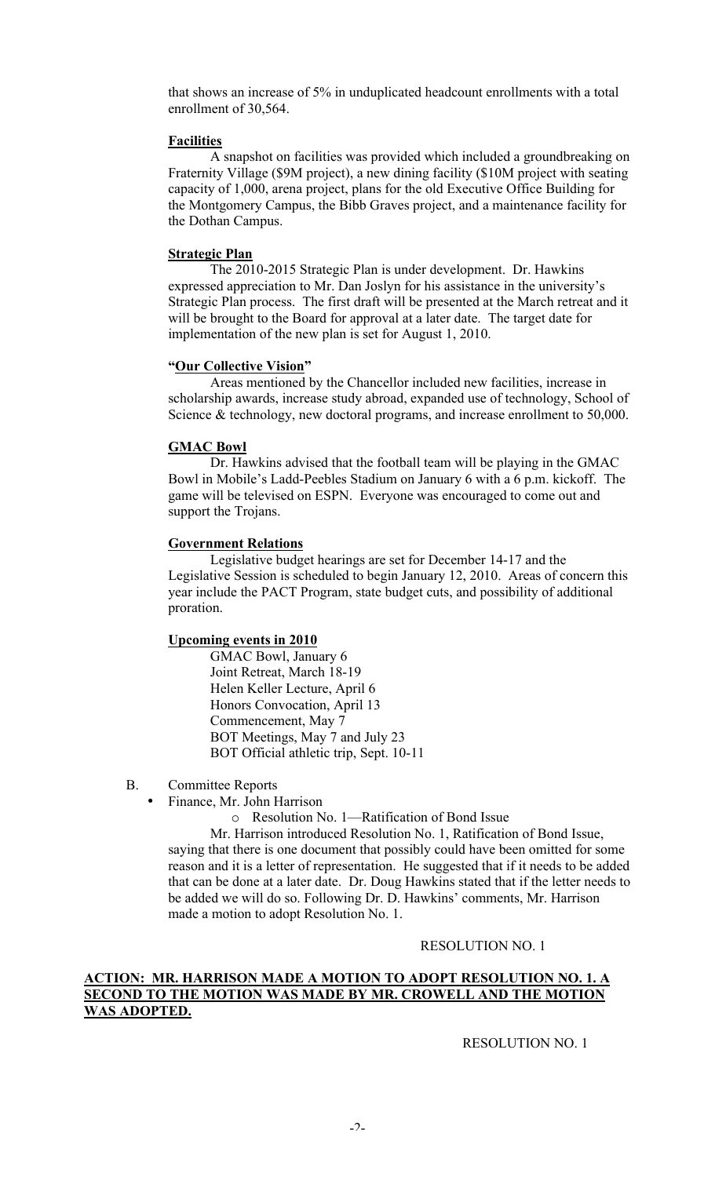that shows an increase of 5% in unduplicated headcount enrollments with a total enrollment of 30,564.

# **Facilities**

A snapshot on facilities was provided which included a groundbreaking on Fraternity Village (\$9M project), a new dining facility (\$10M project with seating capacity of 1,000, arena project, plans for the old Executive Office Building for the Montgomery Campus, the Bibb Graves project, and a maintenance facility for the Dothan Campus.

#### **Strategic Plan**

The 2010-2015 Strategic Plan is under development. Dr. Hawkins expressed appreciation to Mr. Dan Joslyn for his assistance in the university's Strategic Plan process. The first draft will be presented at the March retreat and it will be brought to the Board for approval at a later date. The target date for implementation of the new plan is set for August 1, 2010.

## **"Our Collective Vision"**

Areas mentioned by the Chancellor included new facilities, increase in scholarship awards, increase study abroad, expanded use of technology, School of Science & technology, new doctoral programs, and increase enrollment to 50,000.

## **GMAC Bowl**

Dr. Hawkins advised that the football team will be playing in the GMAC Bowl in Mobile's Ladd-Peebles Stadium on January 6 with a 6 p.m. kickoff. The game will be televised on ESPN. Everyone was encouraged to come out and support the Trojans.

## **Government Relations**

Legislative budget hearings are set for December 14-17 and the Legislative Session is scheduled to begin January 12, 2010. Areas of concern this year include the PACT Program, state budget cuts, and possibility of additional proration.

# **Upcoming events in 2010**

GMAC Bowl, January 6 Joint Retreat, March 18-19 Helen Keller Lecture, April 6 Honors Convocation, April 13 Commencement, May 7 BOT Meetings, May 7 and July 23 BOT Official athletic trip, Sept. 10-11

B. Committee Reports

• Finance, Mr. John Harrison

o Resolution No. 1—Ratification of Bond Issue

Mr. Harrison introduced Resolution No. 1, Ratification of Bond Issue, saying that there is one document that possibly could have been omitted for some reason and it is a letter of representation. He suggested that if it needs to be added that can be done at a later date. Dr. Doug Hawkins stated that if the letter needs to be added we will do so. Following Dr. D. Hawkins' comments, Mr. Harrison made a motion to adopt Resolution No. 1.

#### RESOLUTION NO. 1

# **ACTION: MR. HARRISON MADE A MOTION TO ADOPT RESOLUTION NO. 1. A SECOND TO THE MOTION WAS MADE BY MR. CROWELL AND THE MOTION WAS ADOPTED.**

RESOLUTION NO. 1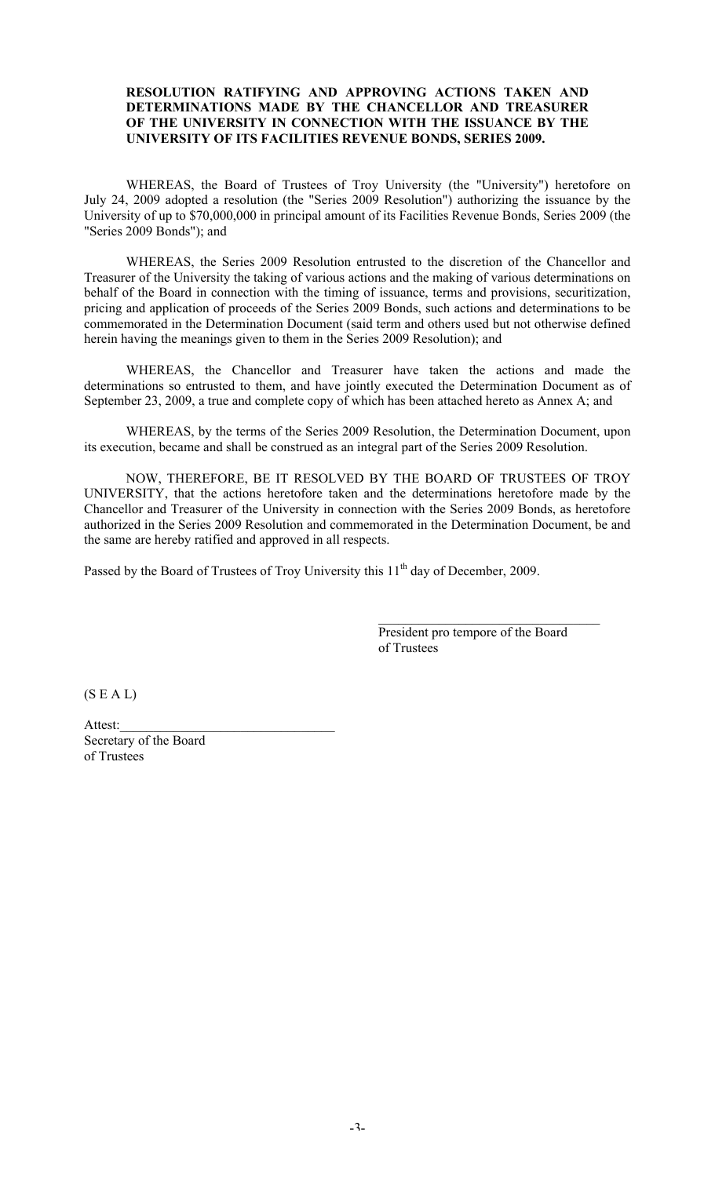#### **RESOLUTION RATIFYING AND APPROVING ACTIONS TAKEN AND DETERMINATIONS MADE BY THE CHANCELLOR AND TREASURER OF THE UNIVERSITY IN CONNECTION WITH THE ISSUANCE BY THE UNIVERSITY OF ITS FACILITIES REVENUE BONDS, SERIES 2009.**

WHEREAS, the Board of Trustees of Troy University (the "University") heretofore on July 24, 2009 adopted a resolution (the "Series 2009 Resolution") authorizing the issuance by the University of up to \$70,000,000 in principal amount of its Facilities Revenue Bonds, Series 2009 (the "Series 2009 Bonds"); and

WHEREAS, the Series 2009 Resolution entrusted to the discretion of the Chancellor and Treasurer of the University the taking of various actions and the making of various determinations on behalf of the Board in connection with the timing of issuance, terms and provisions, securitization, pricing and application of proceeds of the Series 2009 Bonds, such actions and determinations to be commemorated in the Determination Document (said term and others used but not otherwise defined herein having the meanings given to them in the Series 2009 Resolution); and

WHEREAS, the Chancellor and Treasurer have taken the actions and made the determinations so entrusted to them, and have jointly executed the Determination Document as of September 23, 2009, a true and complete copy of which has been attached hereto as Annex A; and

WHEREAS, by the terms of the Series 2009 Resolution, the Determination Document, upon its execution, became and shall be construed as an integral part of the Series 2009 Resolution.

NOW, THEREFORE, BE IT RESOLVED BY THE BOARD OF TRUSTEES OF TROY UNIVERSITY, that the actions heretofore taken and the determinations heretofore made by the Chancellor and Treasurer of the University in connection with the Series 2009 Bonds, as heretofore authorized in the Series 2009 Resolution and commemorated in the Determination Document, be and the same are hereby ratified and approved in all respects.

Passed by the Board of Trustees of Troy University this 11<sup>th</sup> day of December, 2009.

President pro tempore of the Board of Trustees

 $\mathcal{L}_\text{max}$  , where  $\mathcal{L}_\text{max}$  is the set of the set of the set of the set of the set of the set of the set of the set of the set of the set of the set of the set of the set of the set of the set of the set of the se

 $(S E A L)$ 

Attest: Secretary of the Board of Trustees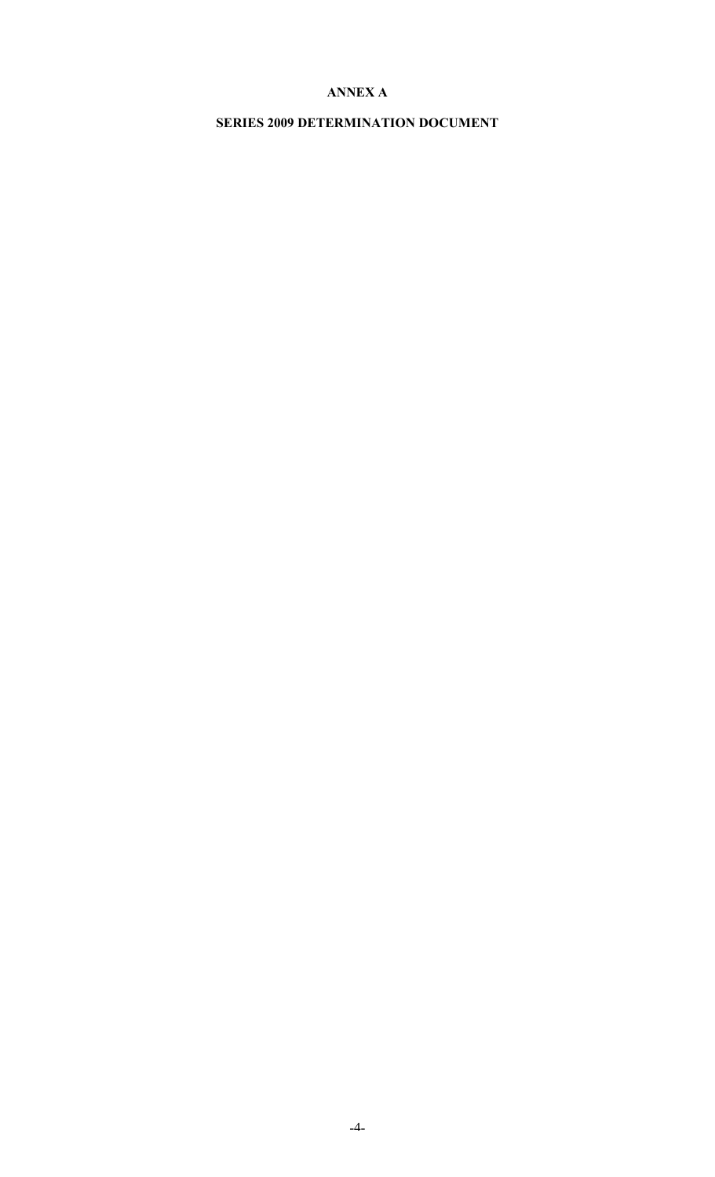# **ANNEX A**

# **SERIES 2009 DETERMINATION DOCUMENT**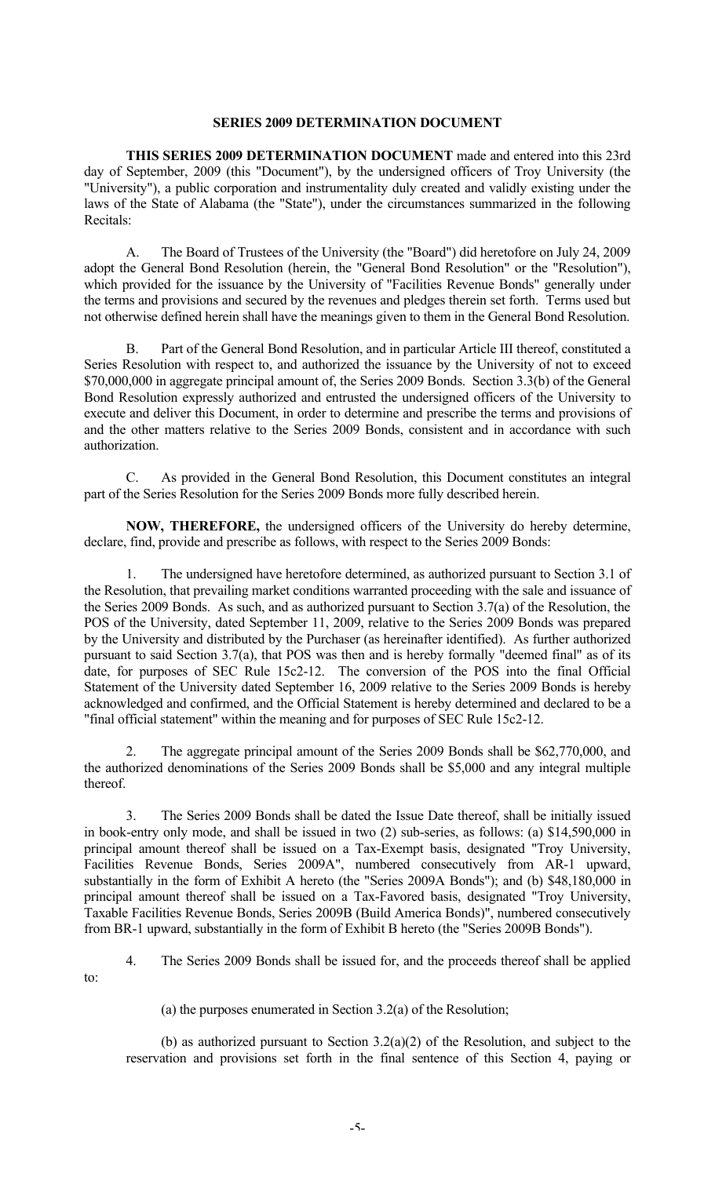## **SERIES 2009 DETERMINATION DOCUMENT**

**THIS SERIES 2009 DETERMINATION DOCUMENT** made and entered into this 23rd day of September, 2009 (this "Document"), by the undersigned officers of Troy University (the "University"), a public corporation and instrumentality duly created and validly existing under the laws of the State of Alabama (the "State"), under the circumstances summarized in the following Recitals:

A. The Board of Trustees of the University (the "Board") did heretofore on July 24, 2009 adopt the General Bond Resolution (herein, the "General Bond Resolution" or the "Resolution"), which provided for the issuance by the University of "Facilities Revenue Bonds" generally under the terms and provisions and secured by the revenues and pledges therein set forth. Terms used but not otherwise defined herein shall have the meanings given to them in the General Bond Resolution.

B. Part of the General Bond Resolution, and in particular Article III thereof, constituted a Series Resolution with respect to, and authorized the issuance by the University of not to exceed \$70,000,000 in aggregate principal amount of, the Series 2009 Bonds. Section 3.3(b) of the General Bond Resolution expressly authorized and entrusted the undersigned officers of the University to execute and deliver this Document, in order to determine and prescribe the terms and provisions of and the other matters relative to the Series 2009 Bonds, consistent and in accordance with such authorization.

C. As provided in the General Bond Resolution, this Document constitutes an integral part of the Series Resolution for the Series 2009 Bonds more fully described herein.

**NOW, THEREFORE,** the undersigned officers of the University do hereby determine, declare, find, provide and prescribe as follows, with respect to the Series 2009 Bonds:

1. The undersigned have heretofore determined, as authorized pursuant to Section 3.1 of the Resolution, that prevailing market conditions warranted proceeding with the sale and issuance of the Series 2009 Bonds. As such, and as authorized pursuant to Section 3.7(a) of the Resolution, the POS of the University, dated September 11, 2009, relative to the Series 2009 Bonds was prepared by the University and distributed by the Purchaser (as hereinafter identified). As further authorized pursuant to said Section 3.7(a), that POS was then and is hereby formally "deemed final" as of its date, for purposes of SEC Rule 15c2-12. The conversion of the POS into the final Official Statement of the University dated September 16, 2009 relative to the Series 2009 Bonds is hereby acknowledged and confirmed, and the Official Statement is hereby determined and declared to be a "final official statement" within the meaning and for purposes of SEC Rule 15c2-12.

2. The aggregate principal amount of the Series 2009 Bonds shall be \$62,770,000, and the authorized denominations of the Series 2009 Bonds shall be \$5,000 and any integral multiple thereof.

3. The Series 2009 Bonds shall be dated the Issue Date thereof, shall be initially issued in book-entry only mode, and shall be issued in two (2) sub-series, as follows: (a) \$14,590,000 in principal amount thereof shall be issued on a Tax-Exempt basis, designated "Troy University, Facilities Revenue Bonds, Series 2009A", numbered consecutively from AR-1 upward, substantially in the form of Exhibit A hereto (the "Series 2009A Bonds"); and (b) \$48,180,000 in principal amount thereof shall be issued on a Tax-Favored basis, designated "Troy University, Taxable Facilities Revenue Bonds, Series 2009B (Build America Bonds)", numbered consecutively from BR-1 upward, substantially in the form of Exhibit B hereto (the "Series 2009B Bonds").

to:

4. The Series 2009 Bonds shall be issued for, and the proceeds thereof shall be applied

(a) the purposes enumerated in Section 3.2(a) of the Resolution;

(b) as authorized pursuant to Section 3.2(a)(2) of the Resolution, and subject to the reservation and provisions set forth in the final sentence of this Section 4, paying or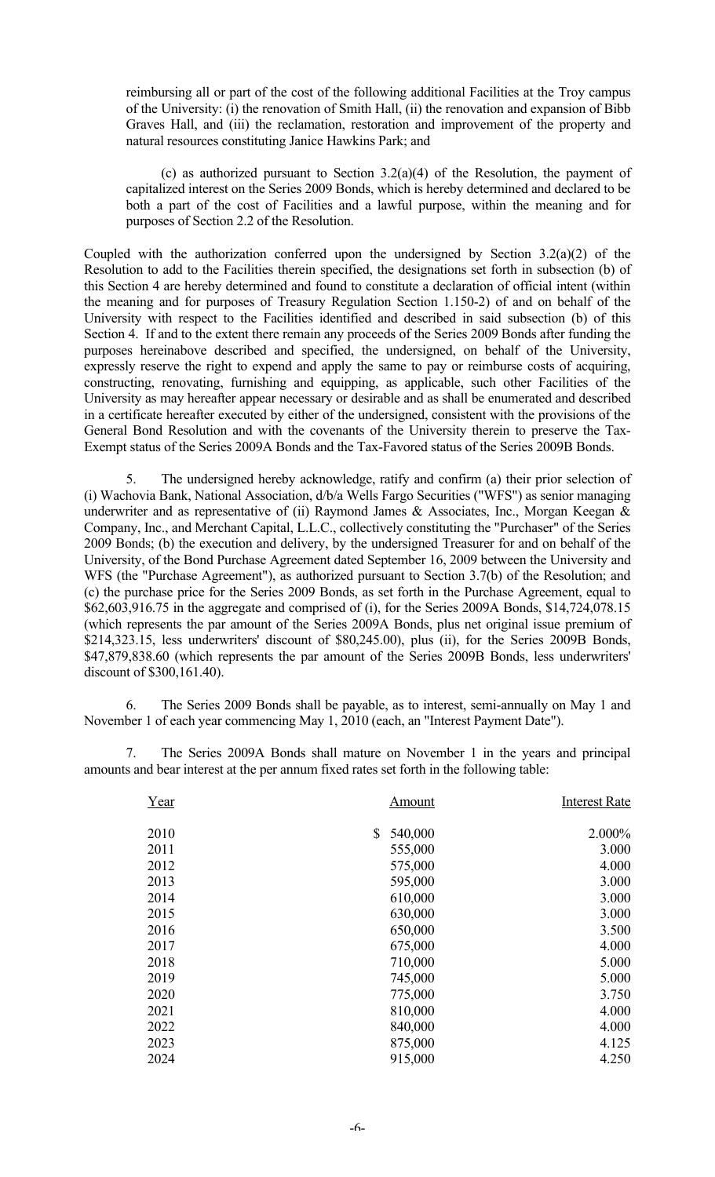reimbursing all or part of the cost of the following additional Facilities at the Troy campus of the University: (i) the renovation of Smith Hall, (ii) the renovation and expansion of Bibb Graves Hall, and (iii) the reclamation, restoration and improvement of the property and natural resources constituting Janice Hawkins Park; and

(c) as authorized pursuant to Section 3.2(a)(4) of the Resolution, the payment of capitalized interest on the Series 2009 Bonds, which is hereby determined and declared to be both a part of the cost of Facilities and a lawful purpose, within the meaning and for purposes of Section 2.2 of the Resolution.

Coupled with the authorization conferred upon the undersigned by Section  $3.2(a)(2)$  of the Resolution to add to the Facilities therein specified, the designations set forth in subsection (b) of this Section 4 are hereby determined and found to constitute a declaration of official intent (within the meaning and for purposes of Treasury Regulation Section 1.150-2) of and on behalf of the University with respect to the Facilities identified and described in said subsection (b) of this Section 4. If and to the extent there remain any proceeds of the Series 2009 Bonds after funding the purposes hereinabove described and specified, the undersigned, on behalf of the University, expressly reserve the right to expend and apply the same to pay or reimburse costs of acquiring, constructing, renovating, furnishing and equipping, as applicable, such other Facilities of the University as may hereafter appear necessary or desirable and as shall be enumerated and described in a certificate hereafter executed by either of the undersigned, consistent with the provisions of the General Bond Resolution and with the covenants of the University therein to preserve the Tax-Exempt status of the Series 2009A Bonds and the Tax-Favored status of the Series 2009B Bonds.

5. The undersigned hereby acknowledge, ratify and confirm (a) their prior selection of (i) Wachovia Bank, National Association, d/b/a Wells Fargo Securities ("WFS") as senior managing underwriter and as representative of (ii) Raymond James & Associates, Inc., Morgan Keegan & Company, Inc., and Merchant Capital, L.L.C., collectively constituting the "Purchaser" of the Series 2009 Bonds; (b) the execution and delivery, by the undersigned Treasurer for and on behalf of the University, of the Bond Purchase Agreement dated September 16, 2009 between the University and WFS (the "Purchase Agreement"), as authorized pursuant to Section 3.7(b) of the Resolution; and (c) the purchase price for the Series 2009 Bonds, as set forth in the Purchase Agreement, equal to \$62,603,916.75 in the aggregate and comprised of (i), for the Series 2009A Bonds, \$14,724,078.15 (which represents the par amount of the Series 2009A Bonds, plus net original issue premium of \$214,323.15, less underwriters' discount of \$80,245.00), plus (ii), for the Series 2009B Bonds, \$47,879,838.60 (which represents the par amount of the Series 2009B Bonds, less underwriters' discount of \$300,161.40).

6. The Series 2009 Bonds shall be payable, as to interest, semi-annually on May 1 and November 1 of each year commencing May 1, 2010 (each, an "Interest Payment Date").

7. The Series 2009A Bonds shall mature on November 1 in the years and principal amounts and bear interest at the per annum fixed rates set forth in the following table:

| Year | Amount        | <b>Interest Rate</b> |
|------|---------------|----------------------|
| 2010 | \$<br>540,000 | 2.000%               |
| 2011 | 555,000       | 3.000                |
| 2012 | 575,000       | 4.000                |
| 2013 | 595,000       | 3.000                |
| 2014 | 610,000       | 3.000                |
| 2015 | 630,000       | 3.000                |
| 2016 | 650,000       | 3.500                |
| 2017 | 675,000       | 4.000                |
| 2018 | 710,000       | 5.000                |
| 2019 | 745,000       | 5.000                |
| 2020 | 775,000       | 3.750                |
| 2021 | 810,000       | 4.000                |
| 2022 | 840,000       | 4.000                |
| 2023 | 875,000       | 4.125                |
| 2024 | 915,000       | 4.250                |
|      |               |                      |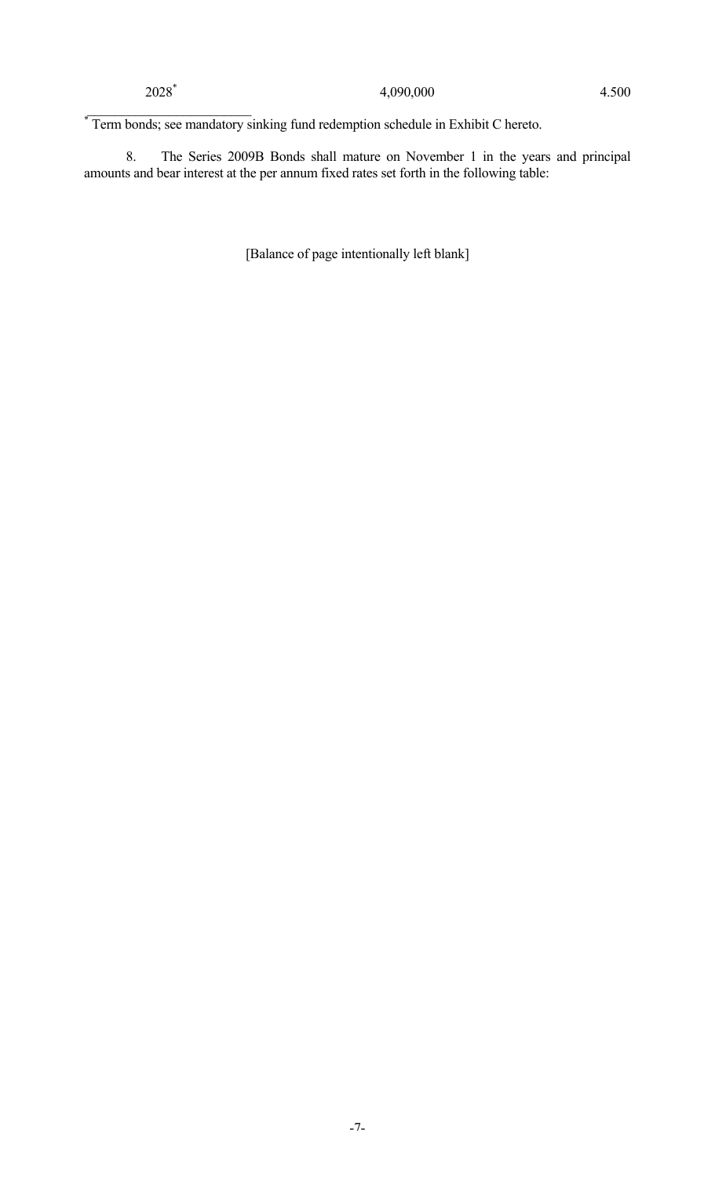\*Term bonds; see mandatory sinking fund redemption schedule in Exhibit C hereto.

8. The Series 2009B Bonds shall mature on November 1 in the years and principal amounts and bear interest at the per annum fixed rates set forth in the following table:

[Balance of page intentionally left blank]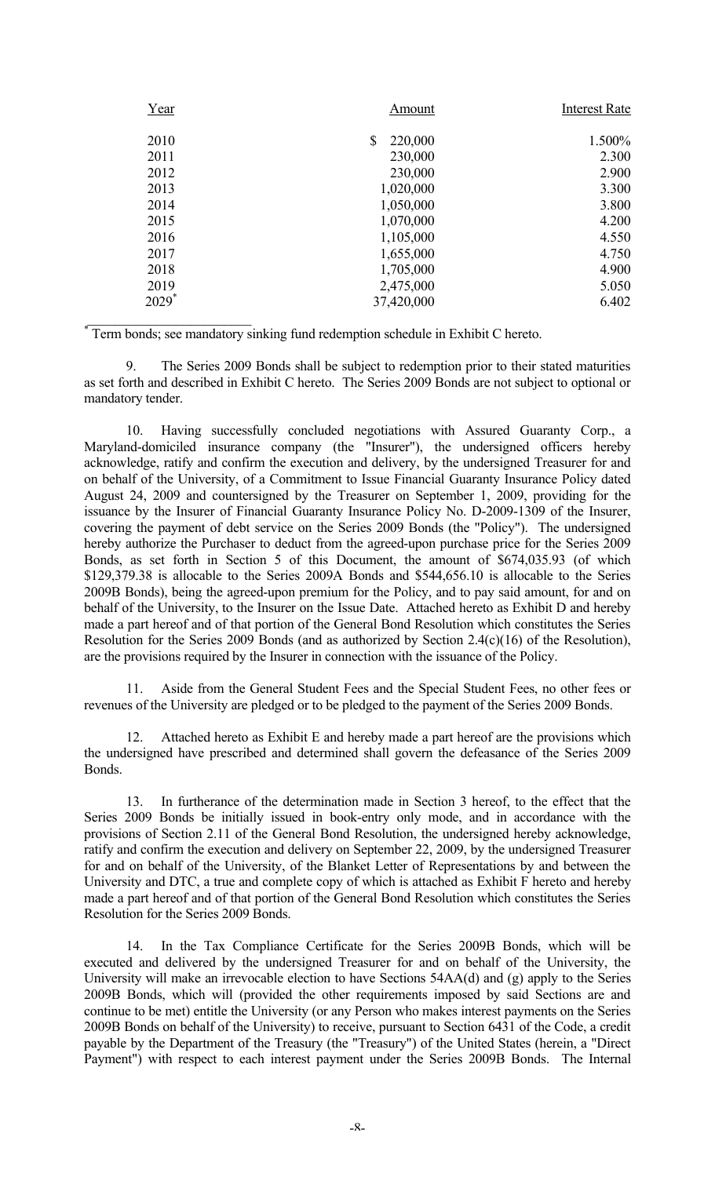| Year                | Amount        | <b>Interest Rate</b> |
|---------------------|---------------|----------------------|
| 2010                | \$<br>220,000 | 1.500%               |
| 2011                | 230,000       | 2.300                |
| 2012                | 230,000       | 2.900                |
| 2013                | 1,020,000     | 3.300                |
| 2014                | 1,050,000     | 3.800                |
| 2015                | 1,070,000     | 4.200                |
| 2016                | 1,105,000     | 4.550                |
| 2017                | 1,655,000     | 4.750                |
| 2018                | 1,705,000     | 4.900                |
| 2019                | 2,475,000     | 5.050                |
| $2029$ <sup>*</sup> | 37,420,000    | 6.402                |
|                     |               |                      |

Term bonds; see mandatory sinking fund redemption schedule in Exhibit C hereto.

9. The Series 2009 Bonds shall be subject to redemption prior to their stated maturities as set forth and described in Exhibit C hereto. The Series 2009 Bonds are not subject to optional or mandatory tender.

10. Having successfully concluded negotiations with Assured Guaranty Corp., a Maryland-domiciled insurance company (the "Insurer"), the undersigned officers hereby acknowledge, ratify and confirm the execution and delivery, by the undersigned Treasurer for and on behalf of the University, of a Commitment to Issue Financial Guaranty Insurance Policy dated August 24, 2009 and countersigned by the Treasurer on September 1, 2009, providing for the issuance by the Insurer of Financial Guaranty Insurance Policy No. D-2009-1309 of the Insurer, covering the payment of debt service on the Series 2009 Bonds (the "Policy"). The undersigned hereby authorize the Purchaser to deduct from the agreed-upon purchase price for the Series 2009 Bonds, as set forth in Section 5 of this Document, the amount of \$674,035.93 (of which \$129,379.38 is allocable to the Series 2009A Bonds and \$544,656.10 is allocable to the Series 2009B Bonds), being the agreed-upon premium for the Policy, and to pay said amount, for and on behalf of the University, to the Insurer on the Issue Date. Attached hereto as Exhibit D and hereby made a part hereof and of that portion of the General Bond Resolution which constitutes the Series Resolution for the Series 2009 Bonds (and as authorized by Section 2.4(c)(16) of the Resolution), are the provisions required by the Insurer in connection with the issuance of the Policy.

Aside from the General Student Fees and the Special Student Fees, no other fees or revenues of the University are pledged or to be pledged to the payment of the Series 2009 Bonds.

12. Attached hereto as Exhibit E and hereby made a part hereof are the provisions which the undersigned have prescribed and determined shall govern the defeasance of the Series 2009 Bonds.

13. In furtherance of the determination made in Section 3 hereof, to the effect that the Series 2009 Bonds be initially issued in book-entry only mode, and in accordance with the provisions of Section 2.11 of the General Bond Resolution, the undersigned hereby acknowledge, ratify and confirm the execution and delivery on September 22, 2009, by the undersigned Treasurer for and on behalf of the University, of the Blanket Letter of Representations by and between the University and DTC, a true and complete copy of which is attached as Exhibit F hereto and hereby made a part hereof and of that portion of the General Bond Resolution which constitutes the Series Resolution for the Series 2009 Bonds.

14. In the Tax Compliance Certificate for the Series 2009B Bonds, which will be executed and delivered by the undersigned Treasurer for and on behalf of the University, the University will make an irrevocable election to have Sections 54AA(d) and (g) apply to the Series 2009B Bonds, which will (provided the other requirements imposed by said Sections are and continue to be met) entitle the University (or any Person who makes interest payments on the Series 2009B Bonds on behalf of the University) to receive, pursuant to Section 6431 of the Code, a credit payable by the Department of the Treasury (the "Treasury") of the United States (herein, a "Direct Payment") with respect to each interest payment under the Series 2009B Bonds. The Internal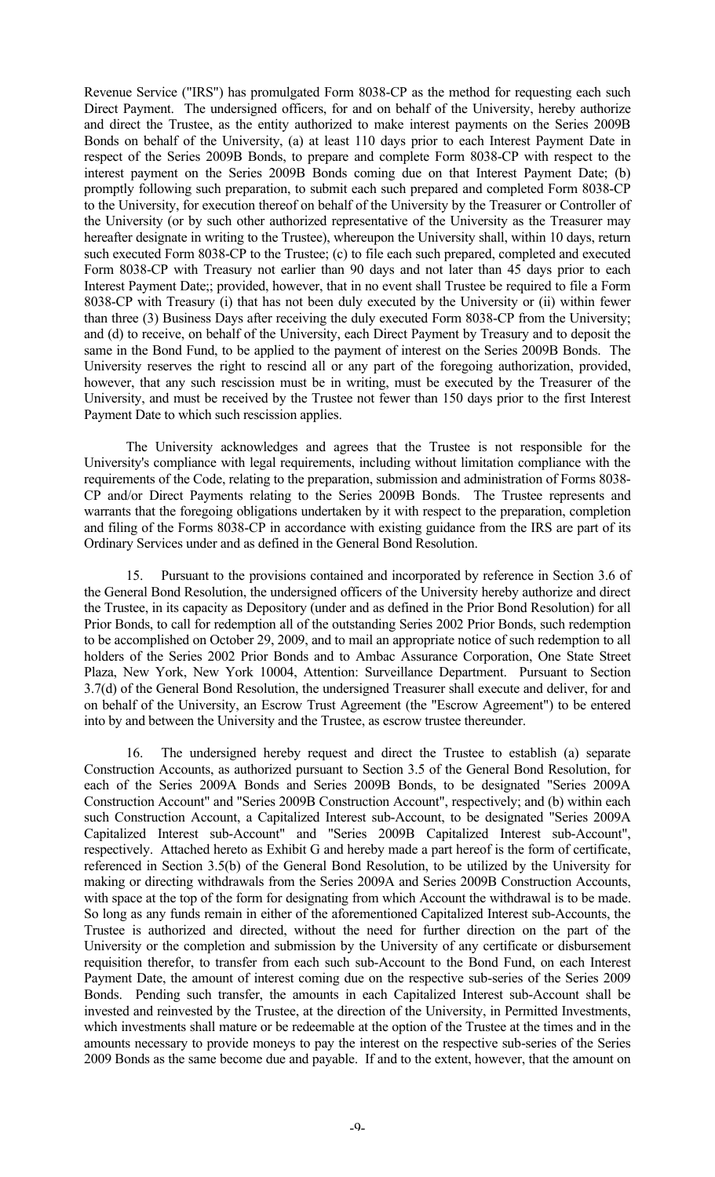Revenue Service ("IRS") has promulgated Form 8038-CP as the method for requesting each such Direct Payment. The undersigned officers, for and on behalf of the University, hereby authorize and direct the Trustee, as the entity authorized to make interest payments on the Series 2009B Bonds on behalf of the University, (a) at least 110 days prior to each Interest Payment Date in respect of the Series 2009B Bonds, to prepare and complete Form 8038-CP with respect to the interest payment on the Series 2009B Bonds coming due on that Interest Payment Date; (b) promptly following such preparation, to submit each such prepared and completed Form 8038-CP to the University, for execution thereof on behalf of the University by the Treasurer or Controller of the University (or by such other authorized representative of the University as the Treasurer may hereafter designate in writing to the Trustee), whereupon the University shall, within 10 days, return such executed Form 8038-CP to the Trustee; (c) to file each such prepared, completed and executed Form 8038-CP with Treasury not earlier than 90 days and not later than 45 days prior to each Interest Payment Date;; provided, however, that in no event shall Trustee be required to file a Form 8038-CP with Treasury (i) that has not been duly executed by the University or (ii) within fewer than three (3) Business Days after receiving the duly executed Form 8038-CP from the University; and (d) to receive, on behalf of the University, each Direct Payment by Treasury and to deposit the same in the Bond Fund, to be applied to the payment of interest on the Series 2009B Bonds. The University reserves the right to rescind all or any part of the foregoing authorization, provided, however, that any such rescission must be in writing, must be executed by the Treasurer of the University, and must be received by the Trustee not fewer than 150 days prior to the first Interest Payment Date to which such rescission applies.

The University acknowledges and agrees that the Trustee is not responsible for the University's compliance with legal requirements, including without limitation compliance with the requirements of the Code, relating to the preparation, submission and administration of Forms 8038- CP and/or Direct Payments relating to the Series 2009B Bonds. The Trustee represents and warrants that the foregoing obligations undertaken by it with respect to the preparation, completion and filing of the Forms 8038-CP in accordance with existing guidance from the IRS are part of its Ordinary Services under and as defined in the General Bond Resolution.

15. Pursuant to the provisions contained and incorporated by reference in Section 3.6 of the General Bond Resolution, the undersigned officers of the University hereby authorize and direct the Trustee, in its capacity as Depository (under and as defined in the Prior Bond Resolution) for all Prior Bonds, to call for redemption all of the outstanding Series 2002 Prior Bonds, such redemption to be accomplished on October 29, 2009, and to mail an appropriate notice of such redemption to all holders of the Series 2002 Prior Bonds and to Ambac Assurance Corporation, One State Street Plaza, New York, New York 10004, Attention: Surveillance Department. Pursuant to Section 3.7(d) of the General Bond Resolution, the undersigned Treasurer shall execute and deliver, for and on behalf of the University, an Escrow Trust Agreement (the "Escrow Agreement") to be entered into by and between the University and the Trustee, as escrow trustee thereunder.

16. The undersigned hereby request and direct the Trustee to establish (a) separate Construction Accounts, as authorized pursuant to Section 3.5 of the General Bond Resolution, for each of the Series 2009A Bonds and Series 2009B Bonds, to be designated "Series 2009A Construction Account" and "Series 2009B Construction Account", respectively; and (b) within each such Construction Account, a Capitalized Interest sub-Account, to be designated "Series 2009A Capitalized Interest sub-Account" and "Series 2009B Capitalized Interest sub-Account", respectively. Attached hereto as Exhibit G and hereby made a part hereof is the form of certificate, referenced in Section 3.5(b) of the General Bond Resolution, to be utilized by the University for making or directing withdrawals from the Series 2009A and Series 2009B Construction Accounts, with space at the top of the form for designating from which Account the withdrawal is to be made. So long as any funds remain in either of the aforementioned Capitalized Interest sub-Accounts, the Trustee is authorized and directed, without the need for further direction on the part of the University or the completion and submission by the University of any certificate or disbursement requisition therefor, to transfer from each such sub-Account to the Bond Fund, on each Interest Payment Date, the amount of interest coming due on the respective sub-series of the Series 2009 Bonds. Pending such transfer, the amounts in each Capitalized Interest sub-Account shall be invested and reinvested by the Trustee, at the direction of the University, in Permitted Investments, which investments shall mature or be redeemable at the option of the Trustee at the times and in the amounts necessary to provide moneys to pay the interest on the respective sub-series of the Series 2009 Bonds as the same become due and payable. If and to the extent, however, that the amount on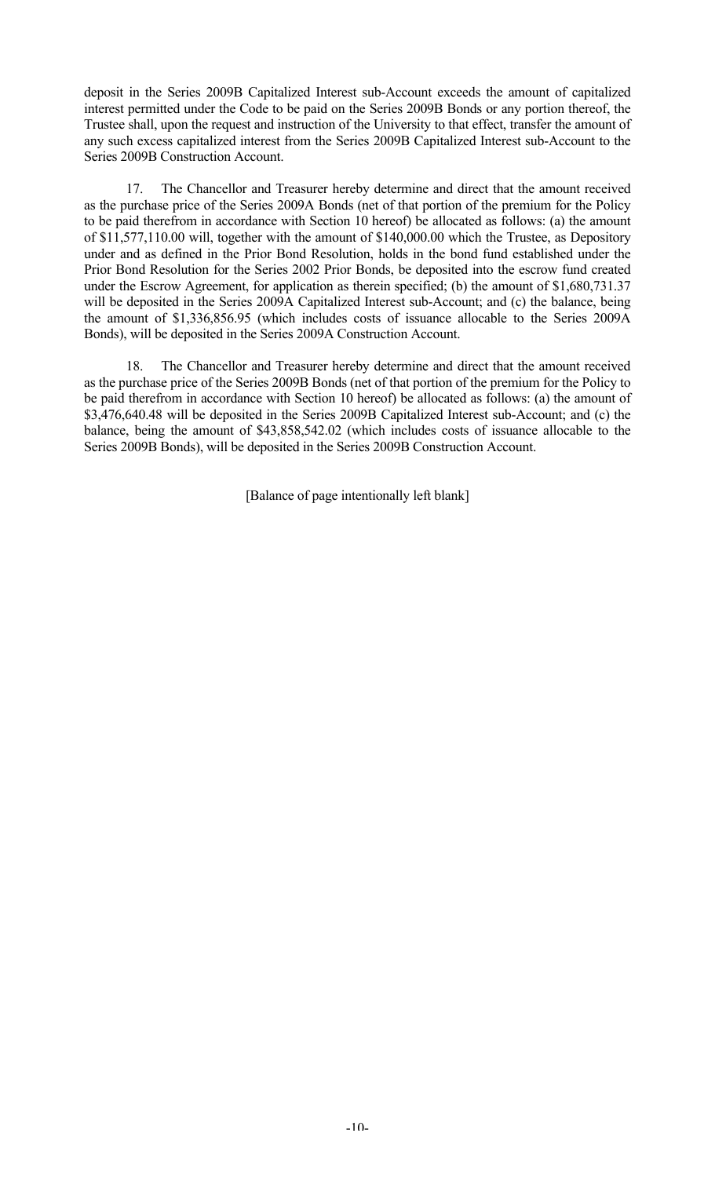deposit in the Series 2009B Capitalized Interest sub-Account exceeds the amount of capitalized interest permitted under the Code to be paid on the Series 2009B Bonds or any portion thereof, the Trustee shall, upon the request and instruction of the University to that effect, transfer the amount of any such excess capitalized interest from the Series 2009B Capitalized Interest sub-Account to the Series 2009B Construction Account.

17. The Chancellor and Treasurer hereby determine and direct that the amount received as the purchase price of the Series 2009A Bonds (net of that portion of the premium for the Policy to be paid therefrom in accordance with Section 10 hereof) be allocated as follows: (a) the amount of \$11,577,110.00 will, together with the amount of \$140,000.00 which the Trustee, as Depository under and as defined in the Prior Bond Resolution, holds in the bond fund established under the Prior Bond Resolution for the Series 2002 Prior Bonds, be deposited into the escrow fund created under the Escrow Agreement, for application as therein specified; (b) the amount of \$1,680,731.37 will be deposited in the Series 2009A Capitalized Interest sub-Account; and (c) the balance, being the amount of \$1,336,856.95 (which includes costs of issuance allocable to the Series 2009A Bonds), will be deposited in the Series 2009A Construction Account.

18. The Chancellor and Treasurer hereby determine and direct that the amount received as the purchase price of the Series 2009B Bonds (net of that portion of the premium for the Policy to be paid therefrom in accordance with Section 10 hereof) be allocated as follows: (a) the amount of \$3,476,640.48 will be deposited in the Series 2009B Capitalized Interest sub-Account; and (c) the balance, being the amount of \$43,858,542.02 (which includes costs of issuance allocable to the Series 2009B Bonds), will be deposited in the Series 2009B Construction Account.

[Balance of page intentionally left blank]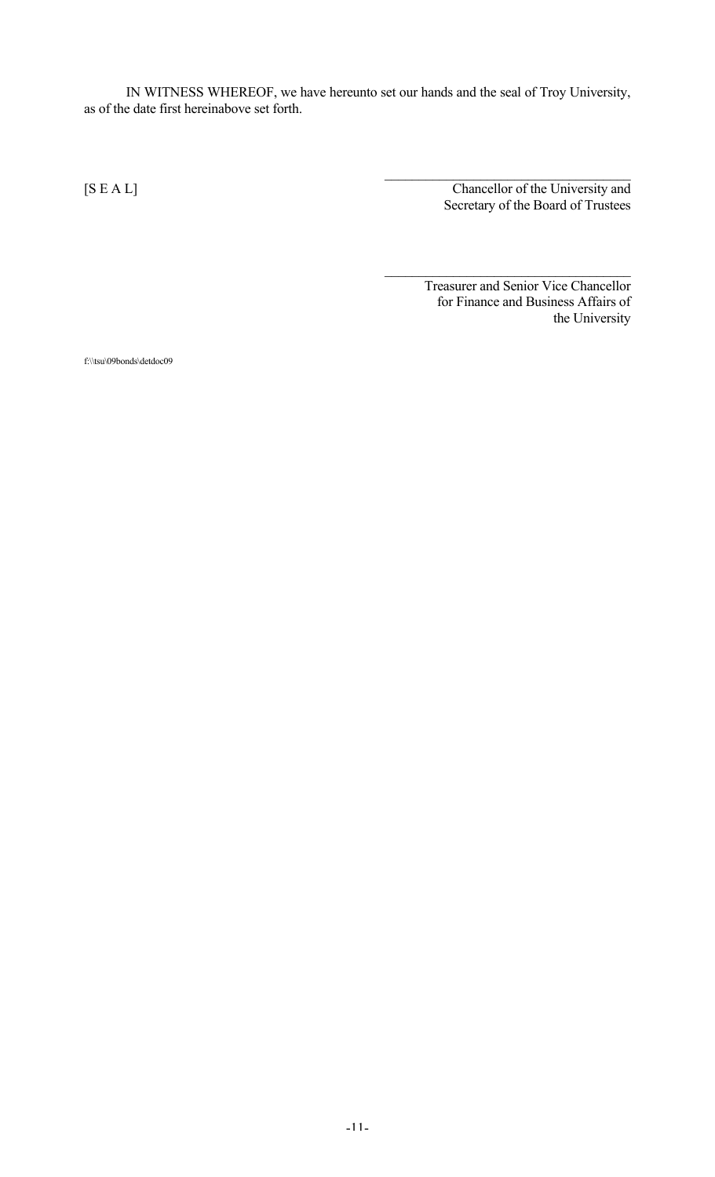IN WITNESS WHEREOF, we have hereunto set our hands and the seal of Troy University, as of the date first hereinabove set forth.

 $\mathcal{L}_\text{max}$ [S E A L] Chancellor of the University and Secretary of the Board of Trustees

> Treasurer and Senior Vice Chancellor for Finance and Business Affairs of the University

 $\mathcal{L}_\text{max}$  , and the set of the set of the set of the set of the set of the set of the set of the set of the set of the set of the set of the set of the set of the set of the set of the set of the set of the set of the

f:\\tsu\09bonds\detdoc09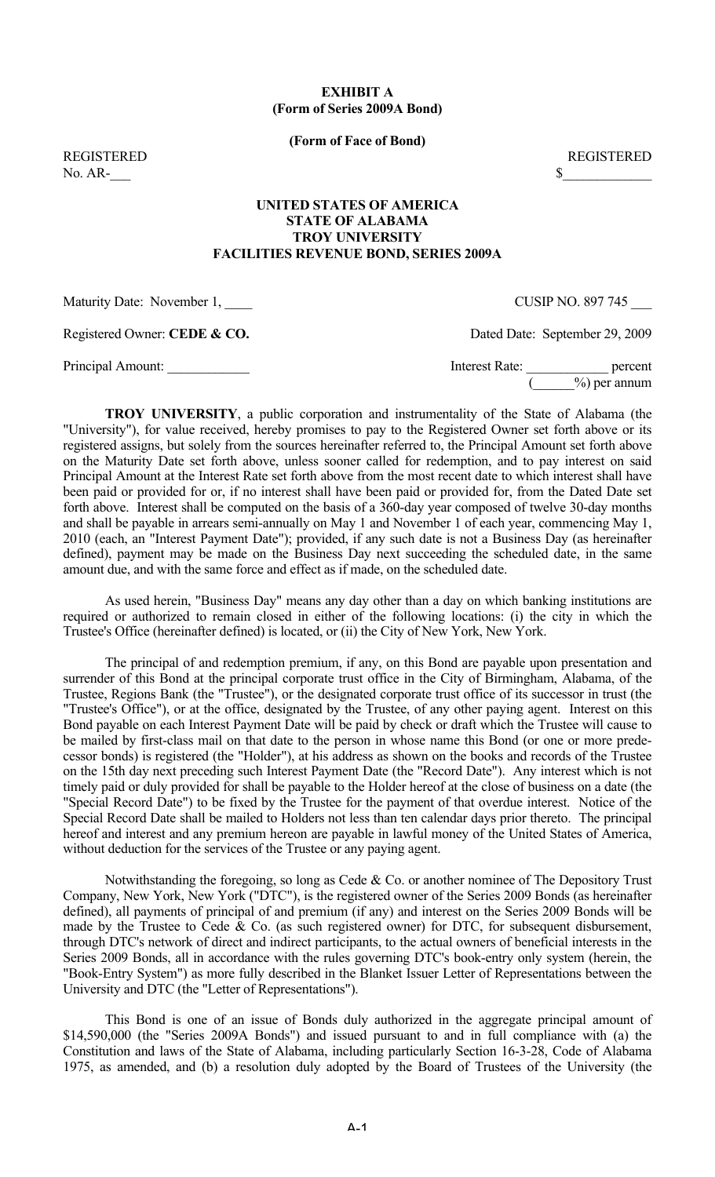# **EXHIBIT A (Form of Series 2009A Bond)**

**(Form of Face of Bond)**

No.  $AR$ - $\overline{\phantom{a}S}$ 

REGISTERED REGISTERED

## **UNITED STATES OF AMERICA STATE OF ALABAMA TROY UNIVERSITY FACILITIES REVENUE BOND, SERIES 2009A**

Maturity Date: November 1,  $\qquad \qquad \text{CUSIP NO. 897 745}$ 

Registered Owner: **CEDE & CO.** Dated Date: September 29, 2009

Principal Amount: example and the set of the set of the set of the set of the set of the set of the set of the set of the set of the set of the set of the set of the set of the set of the set of the set of the set of the s  $(\_\_\_9)$  per annum

**TROY UNIVERSITY**, a public corporation and instrumentality of the State of Alabama (the "University"), for value received, hereby promises to pay to the Registered Owner set forth above or its registered assigns, but solely from the sources hereinafter referred to, the Principal Amount set forth above on the Maturity Date set forth above, unless sooner called for redemption, and to pay interest on said Principal Amount at the Interest Rate set forth above from the most recent date to which interest shall have been paid or provided for or, if no interest shall have been paid or provided for, from the Dated Date set forth above. Interest shall be computed on the basis of a 360-day year composed of twelve 30-day months and shall be payable in arrears semi-annually on May 1 and November 1 of each year, commencing May 1, 2010 (each, an "Interest Payment Date"); provided, if any such date is not a Business Day (as hereinafter defined), payment may be made on the Business Day next succeeding the scheduled date, in the same amount due, and with the same force and effect as if made, on the scheduled date.

As used herein, "Business Day" means any day other than a day on which banking institutions are required or authorized to remain closed in either of the following locations: (i) the city in which the Trustee's Office (hereinafter defined) is located, or (ii) the City of New York, New York.

The principal of and redemption premium, if any, on this Bond are payable upon presentation and surrender of this Bond at the principal corporate trust office in the City of Birmingham, Alabama, of the Trustee, Regions Bank (the "Trustee"), or the designated corporate trust office of its successor in trust (the "Trustee's Office"), or at the office, designated by the Trustee, of any other paying agent. Interest on this Bond payable on each Interest Payment Date will be paid by check or draft which the Trustee will cause to be mailed by first-class mail on that date to the person in whose name this Bond (or one or more predecessor bonds) is registered (the "Holder"), at his address as shown on the books and records of the Trustee on the 15th day next preceding such Interest Payment Date (the "Record Date"). Any interest which is not timely paid or duly provided for shall be payable to the Holder hereof at the close of business on a date (the "Special Record Date") to be fixed by the Trustee for the payment of that overdue interest. Notice of the Special Record Date shall be mailed to Holders not less than ten calendar days prior thereto. The principal hereof and interest and any premium hereon are payable in lawful money of the United States of America, without deduction for the services of the Trustee or any paying agent.

Notwithstanding the foregoing, so long as Cede & Co. or another nominee of The Depository Trust Company, New York, New York ("DTC"), is the registered owner of the Series 2009 Bonds (as hereinafter defined), all payments of principal of and premium (if any) and interest on the Series 2009 Bonds will be made by the Trustee to Cede & Co. (as such registered owner) for DTC, for subsequent disbursement, through DTC's network of direct and indirect participants, to the actual owners of beneficial interests in the Series 2009 Bonds, all in accordance with the rules governing DTC's book-entry only system (herein, the "Book-Entry System") as more fully described in the Blanket Issuer Letter of Representations between the University and DTC (the "Letter of Representations").

This Bond is one of an issue of Bonds duly authorized in the aggregate principal amount of \$14,590,000 (the "Series 2009A Bonds") and issued pursuant to and in full compliance with (a) the Constitution and laws of the State of Alabama, including particularly Section 16-3-28, Code of Alabama 1975, as amended, and (b) a resolution duly adopted by the Board of Trustees of the University (the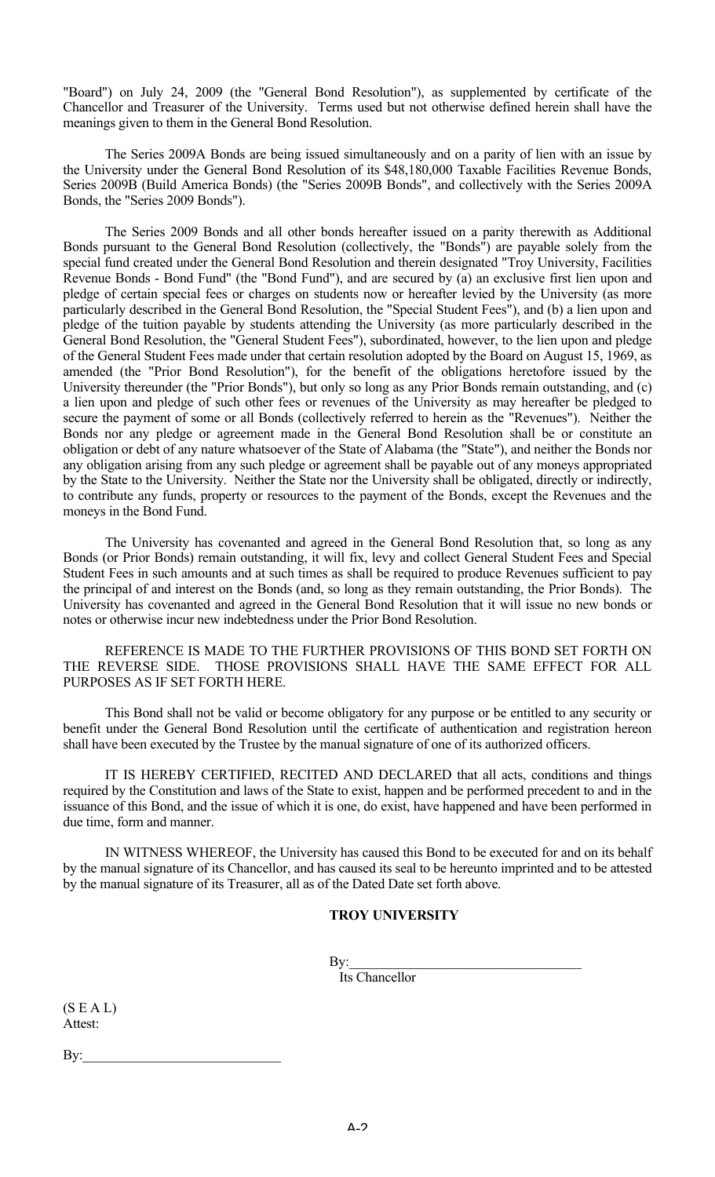"Board") on July 24, 2009 (the "General Bond Resolution"), as supplemented by certificate of the Chancellor and Treasurer of the University. Terms used but not otherwise defined herein shall have the meanings given to them in the General Bond Resolution.

The Series 2009A Bonds are being issued simultaneously and on a parity of lien with an issue by the University under the General Bond Resolution of its \$48,180,000 Taxable Facilities Revenue Bonds, Series 2009B (Build America Bonds) (the "Series 2009B Bonds", and collectively with the Series 2009A Bonds, the "Series 2009 Bonds").

The Series 2009 Bonds and all other bonds hereafter issued on a parity therewith as Additional Bonds pursuant to the General Bond Resolution (collectively, the "Bonds") are payable solely from the special fund created under the General Bond Resolution and therein designated "Troy University, Facilities Revenue Bonds - Bond Fund" (the "Bond Fund"), and are secured by (a) an exclusive first lien upon and pledge of certain special fees or charges on students now or hereafter levied by the University (as more particularly described in the General Bond Resolution, the "Special Student Fees"), and (b) a lien upon and pledge of the tuition payable by students attending the University (as more particularly described in the General Bond Resolution, the "General Student Fees"), subordinated, however, to the lien upon and pledge of the General Student Fees made under that certain resolution adopted by the Board on August 15, 1969, as amended (the "Prior Bond Resolution"), for the benefit of the obligations heretofore issued by the University thereunder (the "Prior Bonds"), but only so long as any Prior Bonds remain outstanding, and (c) a lien upon and pledge of such other fees or revenues of the University as may hereafter be pledged to secure the payment of some or all Bonds (collectively referred to herein as the "Revenues"). Neither the Bonds nor any pledge or agreement made in the General Bond Resolution shall be or constitute an obligation or debt of any nature whatsoever of the State of Alabama (the "State"), and neither the Bonds nor any obligation arising from any such pledge or agreement shall be payable out of any moneys appropriated by the State to the University. Neither the State nor the University shall be obligated, directly or indirectly, to contribute any funds, property or resources to the payment of the Bonds, except the Revenues and the moneys in the Bond Fund.

The University has covenanted and agreed in the General Bond Resolution that, so long as any Bonds (or Prior Bonds) remain outstanding, it will fix, levy and collect General Student Fees and Special Student Fees in such amounts and at such times as shall be required to produce Revenues sufficient to pay the principal of and interest on the Bonds (and, so long as they remain outstanding, the Prior Bonds). The University has covenanted and agreed in the General Bond Resolution that it will issue no new bonds or notes or otherwise incur new indebtedness under the Prior Bond Resolution.

REFERENCE IS MADE TO THE FURTHER PROVISIONS OF THIS BOND SET FORTH ON THE REVERSE SIDE. THOSE PROVISIONS SHALL HAVE THE SAME EFFECT FOR ALL PURPOSES AS IF SET FORTH HERE.

This Bond shall not be valid or become obligatory for any purpose or be entitled to any security or benefit under the General Bond Resolution until the certificate of authentication and registration hereon shall have been executed by the Trustee by the manual signature of one of its authorized officers.

IT IS HEREBY CERTIFIED, RECITED AND DECLARED that all acts, conditions and things required by the Constitution and laws of the State to exist, happen and be performed precedent to and in the issuance of this Bond, and the issue of which it is one, do exist, have happened and have been performed in due time, form and manner.

IN WITNESS WHEREOF, the University has caused this Bond to be executed for and on its behalf by the manual signature of its Chancellor, and has caused its seal to be hereunto imprinted and to be attested by the manual signature of its Treasurer, all as of the Dated Date set forth above.

# **TROY UNIVERSITY**

 $\mathbf{By:}$ 

Its Chancellor

 $(S E A L)$ Attest:

 $By:$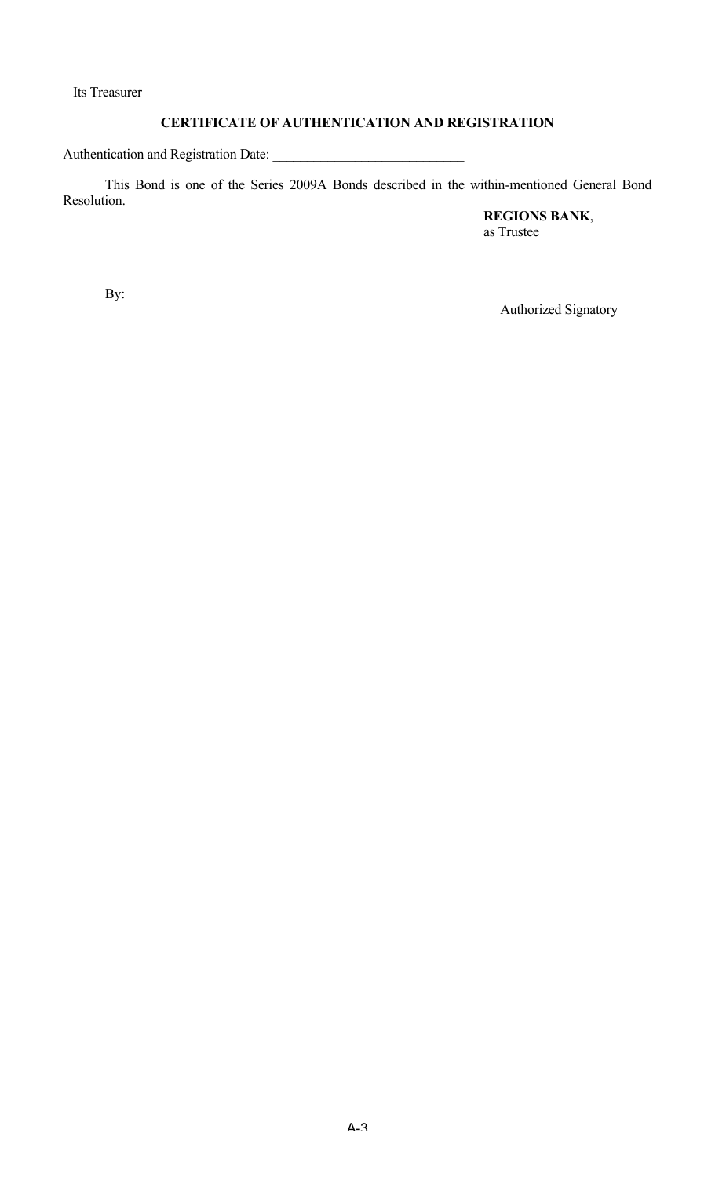Its Treasurer

# **CERTIFICATE OF AUTHENTICATION AND REGISTRATION**

Authentication and Registration Date: \_\_\_\_\_\_\_\_\_\_\_\_\_\_\_\_\_\_\_\_\_\_\_\_\_\_\_\_

This Bond is one of the Series 2009A Bonds described in the within-mentioned General Bond Resolution.

**REGIONS BANK**, as Trustee

By:\_\_\_\_\_\_\_\_\_\_\_\_\_\_\_\_\_\_\_\_\_\_\_\_\_\_\_\_\_\_\_\_\_\_\_\_\_\_

Authorized Signatory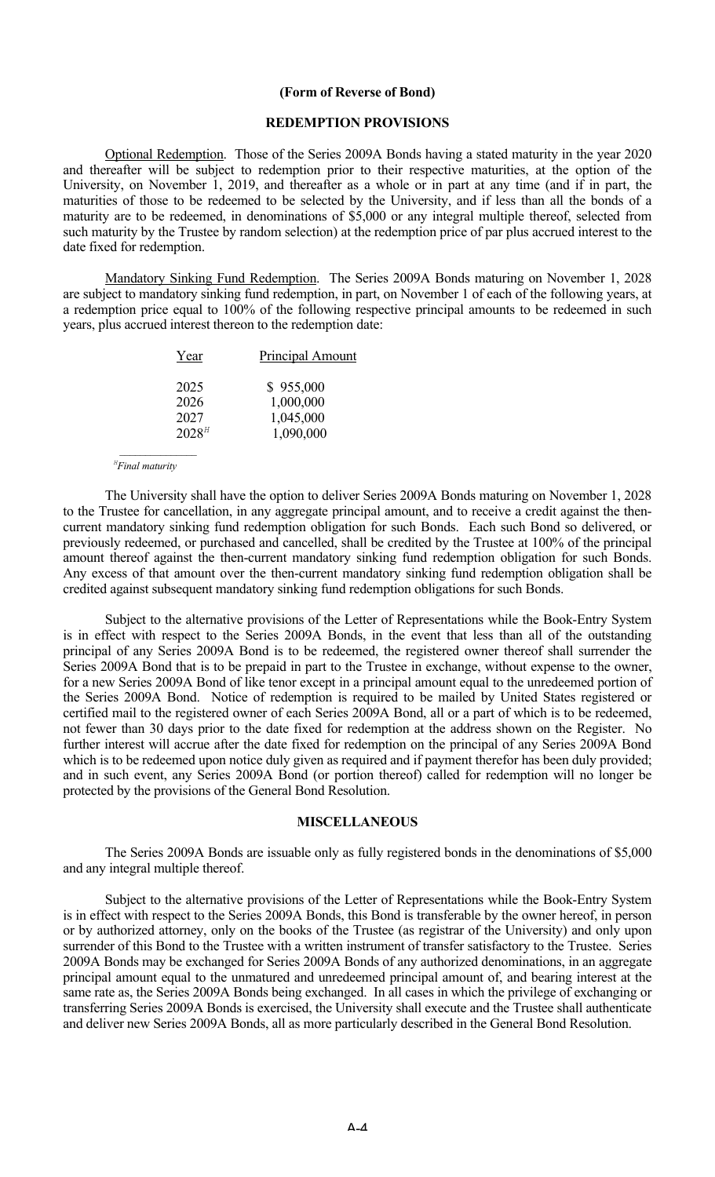#### **(Form of Reverse of Bond)**

#### **REDEMPTION PROVISIONS**

Optional Redemption. Those of the Series 2009A Bonds having a stated maturity in the year 2020 and thereafter will be subject to redemption prior to their respective maturities, at the option of the University, on November 1, 2019, and thereafter as a whole or in part at any time (and if in part, the maturities of those to be redeemed to be selected by the University, and if less than all the bonds of a maturity are to be redeemed, in denominations of \$5,000 or any integral multiple thereof, selected from such maturity by the Trustee by random selection) at the redemption price of par plus accrued interest to the date fixed for redemption.

Mandatory Sinking Fund Redemption. The Series 2009A Bonds maturing on November 1, 2028 are subject to mandatory sinking fund redemption, in part, on November 1 of each of the following years, at a redemption price equal to 100% of the following respective principal amounts to be redeemed in such years, plus accrued interest thereon to the redemption date:

| Year       | Principal Amount |
|------------|------------------|
| 2025       | \$955,000        |
| 2026       | 1,000,000        |
| 2027       | 1,045,000        |
| $2028^{H}$ | 1,090,000        |

 *<sup>H</sup> Final maturity*

*\_\_\_\_\_\_\_\_\_\_\_\_\_\_\_*

The University shall have the option to deliver Series 2009A Bonds maturing on November 1, 2028 to the Trustee for cancellation, in any aggregate principal amount, and to receive a credit against the thencurrent mandatory sinking fund redemption obligation for such Bonds. Each such Bond so delivered, or previously redeemed, or purchased and cancelled, shall be credited by the Trustee at 100% of the principal amount thereof against the then-current mandatory sinking fund redemption obligation for such Bonds. Any excess of that amount over the then-current mandatory sinking fund redemption obligation shall be credited against subsequent mandatory sinking fund redemption obligations for such Bonds.

Subject to the alternative provisions of the Letter of Representations while the Book-Entry System is in effect with respect to the Series 2009A Bonds, in the event that less than all of the outstanding principal of any Series 2009A Bond is to be redeemed, the registered owner thereof shall surrender the Series 2009A Bond that is to be prepaid in part to the Trustee in exchange, without expense to the owner, for a new Series 2009A Bond of like tenor except in a principal amount equal to the unredeemed portion of the Series 2009A Bond. Notice of redemption is required to be mailed by United States registered or certified mail to the registered owner of each Series 2009A Bond, all or a part of which is to be redeemed, not fewer than 30 days prior to the date fixed for redemption at the address shown on the Register. No further interest will accrue after the date fixed for redemption on the principal of any Series 2009A Bond which is to be redeemed upon notice duly given as required and if payment therefor has been duly provided; and in such event, any Series 2009A Bond (or portion thereof) called for redemption will no longer be protected by the provisions of the General Bond Resolution.

#### **MISCELLANEOUS**

The Series 2009A Bonds are issuable only as fully registered bonds in the denominations of \$5,000 and any integral multiple thereof.

Subject to the alternative provisions of the Letter of Representations while the Book-Entry System is in effect with respect to the Series 2009A Bonds, this Bond is transferable by the owner hereof, in person or by authorized attorney, only on the books of the Trustee (as registrar of the University) and only upon surrender of this Bond to the Trustee with a written instrument of transfer satisfactory to the Trustee. Series 2009A Bonds may be exchanged for Series 2009A Bonds of any authorized denominations, in an aggregate principal amount equal to the unmatured and unredeemed principal amount of, and bearing interest at the same rate as, the Series 2009A Bonds being exchanged. In all cases in which the privilege of exchanging or transferring Series 2009A Bonds is exercised, the University shall execute and the Trustee shall authenticate and deliver new Series 2009A Bonds, all as more particularly described in the General Bond Resolution.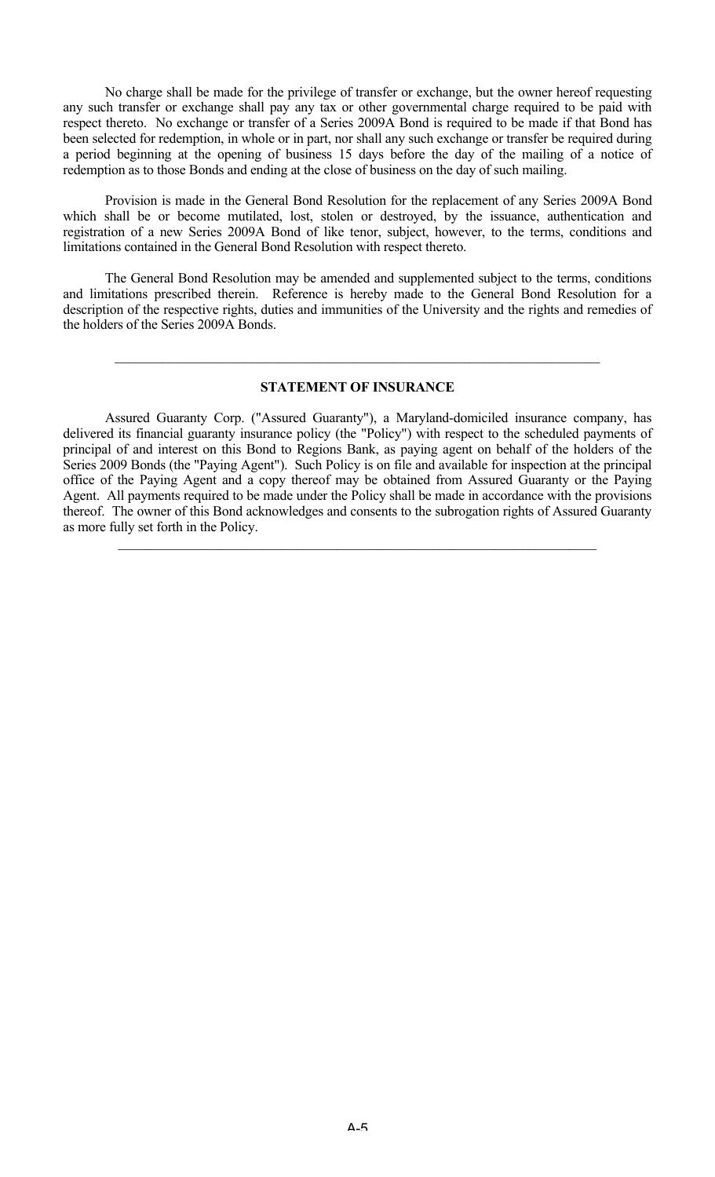No charge shall be made for the privilege of transfer or exchange, but the owner hereof requesting any such transfer or exchange shall pay any tax or other governmental charge required to be paid with respect thereto. No exchange or transfer of a Series 2009A Bond is required to be made if that Bond has been selected for redemption, in whole or in part, nor shall any such exchange or transfer be required during a period beginning at the opening of business 15 days before the day of the mailing of a notice of redemption as to those Bonds and ending at the close of business on the day of such mailing.

Provision is made in the General Bond Resolution for the replacement of any Series 2009A Bond which shall be or become mutilated, lost, stolen or destroyed, by the issuance, authentication and registration of a new Series 2009A Bond of like tenor, subject, however, to the terms, conditions and limitations contained in the General Bond Resolution with respect thereto.

The General Bond Resolution may be amended and supplemented subject to the terms, conditions and limitations prescribed therein. Reference is hereby made to the General Bond Resolution for a description of the respective rights, duties and immunities of the University and the rights and remedies of the holders of the Series 2009A Bonds.

## **STATEMENT OF INSURANCE**

 $\mathcal{L}_\mathcal{L} = \mathcal{L}_\mathcal{L} = \mathcal{L}_\mathcal{L} = \mathcal{L}_\mathcal{L} = \mathcal{L}_\mathcal{L} = \mathcal{L}_\mathcal{L} = \mathcal{L}_\mathcal{L} = \mathcal{L}_\mathcal{L} = \mathcal{L}_\mathcal{L} = \mathcal{L}_\mathcal{L} = \mathcal{L}_\mathcal{L} = \mathcal{L}_\mathcal{L} = \mathcal{L}_\mathcal{L} = \mathcal{L}_\mathcal{L} = \mathcal{L}_\mathcal{L} = \mathcal{L}_\mathcal{L} = \mathcal{L}_\mathcal{L}$ 

Assured Guaranty Corp. ("Assured Guaranty"), a Maryland-domiciled insurance company, has delivered its financial guaranty insurance policy (the "Policy") with respect to the scheduled payments of principal of and interest on this Bond to Regions Bank, as paying agent on behalf of the holders of the Series 2009 Bonds (the "Paying Agent"). Such Policy is on file and available for inspection at the principal office of the Paying Agent and a copy thereof may be obtained from Assured Guaranty or the Paying Agent. All payments required to be made under the Policy shall be made in accordance with the provisions thereof. The owner of this Bond acknowledges and consents to the subrogation rights of Assured Guaranty as more fully set forth in the Policy.

 $\mathcal{L}_\mathcal{L} = \{ \mathcal{L}_\mathcal{L} = \{ \mathcal{L}_\mathcal{L} = \{ \mathcal{L}_\mathcal{L} = \{ \mathcal{L}_\mathcal{L} = \{ \mathcal{L}_\mathcal{L} = \{ \mathcal{L}_\mathcal{L} = \{ \mathcal{L}_\mathcal{L} = \{ \mathcal{L}_\mathcal{L} = \{ \mathcal{L}_\mathcal{L} = \{ \mathcal{L}_\mathcal{L} = \{ \mathcal{L}_\mathcal{L} = \{ \mathcal{L}_\mathcal{L} = \{ \mathcal{L}_\mathcal{L} = \{ \mathcal{L}_\mathcal{$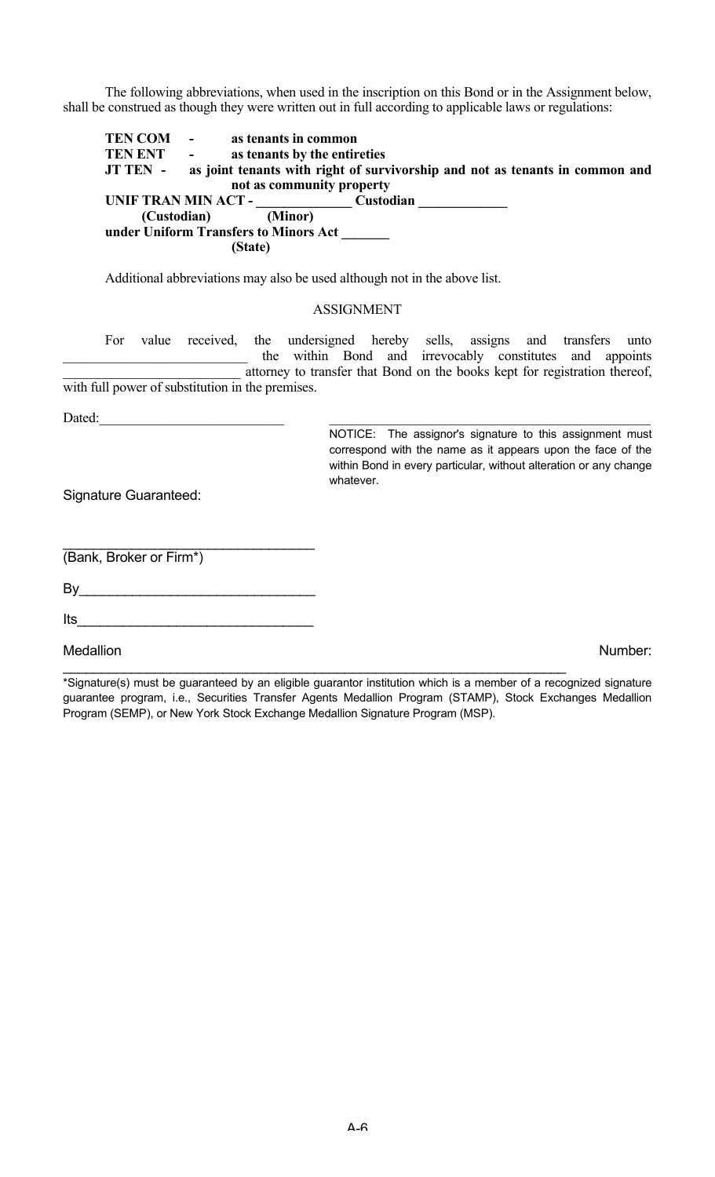The following abbreviations, when used in the inscription on this Bond or in the Assignment below, shall be construed as though they were written out in full according to applicable laws or regulations:

**TEN COM** - **as tenants in common<br>
<b>TEN ENT** - **as tenants by the entir** as tenants by the entireties **JT TEN - as joint tenants with right of survivorship and not as tenants in common and not as community property UNIF TRAN MIN ACT - \_\_\_\_\_\_\_\_\_\_\_\_\_\_ Custodian \_\_\_\_\_\_\_\_\_\_\_\_\_ (Custodian) under Uniform Transfers to Minors Act \_\_\_\_\_\_\_ (State)**

Additional abbreviations may also be used although not in the above list.

#### ASSIGNMENT

For value received, the undersigned hereby sells, assigns and transfers unto the within Bond and irrevocably constitutes and appoints attorney to transfer that Bond on the books kept for registration thereof, with full power of substitution in the premises.

Dated:

NOTICE: The assignor's signature to this assignment must correspond with the name as it appears upon the face of the within Bond in every particular, without alteration or any change whatever.

Signature Guaranteed:

(Bank, Broker or Firm\*)

 $\mathsf{By} \hspace{2em} \rule{2.5em}{0.4em}$ 

 $\mathcal{L}_\text{max}$  , where  $\mathcal{L}_\text{max}$  and  $\mathcal{L}_\text{max}$  and  $\mathcal{L}_\text{max}$ 

 $Its$ 

Medallion **Number:** Number: Number: Number: Number: Number: Number: Number: Number: Number: Number: Number: Number: Number: Number: Number: Number: Number: Number: Number: Number: Number: Number: Number: Number: Number: Nu

\*Signature(s) must be guaranteed by an eligible guarantor institution which is a member of a recognized signature guarantee program, i.e., Securities Transfer Agents Medallion Program (STAMP), Stock Exchanges Medallion Program (SEMP), or New York Stock Exchange Medallion Signature Program (MSP).

 $\mathcal{L}_\text{max} = \mathcal{L}_\text{max} = \mathcal{L}_\text{max} = \mathcal{L}_\text{max} = \mathcal{L}_\text{max} = \mathcal{L}_\text{max} = \mathcal{L}_\text{max} = \mathcal{L}_\text{max} = \mathcal{L}_\text{max} = \mathcal{L}_\text{max} = \mathcal{L}_\text{max} = \mathcal{L}_\text{max} = \mathcal{L}_\text{max} = \mathcal{L}_\text{max} = \mathcal{L}_\text{max} = \mathcal{L}_\text{max} = \mathcal{L}_\text{max} = \mathcal{L}_\text{max} = \mathcal{$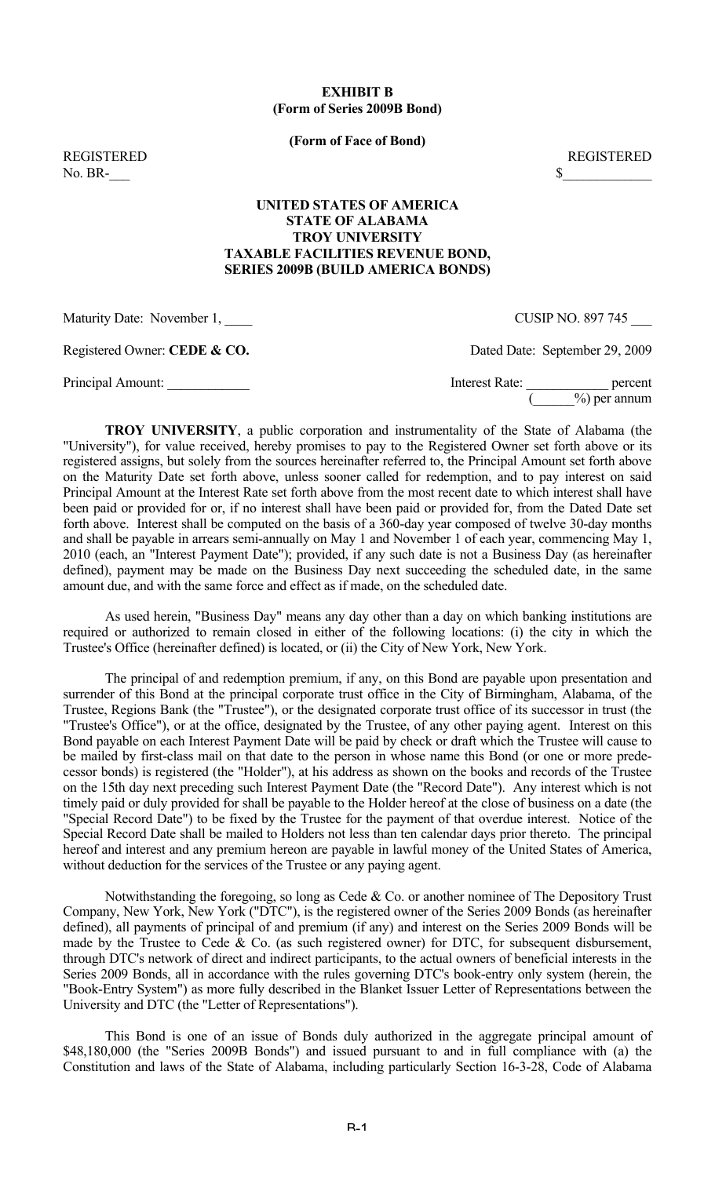# **EXHIBIT B (Form of Series 2009B Bond)**

**(Form of Face of Bond)**

 $\text{No. BR} \text{\$}$ 

REGISTERED REGISTERED

# **UNITED STATES OF AMERICA STATE OF ALABAMA TROY UNIVERSITY TAXABLE FACILITIES REVENUE BOND, SERIES 2009B (BUILD AMERICA BONDS)**

Maturity Date: November 1,  $\qquad \qquad \text{CUSIP NO. 897 745}$ 

Registered Owner: **CEDE & CO.** Dated Date: September 29, 2009

Principal Amount: <u>Denote and the set of the set of the set of the set of the set of the set of the set of the set of the set of the set of the set of the set of the set of the set of the set of the set of the set of the s</u>  $(\_\_\_9)$  per annum

**TROY UNIVERSITY**, a public corporation and instrumentality of the State of Alabama (the "University"), for value received, hereby promises to pay to the Registered Owner set forth above or its registered assigns, but solely from the sources hereinafter referred to, the Principal Amount set forth above on the Maturity Date set forth above, unless sooner called for redemption, and to pay interest on said Principal Amount at the Interest Rate set forth above from the most recent date to which interest shall have been paid or provided for or, if no interest shall have been paid or provided for, from the Dated Date set forth above. Interest shall be computed on the basis of a 360-day year composed of twelve 30-day months and shall be payable in arrears semi-annually on May 1 and November 1 of each year, commencing May 1, 2010 (each, an "Interest Payment Date"); provided, if any such date is not a Business Day (as hereinafter defined), payment may be made on the Business Day next succeeding the scheduled date, in the same amount due, and with the same force and effect as if made, on the scheduled date.

As used herein, "Business Day" means any day other than a day on which banking institutions are required or authorized to remain closed in either of the following locations: (i) the city in which the Trustee's Office (hereinafter defined) is located, or (ii) the City of New York, New York.

The principal of and redemption premium, if any, on this Bond are payable upon presentation and surrender of this Bond at the principal corporate trust office in the City of Birmingham, Alabama, of the Trustee, Regions Bank (the "Trustee"), or the designated corporate trust office of its successor in trust (the "Trustee's Office"), or at the office, designated by the Trustee, of any other paying agent. Interest on this Bond payable on each Interest Payment Date will be paid by check or draft which the Trustee will cause to be mailed by first-class mail on that date to the person in whose name this Bond (or one or more predecessor bonds) is registered (the "Holder"), at his address as shown on the books and records of the Trustee on the 15th day next preceding such Interest Payment Date (the "Record Date"). Any interest which is not timely paid or duly provided for shall be payable to the Holder hereof at the close of business on a date (the "Special Record Date") to be fixed by the Trustee for the payment of that overdue interest. Notice of the Special Record Date shall be mailed to Holders not less than ten calendar days prior thereto. The principal hereof and interest and any premium hereon are payable in lawful money of the United States of America, without deduction for the services of the Trustee or any paying agent.

Notwithstanding the foregoing, so long as Cede & Co. or another nominee of The Depository Trust Company, New York, New York ("DTC"), is the registered owner of the Series 2009 Bonds (as hereinafter defined), all payments of principal of and premium (if any) and interest on the Series 2009 Bonds will be made by the Trustee to Cede & Co. (as such registered owner) for DTC, for subsequent disbursement, through DTC's network of direct and indirect participants, to the actual owners of beneficial interests in the Series 2009 Bonds, all in accordance with the rules governing DTC's book-entry only system (herein, the "Book-Entry System") as more fully described in the Blanket Issuer Letter of Representations between the University and DTC (the "Letter of Representations").

This Bond is one of an issue of Bonds duly authorized in the aggregate principal amount of \$48,180,000 (the "Series 2009B Bonds") and issued pursuant to and in full compliance with (a) the Constitution and laws of the State of Alabama, including particularly Section 16-3-28, Code of Alabama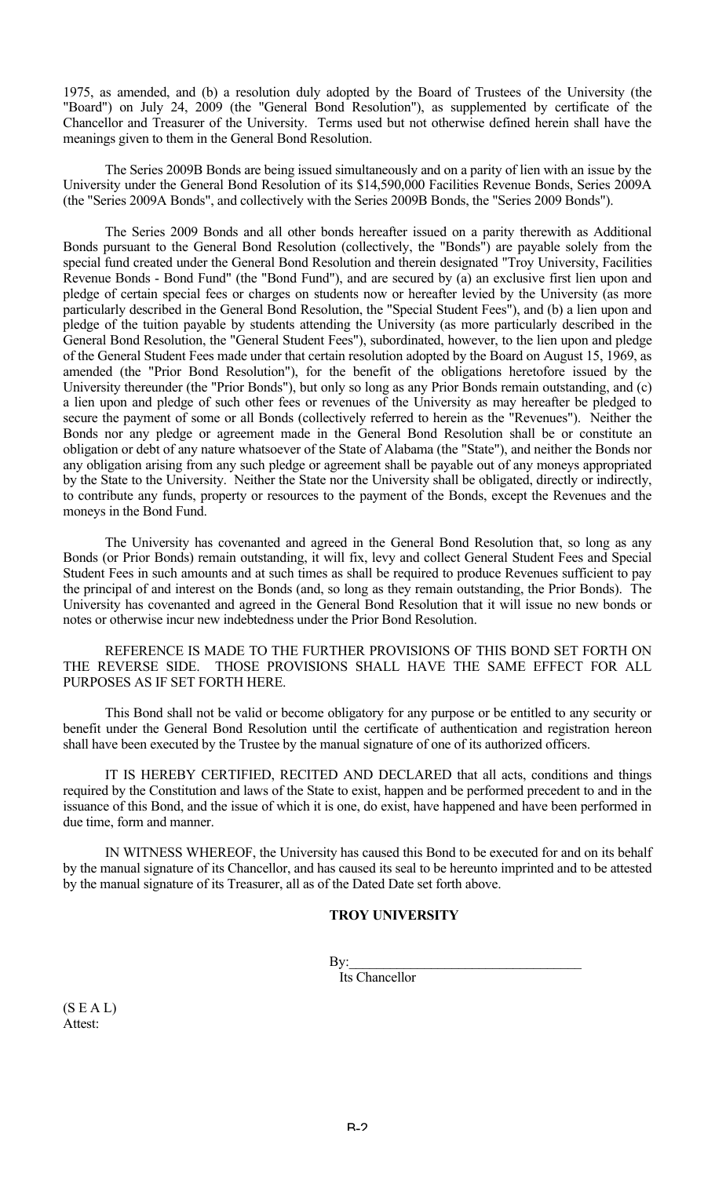1975, as amended, and (b) a resolution duly adopted by the Board of Trustees of the University (the "Board") on July 24, 2009 (the "General Bond Resolution"), as supplemented by certificate of the Chancellor and Treasurer of the University. Terms used but not otherwise defined herein shall have the meanings given to them in the General Bond Resolution.

The Series 2009B Bonds are being issued simultaneously and on a parity of lien with an issue by the University under the General Bond Resolution of its \$14,590,000 Facilities Revenue Bonds, Series 2009A (the "Series 2009A Bonds", and collectively with the Series 2009B Bonds, the "Series 2009 Bonds").

The Series 2009 Bonds and all other bonds hereafter issued on a parity therewith as Additional Bonds pursuant to the General Bond Resolution (collectively, the "Bonds") are payable solely from the special fund created under the General Bond Resolution and therein designated "Troy University, Facilities Revenue Bonds - Bond Fund" (the "Bond Fund"), and are secured by (a) an exclusive first lien upon and pledge of certain special fees or charges on students now or hereafter levied by the University (as more particularly described in the General Bond Resolution, the "Special Student Fees"), and (b) a lien upon and pledge of the tuition payable by students attending the University (as more particularly described in the General Bond Resolution, the "General Student Fees"), subordinated, however, to the lien upon and pledge of the General Student Fees made under that certain resolution adopted by the Board on August 15, 1969, as amended (the "Prior Bond Resolution"), for the benefit of the obligations heretofore issued by the University thereunder (the "Prior Bonds"), but only so long as any Prior Bonds remain outstanding, and (c) a lien upon and pledge of such other fees or revenues of the University as may hereafter be pledged to secure the payment of some or all Bonds (collectively referred to herein as the "Revenues"). Neither the Bonds nor any pledge or agreement made in the General Bond Resolution shall be or constitute an obligation or debt of any nature whatsoever of the State of Alabama (the "State"), and neither the Bonds nor any obligation arising from any such pledge or agreement shall be payable out of any moneys appropriated by the State to the University. Neither the State nor the University shall be obligated, directly or indirectly, to contribute any funds, property or resources to the payment of the Bonds, except the Revenues and the moneys in the Bond Fund.

The University has covenanted and agreed in the General Bond Resolution that, so long as any Bonds (or Prior Bonds) remain outstanding, it will fix, levy and collect General Student Fees and Special Student Fees in such amounts and at such times as shall be required to produce Revenues sufficient to pay the principal of and interest on the Bonds (and, so long as they remain outstanding, the Prior Bonds). The University has covenanted and agreed in the General Bond Resolution that it will issue no new bonds or notes or otherwise incur new indebtedness under the Prior Bond Resolution.

REFERENCE IS MADE TO THE FURTHER PROVISIONS OF THIS BOND SET FORTH ON THE REVERSE SIDE. THOSE PROVISIONS SHALL HAVE THE SAME EFFECT FOR ALL PURPOSES AS IF SET FORTH HERE.

This Bond shall not be valid or become obligatory for any purpose or be entitled to any security or benefit under the General Bond Resolution until the certificate of authentication and registration hereon shall have been executed by the Trustee by the manual signature of one of its authorized officers.

IT IS HEREBY CERTIFIED, RECITED AND DECLARED that all acts, conditions and things required by the Constitution and laws of the State to exist, happen and be performed precedent to and in the issuance of this Bond, and the issue of which it is one, do exist, have happened and have been performed in due time, form and manner.

IN WITNESS WHEREOF, the University has caused this Bond to be executed for and on its behalf by the manual signature of its Chancellor, and has caused its seal to be hereunto imprinted and to be attested by the manual signature of its Treasurer, all as of the Dated Date set forth above.

# **TROY UNIVERSITY**

 $\mathbf{By:}$ 

Its Chancellor

 $(S E A L)$ Attest: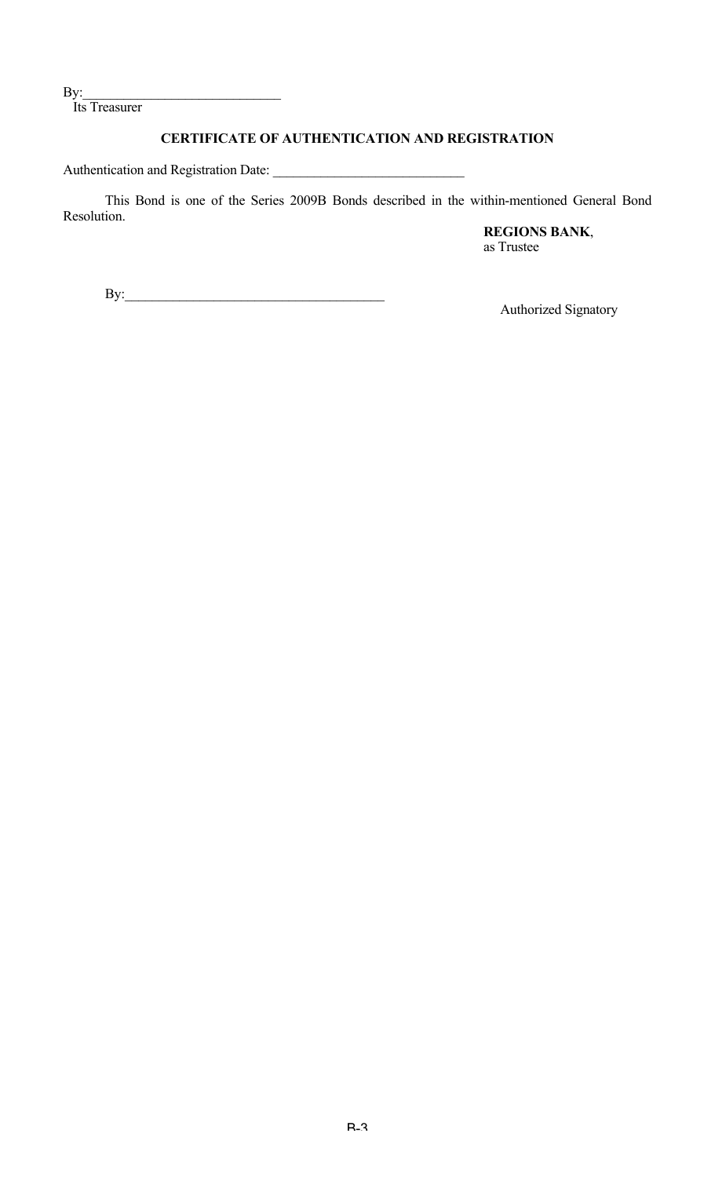$By:$ 

Its Treasurer

# **CERTIFICATE OF AUTHENTICATION AND REGISTRATION**

Authentication and Registration Date: \_\_\_\_\_\_\_\_\_\_\_\_\_\_\_\_\_\_\_\_\_\_\_\_\_\_\_\_

This Bond is one of the Series 2009B Bonds described in the within-mentioned General Bond Resolution.

> **REGIONS BANK**, as Trustee

By:\_\_\_\_\_\_\_\_\_\_\_\_\_\_\_\_\_\_\_\_\_\_\_\_\_\_\_\_\_\_\_\_\_\_\_\_\_\_

Authorized Signatory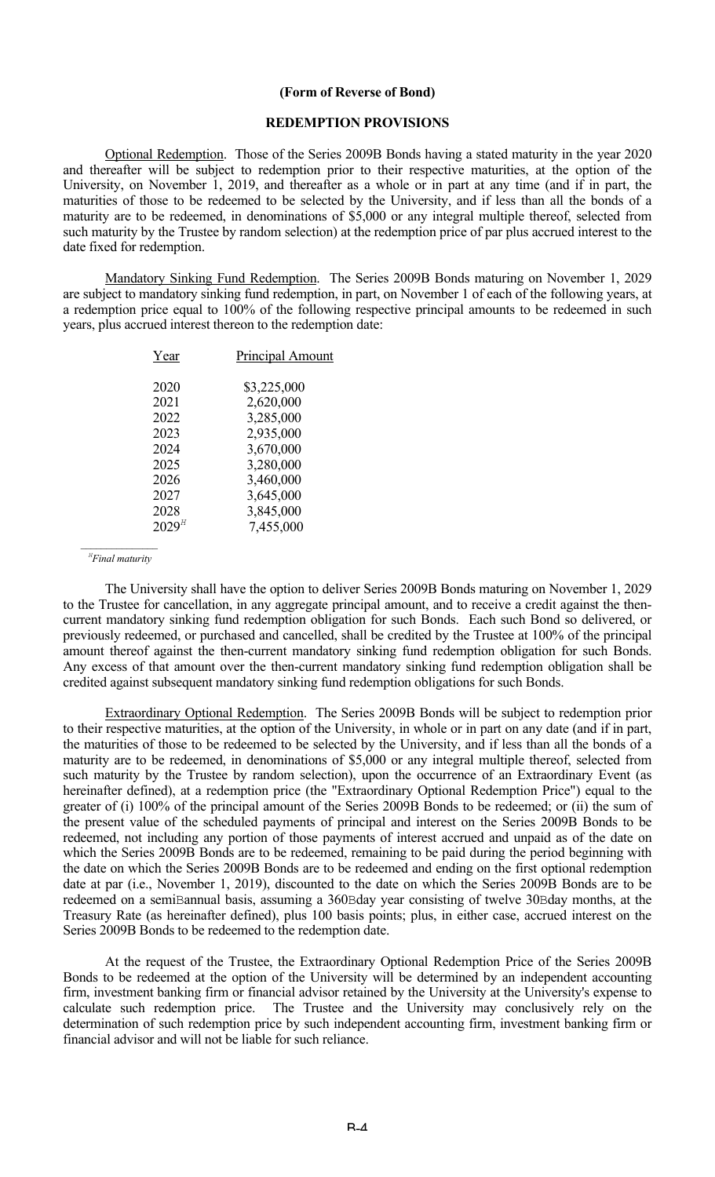#### **(Form of Reverse of Bond)**

#### **REDEMPTION PROVISIONS**

Optional Redemption. Those of the Series 2009B Bonds having a stated maturity in the year 2020 and thereafter will be subject to redemption prior to their respective maturities, at the option of the University, on November 1, 2019, and thereafter as a whole or in part at any time (and if in part, the maturities of those to be redeemed to be selected by the University, and if less than all the bonds of a maturity are to be redeemed, in denominations of \$5,000 or any integral multiple thereof, selected from such maturity by the Trustee by random selection) at the redemption price of par plus accrued interest to the date fixed for redemption.

Mandatory Sinking Fund Redemption. The Series 2009B Bonds maturing on November 1, 2029 are subject to mandatory sinking fund redemption, in part, on November 1 of each of the following years, at a redemption price equal to 100% of the following respective principal amounts to be redeemed in such years, plus accrued interest thereon to the redemption date:

| Year       | Principal Amount |
|------------|------------------|
| 2020       | \$3,225,000      |
| 2021       | 2,620,000        |
| 2022       | 3,285,000        |
| 2023       | 2,935,000        |
| 2024       | 3,670,000        |
| 2025       | 3,280,000        |
| 2026       | 3,460,000        |
| 2027       | 3,645,000        |
| 2028       | 3,845,000        |
| $2029^{H}$ | 7,455,000        |
|            |                  |

 *<sup>H</sup> Final maturity*

The University shall have the option to deliver Series 2009B Bonds maturing on November 1, 2029 to the Trustee for cancellation, in any aggregate principal amount, and to receive a credit against the thencurrent mandatory sinking fund redemption obligation for such Bonds. Each such Bond so delivered, or previously redeemed, or purchased and cancelled, shall be credited by the Trustee at 100% of the principal amount thereof against the then-current mandatory sinking fund redemption obligation for such Bonds. Any excess of that amount over the then-current mandatory sinking fund redemption obligation shall be credited against subsequent mandatory sinking fund redemption obligations for such Bonds.

Extraordinary Optional Redemption. The Series 2009B Bonds will be subject to redemption prior to their respective maturities, at the option of the University, in whole or in part on any date (and if in part, the maturities of those to be redeemed to be selected by the University, and if less than all the bonds of a maturity are to be redeemed, in denominations of \$5,000 or any integral multiple thereof, selected from such maturity by the Trustee by random selection), upon the occurrence of an Extraordinary Event (as hereinafter defined), at a redemption price (the "Extraordinary Optional Redemption Price") equal to the greater of (i) 100% of the principal amount of the Series 2009B Bonds to be redeemed; or (ii) the sum of the present value of the scheduled payments of principal and interest on the Series 2009B Bonds to be redeemed, not including any portion of those payments of interest accrued and unpaid as of the date on which the Series 2009B Bonds are to be redeemed, remaining to be paid during the period beginning with the date on which the Series 2009B Bonds are to be redeemed and ending on the first optional redemption date at par (i.e., November 1, 2019), discounted to the date on which the Series 2009B Bonds are to be redeemed on a semiBannual basis, assuming a 360Bday year consisting of twelve 30Bday months, at the Treasury Rate (as hereinafter defined), plus 100 basis points; plus, in either case, accrued interest on the Series 2009B Bonds to be redeemed to the redemption date.

At the request of the Trustee, the Extraordinary Optional Redemption Price of the Series 2009B Bonds to be redeemed at the option of the University will be determined by an independent accounting firm, investment banking firm or financial advisor retained by the University at the University's expense to calculate such redemption price. The Trustee and the University may conclusively rely on the determination of such redemption price by such independent accounting firm, investment banking firm or financial advisor and will not be liable for such reliance.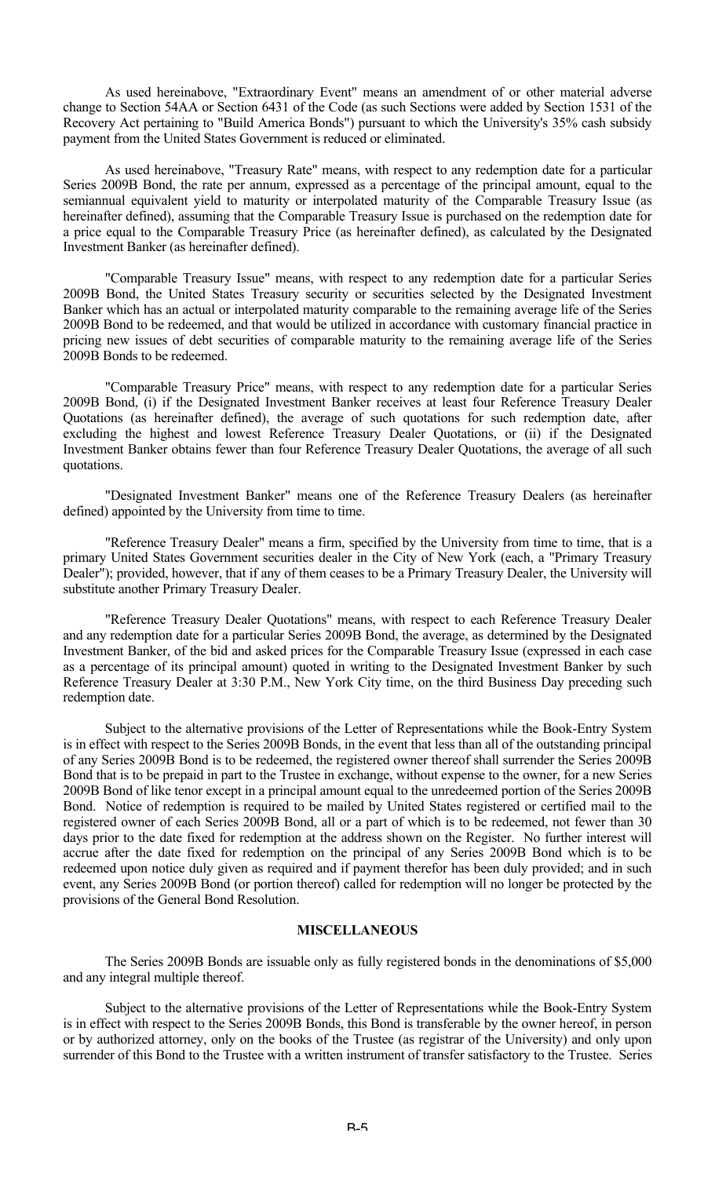As used hereinabove, "Extraordinary Event" means an amendment of or other material adverse change to Section 54AA or Section 6431 of the Code (as such Sections were added by Section 1531 of the Recovery Act pertaining to "Build America Bonds") pursuant to which the University's 35% cash subsidy payment from the United States Government is reduced or eliminated.

As used hereinabove, "Treasury Rate" means, with respect to any redemption date for a particular Series 2009B Bond, the rate per annum, expressed as a percentage of the principal amount, equal to the semiannual equivalent yield to maturity or interpolated maturity of the Comparable Treasury Issue (as hereinafter defined), assuming that the Comparable Treasury Issue is purchased on the redemption date for a price equal to the Comparable Treasury Price (as hereinafter defined), as calculated by the Designated Investment Banker (as hereinafter defined).

"Comparable Treasury Issue" means, with respect to any redemption date for a particular Series 2009B Bond, the United States Treasury security or securities selected by the Designated Investment Banker which has an actual or interpolated maturity comparable to the remaining average life of the Series 2009B Bond to be redeemed, and that would be utilized in accordance with customary financial practice in pricing new issues of debt securities of comparable maturity to the remaining average life of the Series 2009B Bonds to be redeemed.

"Comparable Treasury Price" means, with respect to any redemption date for a particular Series 2009B Bond, (i) if the Designated Investment Banker receives at least four Reference Treasury Dealer Quotations (as hereinafter defined), the average of such quotations for such redemption date, after excluding the highest and lowest Reference Treasury Dealer Quotations, or (ii) if the Designated Investment Banker obtains fewer than four Reference Treasury Dealer Quotations, the average of all such quotations.

"Designated Investment Banker" means one of the Reference Treasury Dealers (as hereinafter defined) appointed by the University from time to time.

"Reference Treasury Dealer" means a firm, specified by the University from time to time, that is a primary United States Government securities dealer in the City of New York (each, a "Primary Treasury Dealer"); provided, however, that if any of them ceases to be a Primary Treasury Dealer, the University will substitute another Primary Treasury Dealer.

"Reference Treasury Dealer Quotations" means, with respect to each Reference Treasury Dealer and any redemption date for a particular Series 2009B Bond, the average, as determined by the Designated Investment Banker, of the bid and asked prices for the Comparable Treasury Issue (expressed in each case as a percentage of its principal amount) quoted in writing to the Designated Investment Banker by such Reference Treasury Dealer at 3:30 P.M., New York City time, on the third Business Day preceding such redemption date.

Subject to the alternative provisions of the Letter of Representations while the Book-Entry System is in effect with respect to the Series 2009B Bonds, in the event that less than all of the outstanding principal of any Series 2009B Bond is to be redeemed, the registered owner thereof shall surrender the Series 2009B Bond that is to be prepaid in part to the Trustee in exchange, without expense to the owner, for a new Series 2009B Bond of like tenor except in a principal amount equal to the unredeemed portion of the Series 2009B Bond. Notice of redemption is required to be mailed by United States registered or certified mail to the registered owner of each Series 2009B Bond, all or a part of which is to be redeemed, not fewer than 30 days prior to the date fixed for redemption at the address shown on the Register. No further interest will accrue after the date fixed for redemption on the principal of any Series 2009B Bond which is to be redeemed upon notice duly given as required and if payment therefor has been duly provided; and in such event, any Series 2009B Bond (or portion thereof) called for redemption will no longer be protected by the provisions of the General Bond Resolution.

## **MISCELLANEOUS**

The Series 2009B Bonds are issuable only as fully registered bonds in the denominations of \$5,000 and any integral multiple thereof.

Subject to the alternative provisions of the Letter of Representations while the Book-Entry System is in effect with respect to the Series 2009B Bonds, this Bond is transferable by the owner hereof, in person or by authorized attorney, only on the books of the Trustee (as registrar of the University) and only upon surrender of this Bond to the Trustee with a written instrument of transfer satisfactory to the Trustee. Series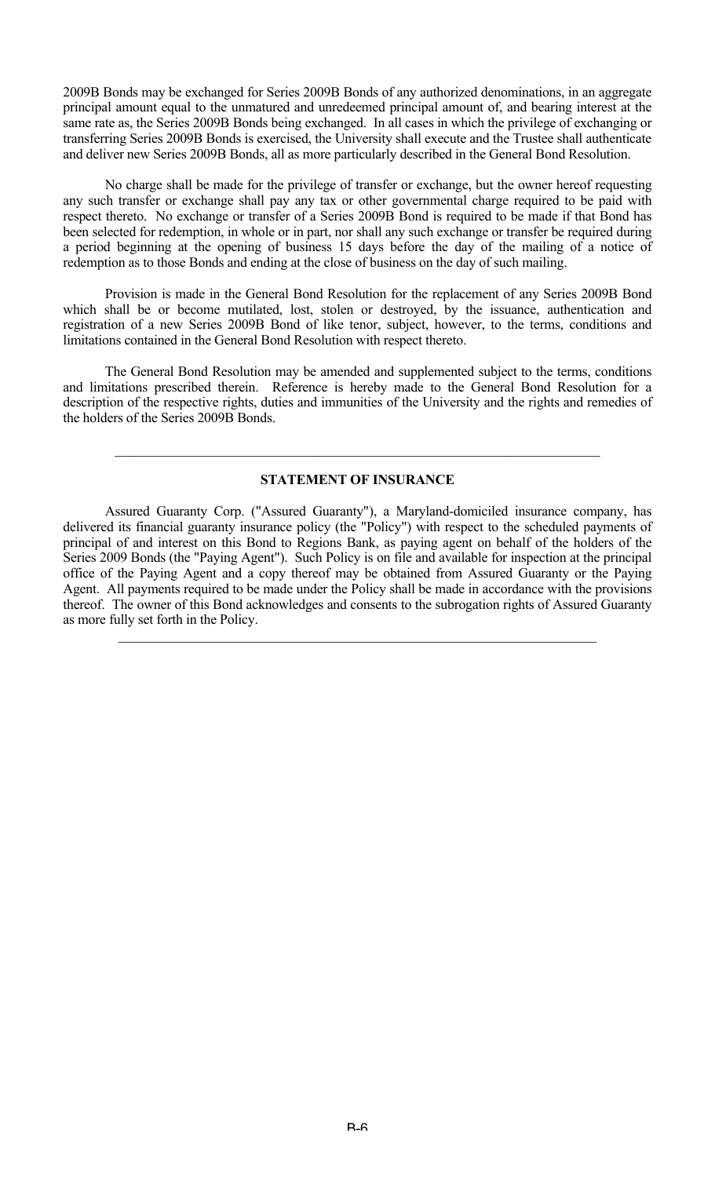2009B Bonds may be exchanged for Series 2009B Bonds of any authorized denominations, in an aggregate principal amount equal to the unmatured and unredeemed principal amount of, and bearing interest at the same rate as, the Series 2009B Bonds being exchanged. In all cases in which the privilege of exchanging or transferring Series 2009B Bonds is exercised, the University shall execute and the Trustee shall authenticate and deliver new Series 2009B Bonds, all as more particularly described in the General Bond Resolution.

No charge shall be made for the privilege of transfer or exchange, but the owner hereof requesting any such transfer or exchange shall pay any tax or other governmental charge required to be paid with respect thereto. No exchange or transfer of a Series 2009B Bond is required to be made if that Bond has been selected for redemption, in whole or in part, nor shall any such exchange or transfer be required during a period beginning at the opening of business 15 days before the day of the mailing of a notice of redemption as to those Bonds and ending at the close of business on the day of such mailing.

Provision is made in the General Bond Resolution for the replacement of any Series 2009B Bond which shall be or become mutilated, lost, stolen or destroyed, by the issuance, authentication and registration of a new Series 2009B Bond of like tenor, subject, however, to the terms, conditions and limitations contained in the General Bond Resolution with respect thereto.

The General Bond Resolution may be amended and supplemented subject to the terms, conditions and limitations prescribed therein. Reference is hereby made to the General Bond Resolution for a description of the respective rights, duties and immunities of the University and the rights and remedies of the holders of the Series 2009B Bonds.

## **STATEMENT OF INSURANCE**

 $\mathcal{L}_\mathcal{L} = \mathcal{L}_\mathcal{L} = \mathcal{L}_\mathcal{L} = \mathcal{L}_\mathcal{L} = \mathcal{L}_\mathcal{L} = \mathcal{L}_\mathcal{L} = \mathcal{L}_\mathcal{L} = \mathcal{L}_\mathcal{L} = \mathcal{L}_\mathcal{L} = \mathcal{L}_\mathcal{L} = \mathcal{L}_\mathcal{L} = \mathcal{L}_\mathcal{L} = \mathcal{L}_\mathcal{L} = \mathcal{L}_\mathcal{L} = \mathcal{L}_\mathcal{L} = \mathcal{L}_\mathcal{L} = \mathcal{L}_\mathcal{L}$ 

Assured Guaranty Corp. ("Assured Guaranty"), a Maryland-domiciled insurance company, has delivered its financial guaranty insurance policy (the "Policy") with respect to the scheduled payments of principal of and interest on this Bond to Regions Bank, as paying agent on behalf of the holders of the Series 2009 Bonds (the "Paying Agent"). Such Policy is on file and available for inspection at the principal office of the Paying Agent and a copy thereof may be obtained from Assured Guaranty or the Paying Agent. All payments required to be made under the Policy shall be made in accordance with the provisions thereof. The owner of this Bond acknowledges and consents to the subrogation rights of Assured Guaranty as more fully set forth in the Policy.

 $\mathcal{L}_\mathcal{L} = \{ \mathcal{L}_\mathcal{L} = \{ \mathcal{L}_\mathcal{L} = \{ \mathcal{L}_\mathcal{L} = \{ \mathcal{L}_\mathcal{L} = \{ \mathcal{L}_\mathcal{L} = \{ \mathcal{L}_\mathcal{L} = \{ \mathcal{L}_\mathcal{L} = \{ \mathcal{L}_\mathcal{L} = \{ \mathcal{L}_\mathcal{L} = \{ \mathcal{L}_\mathcal{L} = \{ \mathcal{L}_\mathcal{L} = \{ \mathcal{L}_\mathcal{L} = \{ \mathcal{L}_\mathcal{L} = \{ \mathcal{L}_\mathcal{$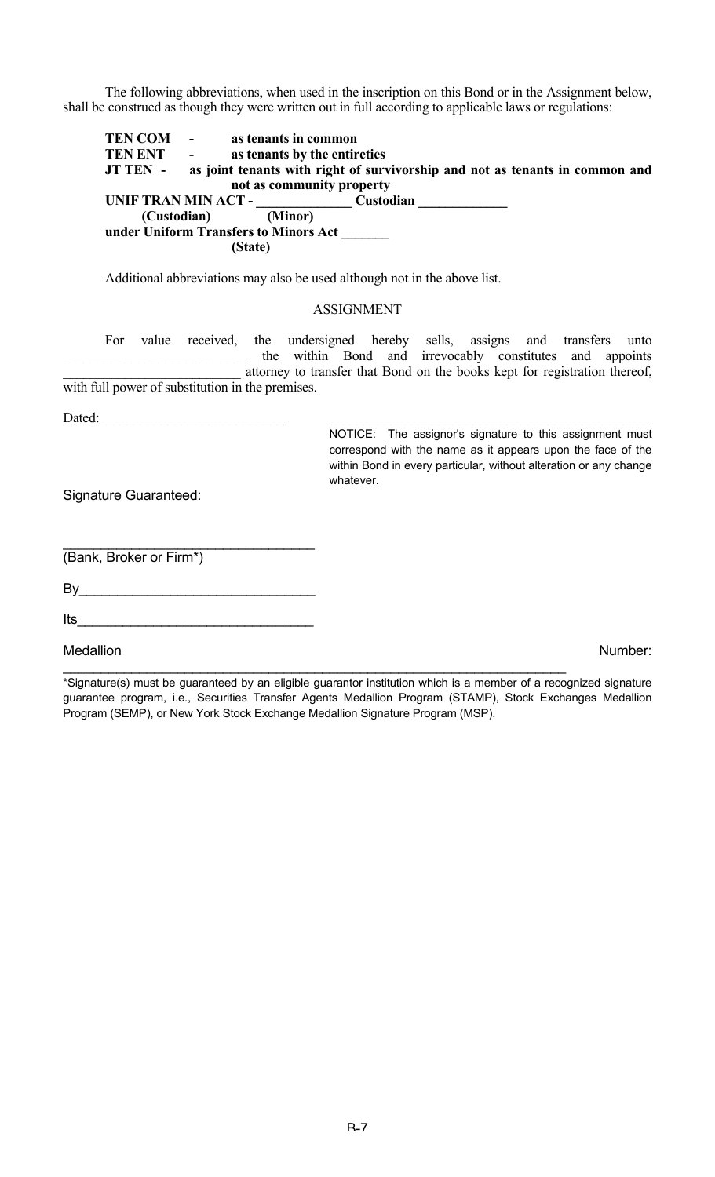The following abbreviations, when used in the inscription on this Bond or in the Assignment below, shall be construed as though they were written out in full according to applicable laws or regulations:

**TEN COM** - **as tenants in common<br>
<b>TEN ENT** - **as tenants by the entir** as tenants by the entireties **JT TEN - as joint tenants with right of survivorship and not as tenants in common and not as community property UNIF TRAN MIN ACT - \_\_\_\_\_\_\_\_\_\_\_\_\_\_ Custodian \_\_\_\_\_\_\_\_\_\_\_\_\_ (Custodian) under Uniform Transfers to Minors Act \_\_\_\_\_\_\_ (State)**

Additional abbreviations may also be used although not in the above list.

#### ASSIGNMENT

For value received, the undersigned hereby sells, assigns and transfers unto the within Bond and irrevocably constitutes and appoints attorney to transfer that Bond on the books kept for registration thereof, with full power of substitution in the premises.

Dated:

NOTICE: The assignor's signature to this assignment must correspond with the name as it appears upon the face of the within Bond in every particular, without alteration or any change whatever.

Signature Guaranteed:

(Bank, Broker or Firm\*)

 $\mathsf{By} \hspace{2em} \rule{2.5em}{0.4em}$ 

 $\mathcal{L}_\text{max}$  , where  $\mathcal{L}_\text{max}$  and  $\mathcal{L}_\text{max}$  and  $\mathcal{L}_\text{max}$ 

 $Its$ 

Medallion **Number:** Number: Number: Number: Number: Number: Number: Number: Number: Number: Number: Number: Number: Number: Number: Number: Number: Number: Number: Number: Number: Number: Number: Number: Number: Number: Nu

\*Signature(s) must be guaranteed by an eligible guarantor institution which is a member of a recognized signature guarantee program, i.e., Securities Transfer Agents Medallion Program (STAMP), Stock Exchanges Medallion Program (SEMP), or New York Stock Exchange Medallion Signature Program (MSP).

 $\mathcal{L}_\text{max} = \mathcal{L}_\text{max} = \mathcal{L}_\text{max} = \mathcal{L}_\text{max} = \mathcal{L}_\text{max} = \mathcal{L}_\text{max} = \mathcal{L}_\text{max} = \mathcal{L}_\text{max} = \mathcal{L}_\text{max} = \mathcal{L}_\text{max} = \mathcal{L}_\text{max} = \mathcal{L}_\text{max} = \mathcal{L}_\text{max} = \mathcal{L}_\text{max} = \mathcal{L}_\text{max} = \mathcal{L}_\text{max} = \mathcal{L}_\text{max} = \mathcal{L}_\text{max} = \mathcal{$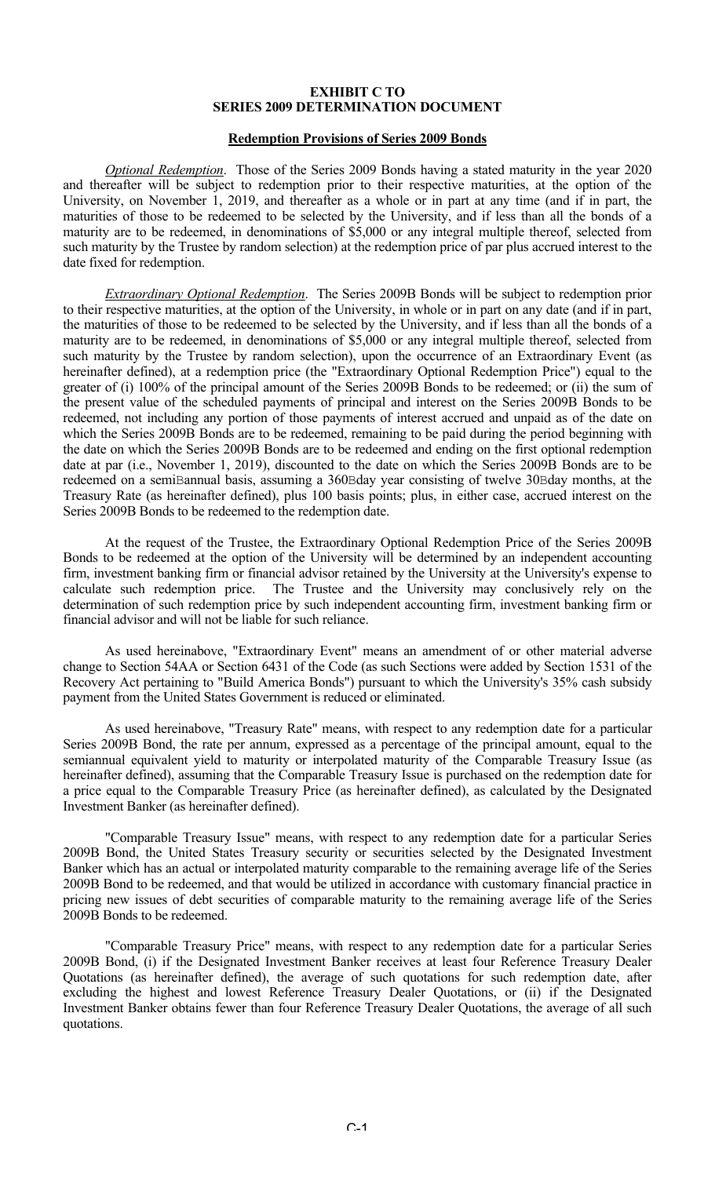#### **EXHIBIT C TO SERIES 2009 DETERMINATION DOCUMENT**

#### **Redemption Provisions of Series 2009 Bonds**

*Optional Redemption*. Those of the Series 2009 Bonds having a stated maturity in the year 2020 and thereafter will be subject to redemption prior to their respective maturities, at the option of the University, on November 1, 2019, and thereafter as a whole or in part at any time (and if in part, the maturities of those to be redeemed to be selected by the University, and if less than all the bonds of a maturity are to be redeemed, in denominations of \$5,000 or any integral multiple thereof, selected from such maturity by the Trustee by random selection) at the redemption price of par plus accrued interest to the date fixed for redemption.

*Extraordinary Optional Redemption*. The Series 2009B Bonds will be subject to redemption prior to their respective maturities, at the option of the University, in whole or in part on any date (and if in part, the maturities of those to be redeemed to be selected by the University, and if less than all the bonds of a maturity are to be redeemed, in denominations of \$5,000 or any integral multiple thereof, selected from such maturity by the Trustee by random selection), upon the occurrence of an Extraordinary Event (as hereinafter defined), at a redemption price (the "Extraordinary Optional Redemption Price") equal to the greater of (i) 100% of the principal amount of the Series 2009B Bonds to be redeemed; or (ii) the sum of the present value of the scheduled payments of principal and interest on the Series 2009B Bonds to be redeemed, not including any portion of those payments of interest accrued and unpaid as of the date on which the Series 2009B Bonds are to be redeemed, remaining to be paid during the period beginning with the date on which the Series 2009B Bonds are to be redeemed and ending on the first optional redemption date at par (i.e., November 1, 2019), discounted to the date on which the Series 2009B Bonds are to be redeemed on a semiBannual basis, assuming a 360Bday year consisting of twelve 30Bday months, at the Treasury Rate (as hereinafter defined), plus 100 basis points; plus, in either case, accrued interest on the Series 2009B Bonds to be redeemed to the redemption date.

At the request of the Trustee, the Extraordinary Optional Redemption Price of the Series 2009B Bonds to be redeemed at the option of the University will be determined by an independent accounting firm, investment banking firm or financial advisor retained by the University at the University's expense to calculate such redemption price. The Trustee and the University may conclusively rely on the determination of such redemption price by such independent accounting firm, investment banking firm or financial advisor and will not be liable for such reliance.

As used hereinabove, "Extraordinary Event" means an amendment of or other material adverse change to Section 54AA or Section 6431 of the Code (as such Sections were added by Section 1531 of the Recovery Act pertaining to "Build America Bonds") pursuant to which the University's 35% cash subsidy payment from the United States Government is reduced or eliminated.

As used hereinabove, "Treasury Rate" means, with respect to any redemption date for a particular Series 2009B Bond, the rate per annum, expressed as a percentage of the principal amount, equal to the semiannual equivalent yield to maturity or interpolated maturity of the Comparable Treasury Issue (as hereinafter defined), assuming that the Comparable Treasury Issue is purchased on the redemption date for a price equal to the Comparable Treasury Price (as hereinafter defined), as calculated by the Designated Investment Banker (as hereinafter defined).

"Comparable Treasury Issue" means, with respect to any redemption date for a particular Series 2009B Bond, the United States Treasury security or securities selected by the Designated Investment Banker which has an actual or interpolated maturity comparable to the remaining average life of the Series 2009B Bond to be redeemed, and that would be utilized in accordance with customary financial practice in pricing new issues of debt securities of comparable maturity to the remaining average life of the Series 2009B Bonds to be redeemed.

"Comparable Treasury Price" means, with respect to any redemption date for a particular Series 2009B Bond, (i) if the Designated Investment Banker receives at least four Reference Treasury Dealer Quotations (as hereinafter defined), the average of such quotations for such redemption date, after excluding the highest and lowest Reference Treasury Dealer Quotations, or (ii) if the Designated Investment Banker obtains fewer than four Reference Treasury Dealer Quotations, the average of all such quotations.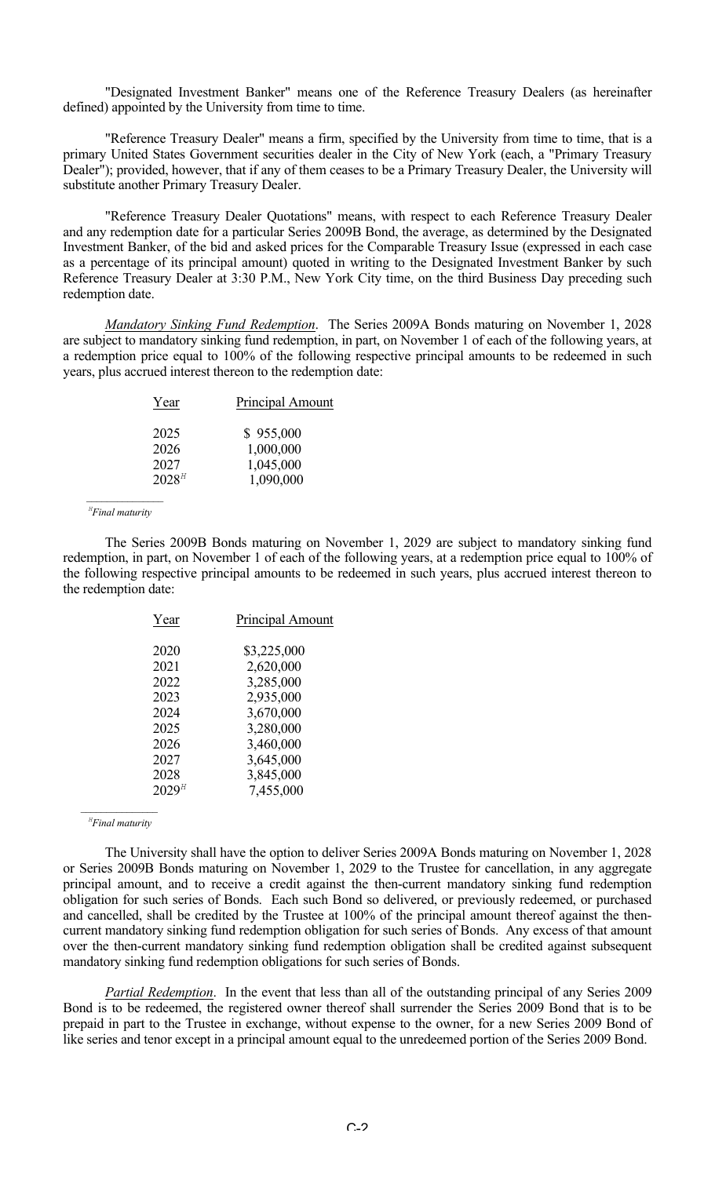"Designated Investment Banker" means one of the Reference Treasury Dealers (as hereinafter defined) appointed by the University from time to time.

"Reference Treasury Dealer" means a firm, specified by the University from time to time, that is a primary United States Government securities dealer in the City of New York (each, a "Primary Treasury Dealer"); provided, however, that if any of them ceases to be a Primary Treasury Dealer, the University will substitute another Primary Treasury Dealer.

"Reference Treasury Dealer Quotations" means, with respect to each Reference Treasury Dealer and any redemption date for a particular Series 2009B Bond, the average, as determined by the Designated Investment Banker, of the bid and asked prices for the Comparable Treasury Issue (expressed in each case as a percentage of its principal amount) quoted in writing to the Designated Investment Banker by such Reference Treasury Dealer at 3:30 P.M., New York City time, on the third Business Day preceding such redemption date.

*Mandatory Sinking Fund Redemption*. The Series 2009A Bonds maturing on November 1, 2028 are subject to mandatory sinking fund redemption, in part, on November 1 of each of the following years, at a redemption price equal to 100% of the following respective principal amounts to be redeemed in such years, plus accrued interest thereon to the redemption date:

| Year       | <b>Principal Amount</b> |
|------------|-------------------------|
| 2025       | \$955,000               |
| 2026       | 1,000,000               |
| 2027       | 1,045,000               |
| $2028^{H}$ | 1,090,000               |
|            |                         |

 *<sup>H</sup> Final maturity*

The Series 2009B Bonds maturing on November 1, 2029 are subject to mandatory sinking fund redemption, in part, on November 1 of each of the following years, at a redemption price equal to 100% of the following respective principal amounts to be redeemed in such years, plus accrued interest thereon to the redemption date:

| Year       | Principal Amount |
|------------|------------------|
| 2020       | \$3,225,000      |
| 2021       | 2,620,000        |
| 2022       | 3,285,000        |
| 2023       | 2,935,000        |
| 2024       | 3,670,000        |
| 2025       | 3,280,000        |
| 2026       | 3,460,000        |
| 2027       | 3,645,000        |
| 2028       | 3,845,000        |
| $2029^{H}$ | 7,455,000        |
|            |                  |

 *<sup>H</sup> Final maturity*

The University shall have the option to deliver Series 2009A Bonds maturing on November 1, 2028 or Series 2009B Bonds maturing on November 1, 2029 to the Trustee for cancellation, in any aggregate principal amount, and to receive a credit against the then-current mandatory sinking fund redemption obligation for such series of Bonds. Each such Bond so delivered, or previously redeemed, or purchased and cancelled, shall be credited by the Trustee at 100% of the principal amount thereof against the thencurrent mandatory sinking fund redemption obligation for such series of Bonds. Any excess of that amount over the then-current mandatory sinking fund redemption obligation shall be credited against subsequent mandatory sinking fund redemption obligations for such series of Bonds.

*Partial Redemption*. In the event that less than all of the outstanding principal of any Series 2009 Bond is to be redeemed, the registered owner thereof shall surrender the Series 2009 Bond that is to be prepaid in part to the Trustee in exchange, without expense to the owner, for a new Series 2009 Bond of like series and tenor except in a principal amount equal to the unredeemed portion of the Series 2009 Bond.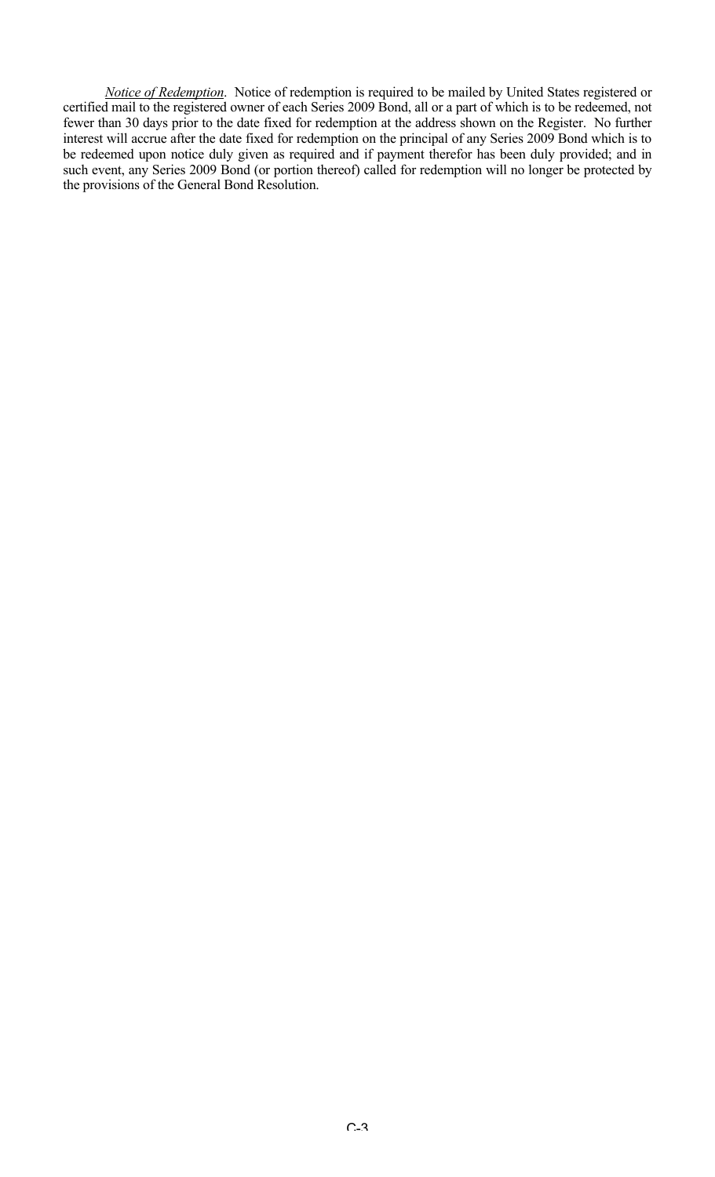*Notice of Redemption*. Notice of redemption is required to be mailed by United States registered or certified mail to the registered owner of each Series 2009 Bond, all or a part of which is to be redeemed, not fewer than 30 days prior to the date fixed for redemption at the address shown on the Register. No further interest will accrue after the date fixed for redemption on the principal of any Series 2009 Bond which is to be redeemed upon notice duly given as required and if payment therefor has been duly provided; and in such event, any Series 2009 Bond (or portion thereof) called for redemption will no longer be protected by the provisions of the General Bond Resolution.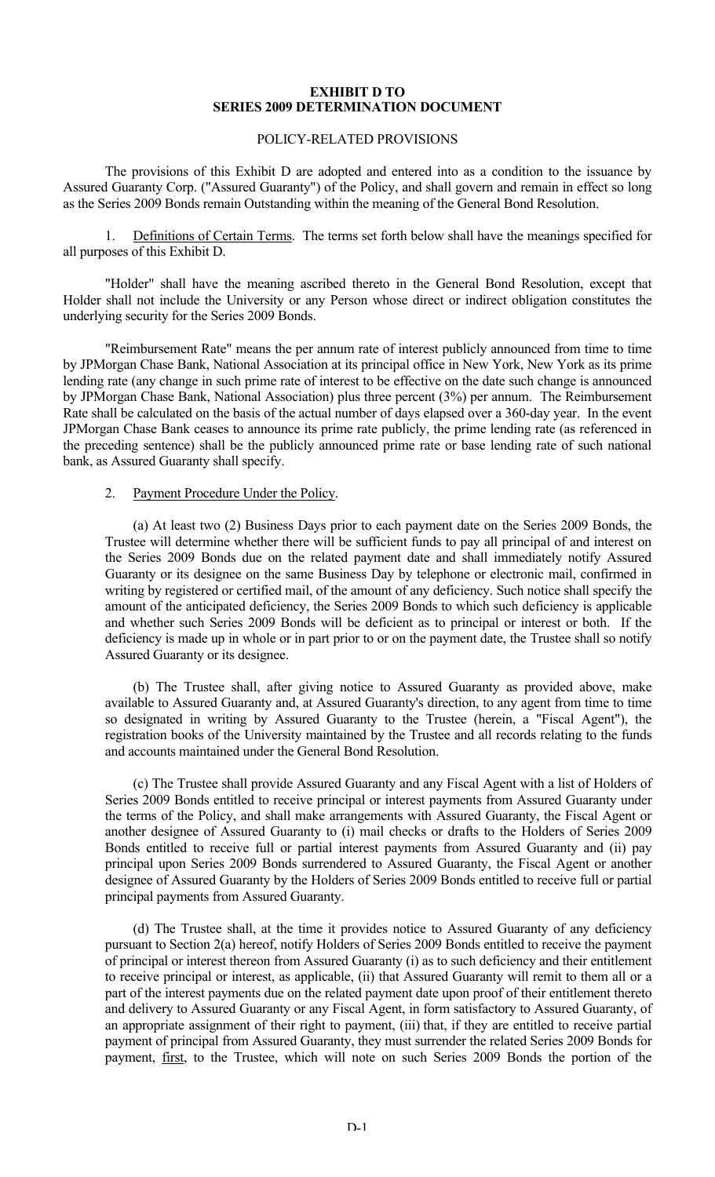#### **EXHIBIT D TO SERIES 2009 DETERMINATION DOCUMENT**

# POLICY-RELATED PROVISIONS

The provisions of this Exhibit D are adopted and entered into as a condition to the issuance by Assured Guaranty Corp. ("Assured Guaranty") of the Policy, and shall govern and remain in effect so long as the Series 2009 Bonds remain Outstanding within the meaning of the General Bond Resolution.

1. Definitions of Certain Terms. The terms set forth below shall have the meanings specified for all purposes of this Exhibit D.

"Holder" shall have the meaning ascribed thereto in the General Bond Resolution, except that Holder shall not include the University or any Person whose direct or indirect obligation constitutes the underlying security for the Series 2009 Bonds.

"Reimbursement Rate" means the per annum rate of interest publicly announced from time to time by JPMorgan Chase Bank, National Association at its principal office in New York, New York as its prime lending rate (any change in such prime rate of interest to be effective on the date such change is announced by JPMorgan Chase Bank, National Association) plus three percent (3%) per annum. The Reimbursement Rate shall be calculated on the basis of the actual number of days elapsed over a 360-day year. In the event JPMorgan Chase Bank ceases to announce its prime rate publicly, the prime lending rate (as referenced in the preceding sentence) shall be the publicly announced prime rate or base lending rate of such national bank, as Assured Guaranty shall specify.

## 2. Payment Procedure Under the Policy.

(a) At least two (2) Business Days prior to each payment date on the Series 2009 Bonds, the Trustee will determine whether there will be sufficient funds to pay all principal of and interest on the Series 2009 Bonds due on the related payment date and shall immediately notify Assured Guaranty or its designee on the same Business Day by telephone or electronic mail, confirmed in writing by registered or certified mail, of the amount of any deficiency. Such notice shall specify the amount of the anticipated deficiency, the Series 2009 Bonds to which such deficiency is applicable and whether such Series 2009 Bonds will be deficient as to principal or interest or both. If the deficiency is made up in whole or in part prior to or on the payment date, the Trustee shall so notify Assured Guaranty or its designee.

(b) The Trustee shall, after giving notice to Assured Guaranty as provided above, make available to Assured Guaranty and, at Assured Guaranty's direction, to any agent from time to time so designated in writing by Assured Guaranty to the Trustee (herein, a "Fiscal Agent"), the registration books of the University maintained by the Trustee and all records relating to the funds and accounts maintained under the General Bond Resolution.

(c) The Trustee shall provide Assured Guaranty and any Fiscal Agent with a list of Holders of Series 2009 Bonds entitled to receive principal or interest payments from Assured Guaranty under the terms of the Policy, and shall make arrangements with Assured Guaranty, the Fiscal Agent or another designee of Assured Guaranty to (i) mail checks or drafts to the Holders of Series 2009 Bonds entitled to receive full or partial interest payments from Assured Guaranty and (ii) pay principal upon Series 2009 Bonds surrendered to Assured Guaranty, the Fiscal Agent or another designee of Assured Guaranty by the Holders of Series 2009 Bonds entitled to receive full or partial principal payments from Assured Guaranty.

(d) The Trustee shall, at the time it provides notice to Assured Guaranty of any deficiency pursuant to Section 2(a) hereof, notify Holders of Series 2009 Bonds entitled to receive the payment of principal or interest thereon from Assured Guaranty (i) as to such deficiency and their entitlement to receive principal or interest, as applicable, (ii) that Assured Guaranty will remit to them all or a part of the interest payments due on the related payment date upon proof of their entitlement thereto and delivery to Assured Guaranty or any Fiscal Agent, in form satisfactory to Assured Guaranty, of an appropriate assignment of their right to payment, (iii) that, if they are entitled to receive partial payment of principal from Assured Guaranty, they must surrender the related Series 2009 Bonds for payment, first, to the Trustee, which will note on such Series 2009 Bonds the portion of the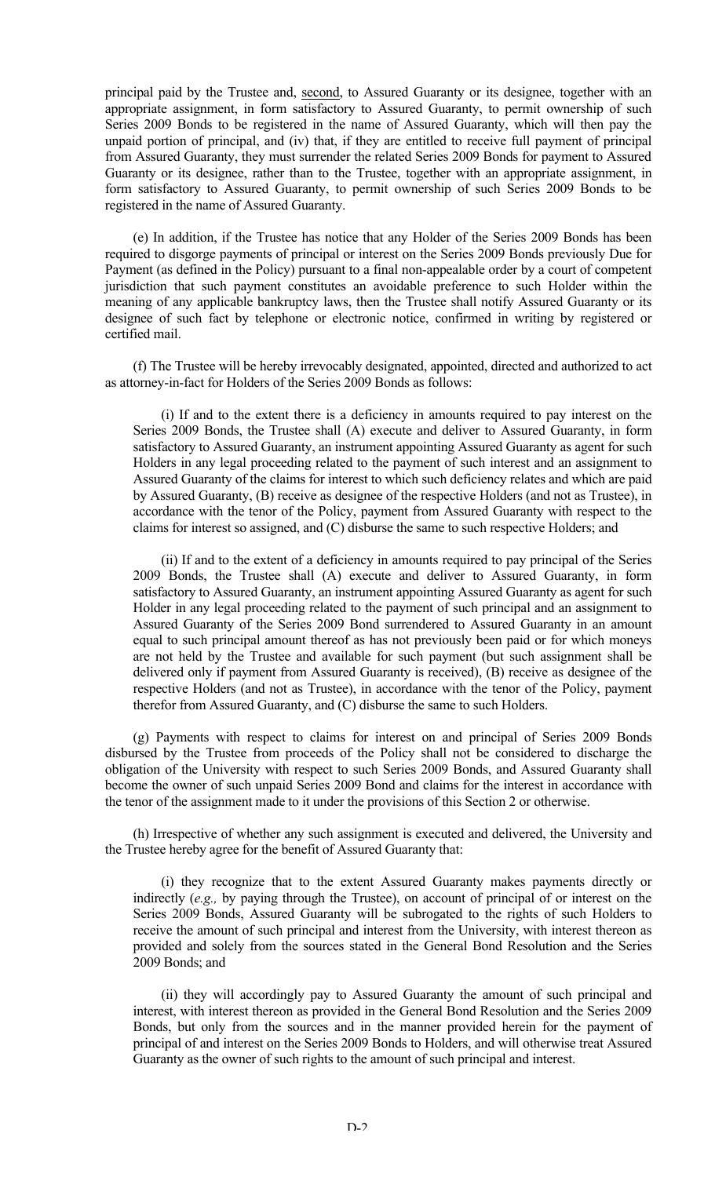principal paid by the Trustee and, second, to Assured Guaranty or its designee, together with an appropriate assignment, in form satisfactory to Assured Guaranty, to permit ownership of such Series 2009 Bonds to be registered in the name of Assured Guaranty, which will then pay the unpaid portion of principal, and (iv) that, if they are entitled to receive full payment of principal from Assured Guaranty, they must surrender the related Series 2009 Bonds for payment to Assured Guaranty or its designee, rather than to the Trustee, together with an appropriate assignment, in form satisfactory to Assured Guaranty, to permit ownership of such Series 2009 Bonds to be registered in the name of Assured Guaranty.

(e) In addition, if the Trustee has notice that any Holder of the Series 2009 Bonds has been required to disgorge payments of principal or interest on the Series 2009 Bonds previously Due for Payment (as defined in the Policy) pursuant to a final non-appealable order by a court of competent jurisdiction that such payment constitutes an avoidable preference to such Holder within the meaning of any applicable bankruptcy laws, then the Trustee shall notify Assured Guaranty or its designee of such fact by telephone or electronic notice, confirmed in writing by registered or certified mail.

(f) The Trustee will be hereby irrevocably designated, appointed, directed and authorized to act as attorney-in-fact for Holders of the Series 2009 Bonds as follows:

(i) If and to the extent there is a deficiency in amounts required to pay interest on the Series 2009 Bonds, the Trustee shall (A) execute and deliver to Assured Guaranty, in form satisfactory to Assured Guaranty, an instrument appointing Assured Guaranty as agent for such Holders in any legal proceeding related to the payment of such interest and an assignment to Assured Guaranty of the claims for interest to which such deficiency relates and which are paid by Assured Guaranty, (B) receive as designee of the respective Holders (and not as Trustee), in accordance with the tenor of the Policy, payment from Assured Guaranty with respect to the claims for interest so assigned, and (C) disburse the same to such respective Holders; and

(ii) If and to the extent of a deficiency in amounts required to pay principal of the Series 2009 Bonds, the Trustee shall (A) execute and deliver to Assured Guaranty, in form satisfactory to Assured Guaranty, an instrument appointing Assured Guaranty as agent for such Holder in any legal proceeding related to the payment of such principal and an assignment to Assured Guaranty of the Series 2009 Bond surrendered to Assured Guaranty in an amount equal to such principal amount thereof as has not previously been paid or for which moneys are not held by the Trustee and available for such payment (but such assignment shall be delivered only if payment from Assured Guaranty is received), (B) receive as designee of the respective Holders (and not as Trustee), in accordance with the tenor of the Policy, payment therefor from Assured Guaranty, and (C) disburse the same to such Holders.

(g) Payments with respect to claims for interest on and principal of Series 2009 Bonds disbursed by the Trustee from proceeds of the Policy shall not be considered to discharge the obligation of the University with respect to such Series 2009 Bonds, and Assured Guaranty shall become the owner of such unpaid Series 2009 Bond and claims for the interest in accordance with the tenor of the assignment made to it under the provisions of this Section 2 or otherwise.

(h) Irrespective of whether any such assignment is executed and delivered, the University and the Trustee hereby agree for the benefit of Assured Guaranty that:

(i) they recognize that to the extent Assured Guaranty makes payments directly or indirectly (*e.g.,* by paying through the Trustee), on account of principal of or interest on the Series 2009 Bonds, Assured Guaranty will be subrogated to the rights of such Holders to receive the amount of such principal and interest from the University, with interest thereon as provided and solely from the sources stated in the General Bond Resolution and the Series 2009 Bonds; and

(ii) they will accordingly pay to Assured Guaranty the amount of such principal and interest, with interest thereon as provided in the General Bond Resolution and the Series 2009 Bonds, but only from the sources and in the manner provided herein for the payment of principal of and interest on the Series 2009 Bonds to Holders, and will otherwise treat Assured Guaranty as the owner of such rights to the amount of such principal and interest.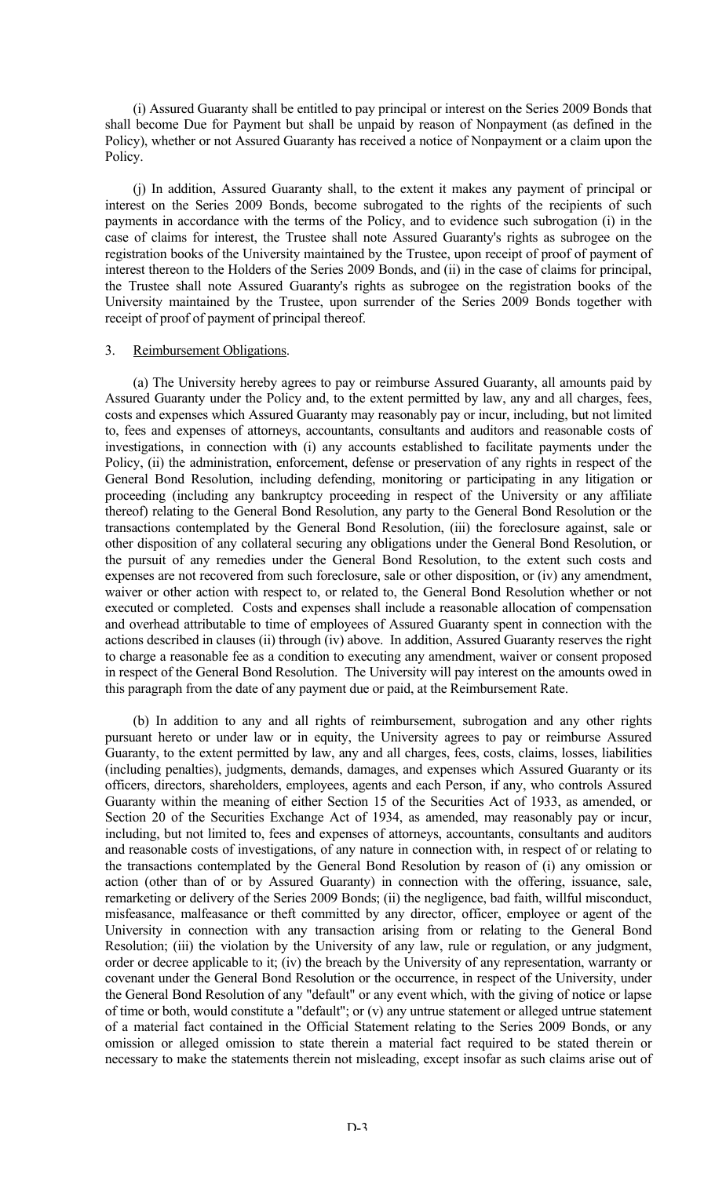(i) Assured Guaranty shall be entitled to pay principal or interest on the Series 2009 Bonds that shall become Due for Payment but shall be unpaid by reason of Nonpayment (as defined in the Policy), whether or not Assured Guaranty has received a notice of Nonpayment or a claim upon the Policy.

(j) In addition, Assured Guaranty shall, to the extent it makes any payment of principal or interest on the Series 2009 Bonds, become subrogated to the rights of the recipients of such payments in accordance with the terms of the Policy, and to evidence such subrogation (i) in the case of claims for interest, the Trustee shall note Assured Guaranty's rights as subrogee on the registration books of the University maintained by the Trustee, upon receipt of proof of payment of interest thereon to the Holders of the Series 2009 Bonds, and (ii) in the case of claims for principal, the Trustee shall note Assured Guaranty's rights as subrogee on the registration books of the University maintained by the Trustee, upon surrender of the Series 2009 Bonds together with receipt of proof of payment of principal thereof.

## 3. Reimbursement Obligations.

(a) The University hereby agrees to pay or reimburse Assured Guaranty, all amounts paid by Assured Guaranty under the Policy and, to the extent permitted by law, any and all charges, fees, costs and expenses which Assured Guaranty may reasonably pay or incur, including, but not limited to, fees and expenses of attorneys, accountants, consultants and auditors and reasonable costs of investigations, in connection with (i) any accounts established to facilitate payments under the Policy, (ii) the administration, enforcement, defense or preservation of any rights in respect of the General Bond Resolution, including defending, monitoring or participating in any litigation or proceeding (including any bankruptcy proceeding in respect of the University or any affiliate thereof) relating to the General Bond Resolution, any party to the General Bond Resolution or the transactions contemplated by the General Bond Resolution, (iii) the foreclosure against, sale or other disposition of any collateral securing any obligations under the General Bond Resolution, or the pursuit of any remedies under the General Bond Resolution, to the extent such costs and expenses are not recovered from such foreclosure, sale or other disposition, or (iv) any amendment, waiver or other action with respect to, or related to, the General Bond Resolution whether or not executed or completed. Costs and expenses shall include a reasonable allocation of compensation and overhead attributable to time of employees of Assured Guaranty spent in connection with the actions described in clauses (ii) through (iv) above. In addition, Assured Guaranty reserves the right to charge a reasonable fee as a condition to executing any amendment, waiver or consent proposed in respect of the General Bond Resolution. The University will pay interest on the amounts owed in this paragraph from the date of any payment due or paid, at the Reimbursement Rate.

(b) In addition to any and all rights of reimbursement, subrogation and any other rights pursuant hereto or under law or in equity, the University agrees to pay or reimburse Assured Guaranty, to the extent permitted by law, any and all charges, fees, costs, claims, losses, liabilities (including penalties), judgments, demands, damages, and expenses which Assured Guaranty or its officers, directors, shareholders, employees, agents and each Person, if any, who controls Assured Guaranty within the meaning of either Section 15 of the Securities Act of 1933, as amended, or Section 20 of the Securities Exchange Act of 1934, as amended, may reasonably pay or incur, including, but not limited to, fees and expenses of attorneys, accountants, consultants and auditors and reasonable costs of investigations, of any nature in connection with, in respect of or relating to the transactions contemplated by the General Bond Resolution by reason of (i) any omission or action (other than of or by Assured Guaranty) in connection with the offering, issuance, sale, remarketing or delivery of the Series 2009 Bonds; (ii) the negligence, bad faith, willful misconduct, misfeasance, malfeasance or theft committed by any director, officer, employee or agent of the University in connection with any transaction arising from or relating to the General Bond Resolution; (iii) the violation by the University of any law, rule or regulation, or any judgment, order or decree applicable to it; (iv) the breach by the University of any representation, warranty or covenant under the General Bond Resolution or the occurrence, in respect of the University, under the General Bond Resolution of any "default" or any event which, with the giving of notice or lapse of time or both, would constitute a "default"; or (v) any untrue statement or alleged untrue statement of a material fact contained in the Official Statement relating to the Series 2009 Bonds, or any omission or alleged omission to state therein a material fact required to be stated therein or necessary to make the statements therein not misleading, except insofar as such claims arise out of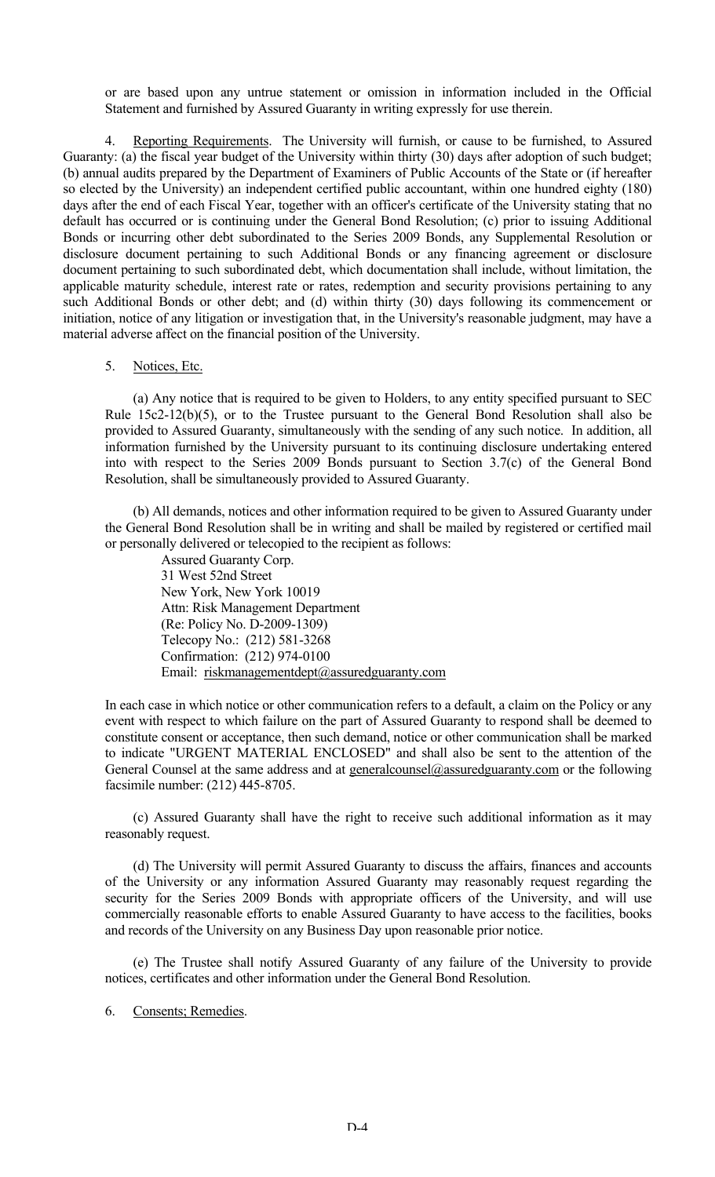or are based upon any untrue statement or omission in information included in the Official Statement and furnished by Assured Guaranty in writing expressly for use therein.

4. Reporting Requirements. The University will furnish, or cause to be furnished, to Assured Guaranty: (a) the fiscal year budget of the University within thirty (30) days after adoption of such budget; (b) annual audits prepared by the Department of Examiners of Public Accounts of the State or (if hereafter so elected by the University) an independent certified public accountant, within one hundred eighty (180) days after the end of each Fiscal Year, together with an officer's certificate of the University stating that no default has occurred or is continuing under the General Bond Resolution; (c) prior to issuing Additional Bonds or incurring other debt subordinated to the Series 2009 Bonds, any Supplemental Resolution or disclosure document pertaining to such Additional Bonds or any financing agreement or disclosure document pertaining to such subordinated debt, which documentation shall include, without limitation, the applicable maturity schedule, interest rate or rates, redemption and security provisions pertaining to any such Additional Bonds or other debt; and (d) within thirty (30) days following its commencement or initiation, notice of any litigation or investigation that, in the University's reasonable judgment, may have a material adverse affect on the financial position of the University.

#### 5. Notices, Etc.

(a) Any notice that is required to be given to Holders, to any entity specified pursuant to SEC Rule 15c2-12(b)(5), or to the Trustee pursuant to the General Bond Resolution shall also be provided to Assured Guaranty, simultaneously with the sending of any such notice. In addition, all information furnished by the University pursuant to its continuing disclosure undertaking entered into with respect to the Series 2009 Bonds pursuant to Section 3.7(c) of the General Bond Resolution, shall be simultaneously provided to Assured Guaranty.

(b) All demands, notices and other information required to be given to Assured Guaranty under the General Bond Resolution shall be in writing and shall be mailed by registered or certified mail or personally delivered or telecopied to the recipient as follows:

> Assured Guaranty Corp. 31 West 52nd Street New York, New York 10019 Attn: Risk Management Department (Re: Policy No. D-2009-1309) Telecopy No.: (212) 581-3268 Confirmation: (212) 974-0100 Email: riskmanagementdept@assuredguaranty.com

In each case in which notice or other communication refers to a default, a claim on the Policy or any event with respect to which failure on the part of Assured Guaranty to respond shall be deemed to constitute consent or acceptance, then such demand, notice or other communication shall be marked to indicate "URGENT MATERIAL ENCLOSED" and shall also be sent to the attention of the General Counsel at the same address and at generalcounsel@assuredguaranty.com or the following facsimile number: (212) 445-8705.

(c) Assured Guaranty shall have the right to receive such additional information as it may reasonably request.

(d) The University will permit Assured Guaranty to discuss the affairs, finances and accounts of the University or any information Assured Guaranty may reasonably request regarding the security for the Series 2009 Bonds with appropriate officers of the University, and will use commercially reasonable efforts to enable Assured Guaranty to have access to the facilities, books and records of the University on any Business Day upon reasonable prior notice.

(e) The Trustee shall notify Assured Guaranty of any failure of the University to provide notices, certificates and other information under the General Bond Resolution.

6. Consents; Remedies.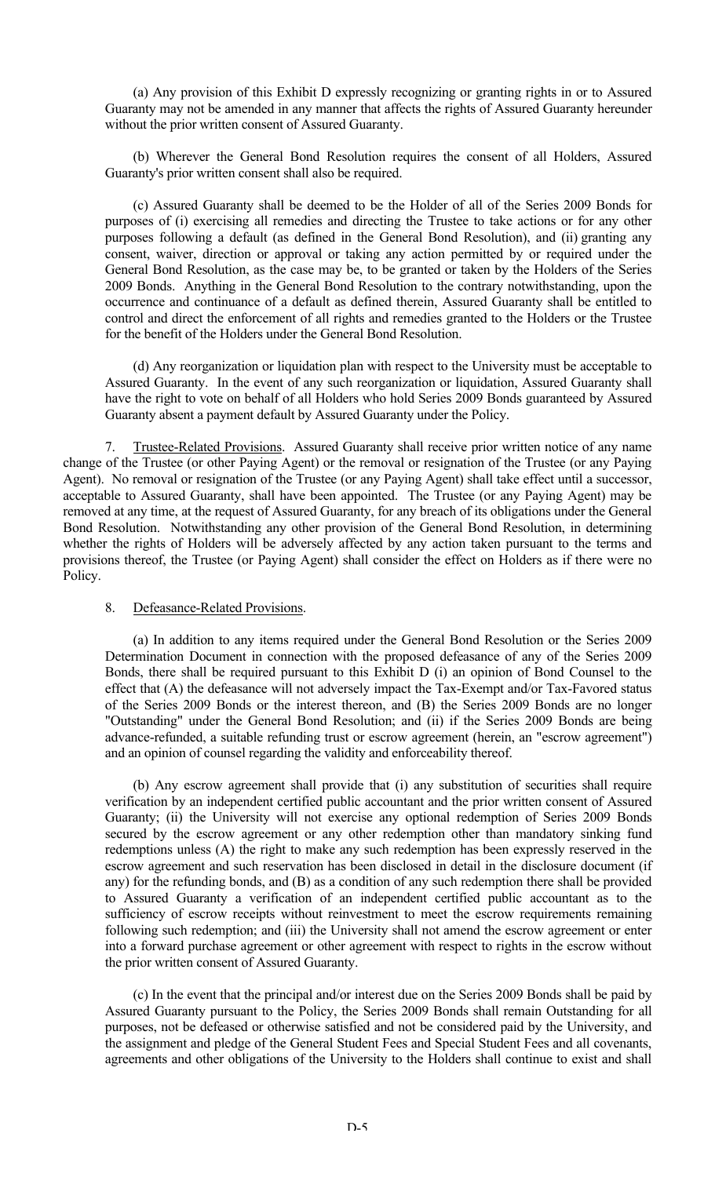(a) Any provision of this Exhibit D expressly recognizing or granting rights in or to Assured Guaranty may not be amended in any manner that affects the rights of Assured Guaranty hereunder without the prior written consent of Assured Guaranty.

(b) Wherever the General Bond Resolution requires the consent of all Holders, Assured Guaranty's prior written consent shall also be required.

(c) Assured Guaranty shall be deemed to be the Holder of all of the Series 2009 Bonds for purposes of (i) exercising all remedies and directing the Trustee to take actions or for any other purposes following a default (as defined in the General Bond Resolution), and (ii) granting any consent, waiver, direction or approval or taking any action permitted by or required under the General Bond Resolution, as the case may be, to be granted or taken by the Holders of the Series 2009 Bonds. Anything in the General Bond Resolution to the contrary notwithstanding, upon the occurrence and continuance of a default as defined therein, Assured Guaranty shall be entitled to control and direct the enforcement of all rights and remedies granted to the Holders or the Trustee for the benefit of the Holders under the General Bond Resolution.

(d) Any reorganization or liquidation plan with respect to the University must be acceptable to Assured Guaranty. In the event of any such reorganization or liquidation, Assured Guaranty shall have the right to vote on behalf of all Holders who hold Series 2009 Bonds guaranteed by Assured Guaranty absent a payment default by Assured Guaranty under the Policy.

7. Trustee-Related Provisions. Assured Guaranty shall receive prior written notice of any name change of the Trustee (or other Paying Agent) or the removal or resignation of the Trustee (or any Paying Agent). No removal or resignation of the Trustee (or any Paying Agent) shall take effect until a successor, acceptable to Assured Guaranty, shall have been appointed. The Trustee (or any Paying Agent) may be removed at any time, at the request of Assured Guaranty, for any breach of its obligations under the General Bond Resolution. Notwithstanding any other provision of the General Bond Resolution, in determining whether the rights of Holders will be adversely affected by any action taken pursuant to the terms and provisions thereof, the Trustee (or Paying Agent) shall consider the effect on Holders as if there were no Policy.

#### 8. Defeasance-Related Provisions.

(a) In addition to any items required under the General Bond Resolution or the Series 2009 Determination Document in connection with the proposed defeasance of any of the Series 2009 Bonds, there shall be required pursuant to this Exhibit D (i) an opinion of Bond Counsel to the effect that (A) the defeasance will not adversely impact the Tax-Exempt and/or Tax-Favored status of the Series 2009 Bonds or the interest thereon, and (B) the Series 2009 Bonds are no longer "Outstanding" under the General Bond Resolution; and (ii) if the Series 2009 Bonds are being advance-refunded, a suitable refunding trust or escrow agreement (herein, an "escrow agreement") and an opinion of counsel regarding the validity and enforceability thereof.

(b) Any escrow agreement shall provide that (i) any substitution of securities shall require verification by an independent certified public accountant and the prior written consent of Assured Guaranty; (ii) the University will not exercise any optional redemption of Series 2009 Bonds secured by the escrow agreement or any other redemption other than mandatory sinking fund redemptions unless (A) the right to make any such redemption has been expressly reserved in the escrow agreement and such reservation has been disclosed in detail in the disclosure document (if any) for the refunding bonds, and (B) as a condition of any such redemption there shall be provided to Assured Guaranty a verification of an independent certified public accountant as to the sufficiency of escrow receipts without reinvestment to meet the escrow requirements remaining following such redemption; and (iii) the University shall not amend the escrow agreement or enter into a forward purchase agreement or other agreement with respect to rights in the escrow without the prior written consent of Assured Guaranty.

(c) In the event that the principal and/or interest due on the Series 2009 Bonds shall be paid by Assured Guaranty pursuant to the Policy, the Series 2009 Bonds shall remain Outstanding for all purposes, not be defeased or otherwise satisfied and not be considered paid by the University, and the assignment and pledge of the General Student Fees and Special Student Fees and all covenants, agreements and other obligations of the University to the Holders shall continue to exist and shall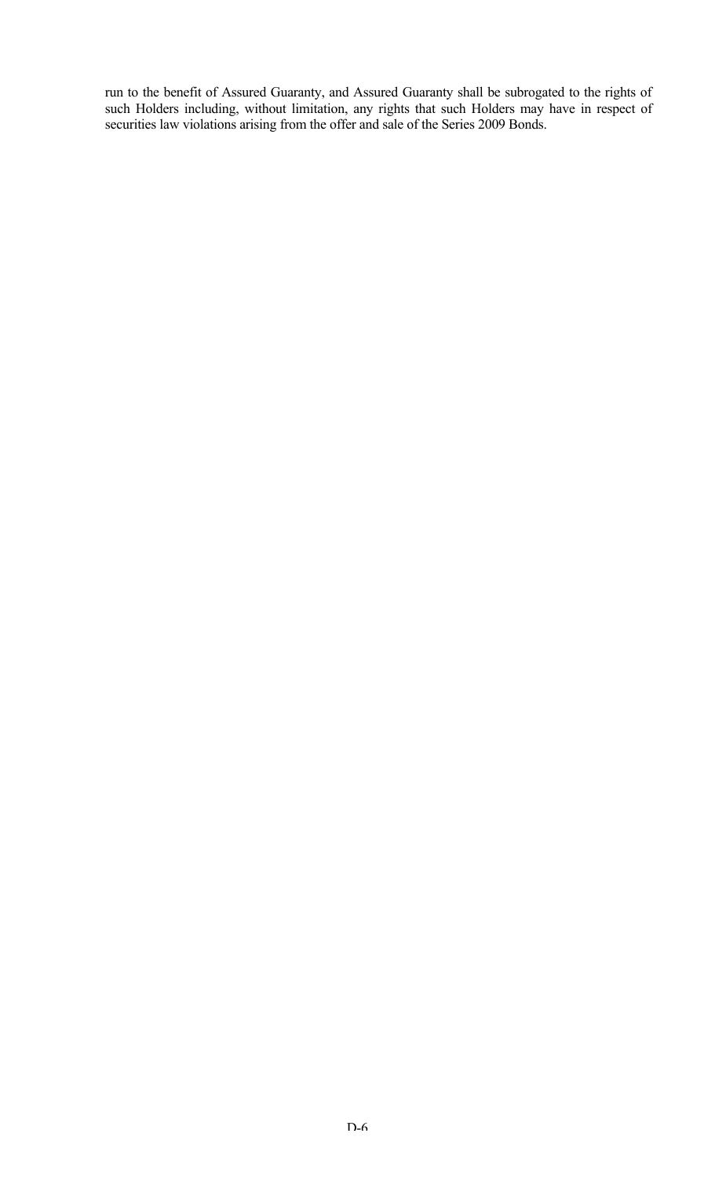run to the benefit of Assured Guaranty, and Assured Guaranty shall be subrogated to the rights of such Holders including, without limitation, any rights that such Holders may have in respect of securities law violations arising from the offer and sale of the Series 2009 Bonds.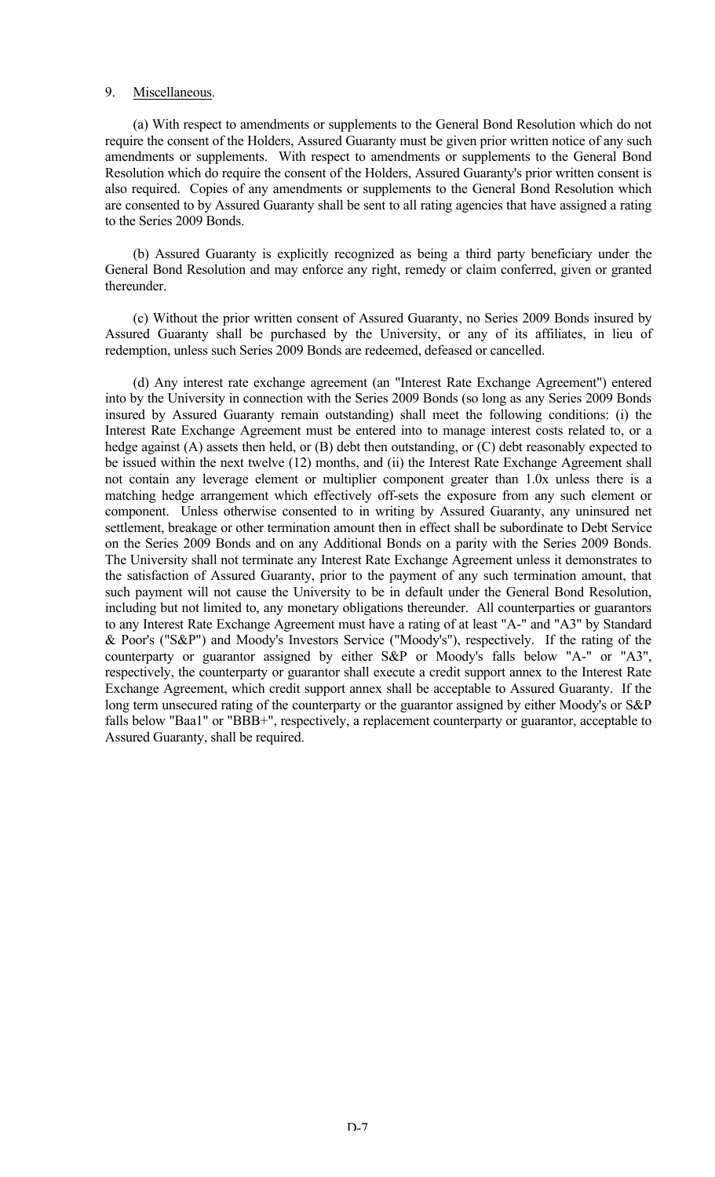#### 9. Miscellaneous.

(a) With respect to amendments or supplements to the General Bond Resolution which do not require the consent of the Holders, Assured Guaranty must be given prior written notice of any such amendments or supplements. With respect to amendments or supplements to the General Bond Resolution which do require the consent of the Holders, Assured Guaranty's prior written consent is also required. Copies of any amendments or supplements to the General Bond Resolution which are consented to by Assured Guaranty shall be sent to all rating agencies that have assigned a rating to the Series 2009 Bonds.

(b) Assured Guaranty is explicitly recognized as being a third party beneficiary under the General Bond Resolution and may enforce any right, remedy or claim conferred, given or granted thereunder.

(c) Without the prior written consent of Assured Guaranty, no Series 2009 Bonds insured by Assured Guaranty shall be purchased by the University, or any of its affiliates, in lieu of redemption, unless such Series 2009 Bonds are redeemed, defeased or cancelled.

(d) Any interest rate exchange agreement (an "Interest Rate Exchange Agreement") entered into by the University in connection with the Series 2009 Bonds (so long as any Series 2009 Bonds insured by Assured Guaranty remain outstanding) shall meet the following conditions: (i) the Interest Rate Exchange Agreement must be entered into to manage interest costs related to, or a hedge against (A) assets then held, or (B) debt then outstanding, or (C) debt reasonably expected to be issued within the next twelve (12) months, and (ii) the Interest Rate Exchange Agreement shall not contain any leverage element or multiplier component greater than 1.0x unless there is a matching hedge arrangement which effectively off-sets the exposure from any such element or component. Unless otherwise consented to in writing by Assured Guaranty, any uninsured net settlement, breakage or other termination amount then in effect shall be subordinate to Debt Service on the Series 2009 Bonds and on any Additional Bonds on a parity with the Series 2009 Bonds. The University shall not terminate any Interest Rate Exchange Agreement unless it demonstrates to the satisfaction of Assured Guaranty, prior to the payment of any such termination amount, that such payment will not cause the University to be in default under the General Bond Resolution, including but not limited to, any monetary obligations thereunder. All counterparties or guarantors to any Interest Rate Exchange Agreement must have a rating of at least "A-" and "A3" by Standard & Poor's ("S&P") and Moody's Investors Service ("Moody's"), respectively. If the rating of the counterparty or guarantor assigned by either S&P or Moody's falls below "A-" or "A3", respectively, the counterparty or guarantor shall execute a credit support annex to the Interest Rate Exchange Agreement, which credit support annex shall be acceptable to Assured Guaranty. If the long term unsecured rating of the counterparty or the guarantor assigned by either Moody's or S&P falls below "Baa1" or "BBB+", respectively, a replacement counterparty or guarantor, acceptable to Assured Guaranty, shall be required.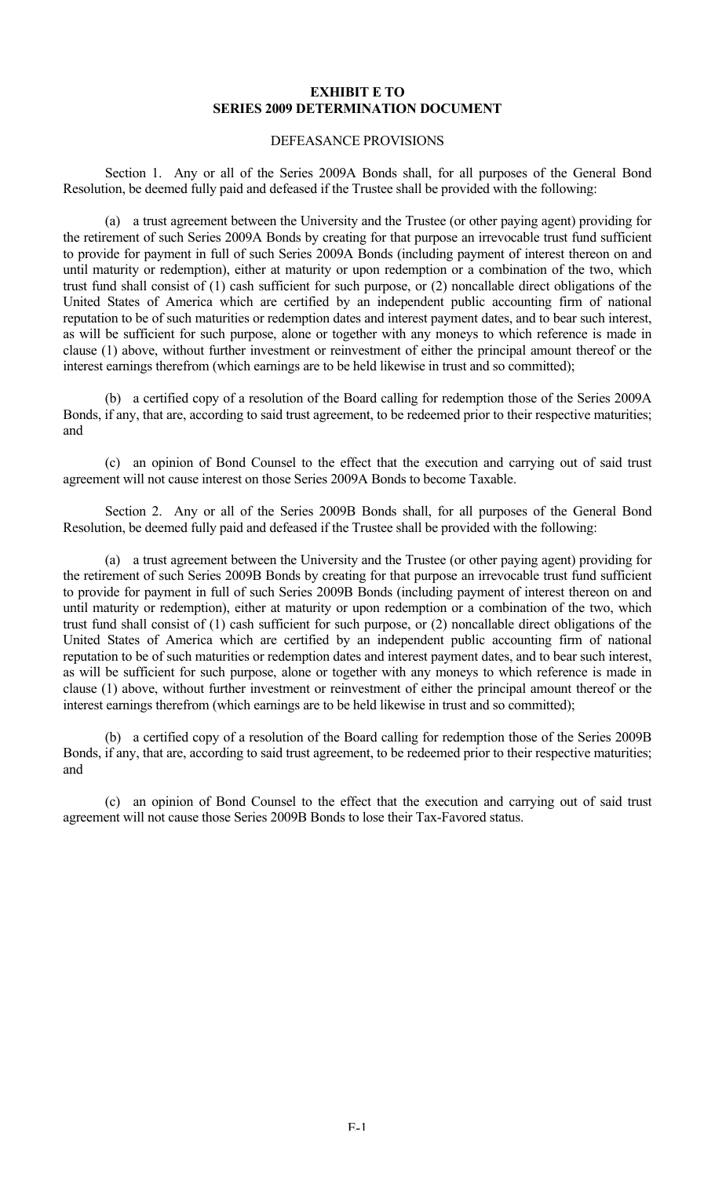## **EXHIBIT E TO SERIES 2009 DETERMINATION DOCUMENT**

## DEFEASANCE PROVISIONS

Section 1. Any or all of the Series 2009A Bonds shall, for all purposes of the General Bond Resolution, be deemed fully paid and defeased if the Trustee shall be provided with the following:

(a) a trust agreement between the University and the Trustee (or other paying agent) providing for the retirement of such Series 2009A Bonds by creating for that purpose an irrevocable trust fund sufficient to provide for payment in full of such Series 2009A Bonds (including payment of interest thereon on and until maturity or redemption), either at maturity or upon redemption or a combination of the two, which trust fund shall consist of (1) cash sufficient for such purpose, or (2) noncallable direct obligations of the United States of America which are certified by an independent public accounting firm of national reputation to be of such maturities or redemption dates and interest payment dates, and to bear such interest, as will be sufficient for such purpose, alone or together with any moneys to which reference is made in clause (1) above, without further investment or reinvestment of either the principal amount thereof or the interest earnings therefrom (which earnings are to be held likewise in trust and so committed);

(b) a certified copy of a resolution of the Board calling for redemption those of the Series 2009A Bonds, if any, that are, according to said trust agreement, to be redeemed prior to their respective maturities; and

(c) an opinion of Bond Counsel to the effect that the execution and carrying out of said trust agreement will not cause interest on those Series 2009A Bonds to become Taxable.

Section 2. Any or all of the Series 2009B Bonds shall, for all purposes of the General Bond Resolution, be deemed fully paid and defeased if the Trustee shall be provided with the following:

(a) a trust agreement between the University and the Trustee (or other paying agent) providing for the retirement of such Series 2009B Bonds by creating for that purpose an irrevocable trust fund sufficient to provide for payment in full of such Series 2009B Bonds (including payment of interest thereon on and until maturity or redemption), either at maturity or upon redemption or a combination of the two, which trust fund shall consist of (1) cash sufficient for such purpose, or (2) noncallable direct obligations of the United States of America which are certified by an independent public accounting firm of national reputation to be of such maturities or redemption dates and interest payment dates, and to bear such interest, as will be sufficient for such purpose, alone or together with any moneys to which reference is made in clause (1) above, without further investment or reinvestment of either the principal amount thereof or the interest earnings therefrom (which earnings are to be held likewise in trust and so committed);

(b) a certified copy of a resolution of the Board calling for redemption those of the Series 2009B Bonds, if any, that are, according to said trust agreement, to be redeemed prior to their respective maturities; and

(c) an opinion of Bond Counsel to the effect that the execution and carrying out of said trust agreement will not cause those Series 2009B Bonds to lose their Tax-Favored status.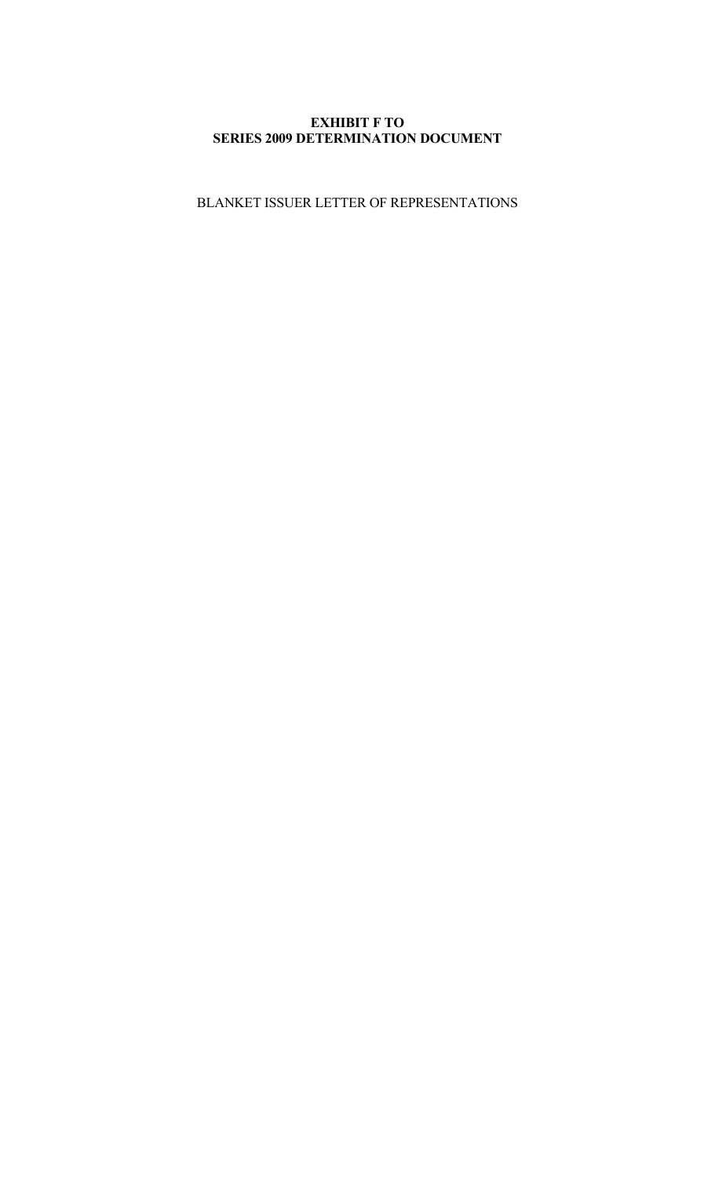# **EXHIBIT F TO SERIES 2009 DETERMINATION DOCUMENT**

BLANKET ISSUER LETTER OF REPRESENTATIONS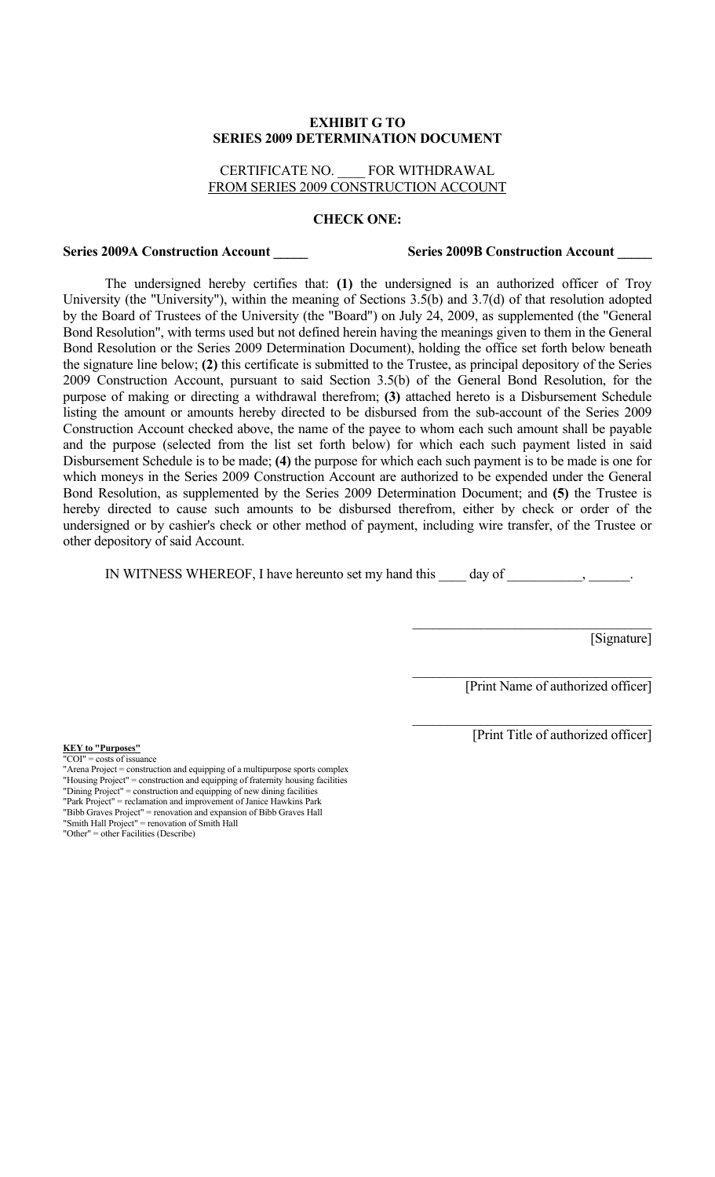#### **EXHIBIT G TO SERIES 2009 DETERMINATION DOCUMENT**

## CERTIFICATE NO. \_\_\_\_ FOR WITHDRAWAL FROM SERIES 2009 CONSTRUCTION ACCOUNT

#### **CHECK ONE:**

#### **Series 2009A Construction Account \_\_\_\_\_ Series 2009B Construction Account \_\_\_\_\_**

The undersigned hereby certifies that: **(1)** the undersigned is an authorized officer of Troy University (the "University"), within the meaning of Sections 3.5(b) and 3.7(d) of that resolution adopted by the Board of Trustees of the University (the "Board") on July 24, 2009, as supplemented (the "General Bond Resolution", with terms used but not defined herein having the meanings given to them in the General Bond Resolution or the Series 2009 Determination Document), holding the office set forth below beneath the signature line below; **(2)** this certificate is submitted to the Trustee, as principal depository of the Series 2009 Construction Account, pursuant to said Section 3.5(b) of the General Bond Resolution, for the purpose of making or directing a withdrawal therefrom; **(3)** attached hereto is a Disbursement Schedule listing the amount or amounts hereby directed to be disbursed from the sub-account of the Series 2009 Construction Account checked above, the name of the payee to whom each such amount shall be payable and the purpose (selected from the list set forth below) for which each such payment listed in said Disbursement Schedule is to be made; **(4)** the purpose for which each such payment is to be made is one for which moneys in the Series 2009 Construction Account are authorized to be expended under the General Bond Resolution, as supplemented by the Series 2009 Determination Document; and **(5)** the Trustee is hereby directed to cause such amounts to be disbursed therefrom, either by check or order of the undersigned or by cashier's check or other method of payment, including wire transfer, of the Trustee or other depository of said Account.

IN WITNESS WHEREOF, I have hereunto set my hand this day of  $\qquad \qquad$ ,

[Signature]

[Print Name of authorized officer]

 $\mathcal{L}_\text{max}$  , where  $\mathcal{L}_\text{max}$  and  $\mathcal{L}_\text{max}$  and  $\mathcal{L}_\text{max}$ 

 $\mathcal{L}_\text{max}$ 

 $\mathcal{L}_\text{max}$  , where  $\mathcal{L}_\text{max}$  and  $\mathcal{L}_\text{max}$  and  $\mathcal{L}_\text{max}$ 

[Print Title of authorized officer]

**KEY to "Purposes"**  $'COI'' = \text{costs of}$  issuance

"Arena Project = construction and equipping of a multipurpose sports complex "Housing Project" = construction and equipping of fraternity housing facilities "Dining Project" = construction and equipping of new dining facilities "Park Project" = reclamation and improvement of Janice Hawkins Park "Bibb Graves Project" = renovation and expansion of Bibb Graves Hall "Smith Hall Project" = renovation of Smith Hall "Other" = other Facilities (Describe)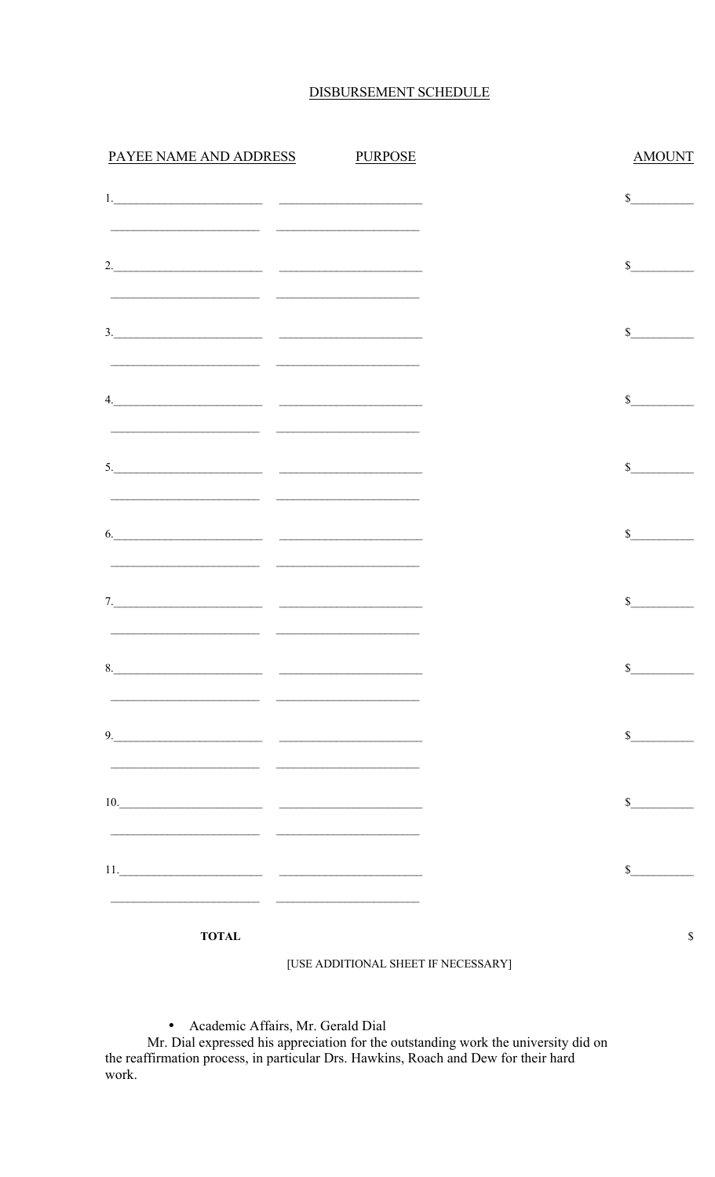# DISBURSEMENT SCHEDULE

| PAYEE NAME AND ADDRESS PURPOSE                                                                                                                                                                                                                                                                                                                                                                                                                |  | <b>AMOUNT</b> |
|-----------------------------------------------------------------------------------------------------------------------------------------------------------------------------------------------------------------------------------------------------------------------------------------------------------------------------------------------------------------------------------------------------------------------------------------------|--|---------------|
|                                                                                                                                                                                                                                                                                                                                                                                                                                               |  | $\sim$        |
| <u> 1980 - Andrea Andrew Maria (h. 1980).</u>                                                                                                                                                                                                                                                                                                                                                                                                 |  |               |
|                                                                                                                                                                                                                                                                                                                                                                                                                                               |  | $\sim$        |
| <u> 2000 - 2000 - 2000 - 2000 - 2000 - 2000 - 2000 - 2000 - 2000 - 2000 - 2000 - 2000 - 2000 - 2000 - 2000 - 200</u>                                                                                                                                                                                                                                                                                                                          |  |               |
|                                                                                                                                                                                                                                                                                                                                                                                                                                               |  | $\mathbb{S}$  |
|                                                                                                                                                                                                                                                                                                                                                                                                                                               |  |               |
| 4.                                                                                                                                                                                                                                                                                                                                                                                                                                            |  | \$            |
|                                                                                                                                                                                                                                                                                                                                                                                                                                               |  | $\mathbb{S}$  |
|                                                                                                                                                                                                                                                                                                                                                                                                                                               |  |               |
| $\begin{tabular}{c} 6. & \begin{tabular}{@{}c@{}} \hline \multicolumn{3}{@{}c@{}} \multicolumn{3}{@{}c@{}} \multicolumn{3}{@{}c@{}} \multicolumn{3}{@{}c@{}} \multicolumn{3}{@{}c@{}} \multicolumn{3}{@{}c@{}} \multicolumn{3}{@{}c@{}} \multicolumn{3}{@{}c@{}} \multicolumn{3}{@{}c@{}} \multicolumn{3}{@{}c@{}} \multicolumn{3}{@{}c@{}} \multicolumn{3}{@{}c@{}} \multicolumn{3}{@{}c@{}} \multicolumn{3}{@{}c@{}} \multicolumn{3}{@{}c@$ |  | $\mathbb{S}$  |
| <u> 1989 - Jan Stein Harry Harry Harry Harry Harry Harry Harry Harry Harry Harry Harry Harry Harry Harry Harry Ha</u>                                                                                                                                                                                                                                                                                                                         |  |               |
|                                                                                                                                                                                                                                                                                                                                                                                                                                               |  | $\mathbb{S}$  |
|                                                                                                                                                                                                                                                                                                                                                                                                                                               |  |               |
| 8.                                                                                                                                                                                                                                                                                                                                                                                                                                            |  | $\mathbb{S}$  |
|                                                                                                                                                                                                                                                                                                                                                                                                                                               |  |               |
| $9.$                                                                                                                                                                                                                                                                                                                                                                                                                                          |  | $\sim$        |
| 10.                                                                                                                                                                                                                                                                                                                                                                                                                                           |  | $\mathbb{S}$  |
|                                                                                                                                                                                                                                                                                                                                                                                                                                               |  |               |
|                                                                                                                                                                                                                                                                                                                                                                                                                                               |  | $\mathbb{S}$  |
|                                                                                                                                                                                                                                                                                                                                                                                                                                               |  |               |

**TOTAL** 

[USE ADDITIONAL SHEET IF NECESSARY]

 $\mathbb S$ 

· Academic Affairs, Mr. Gerald Dial

Mr. Dial expressed his appreciation for the outstanding work the university did on the reaffirmation process, in particular Drs. Hawkins, Roach and Dew for their hard work.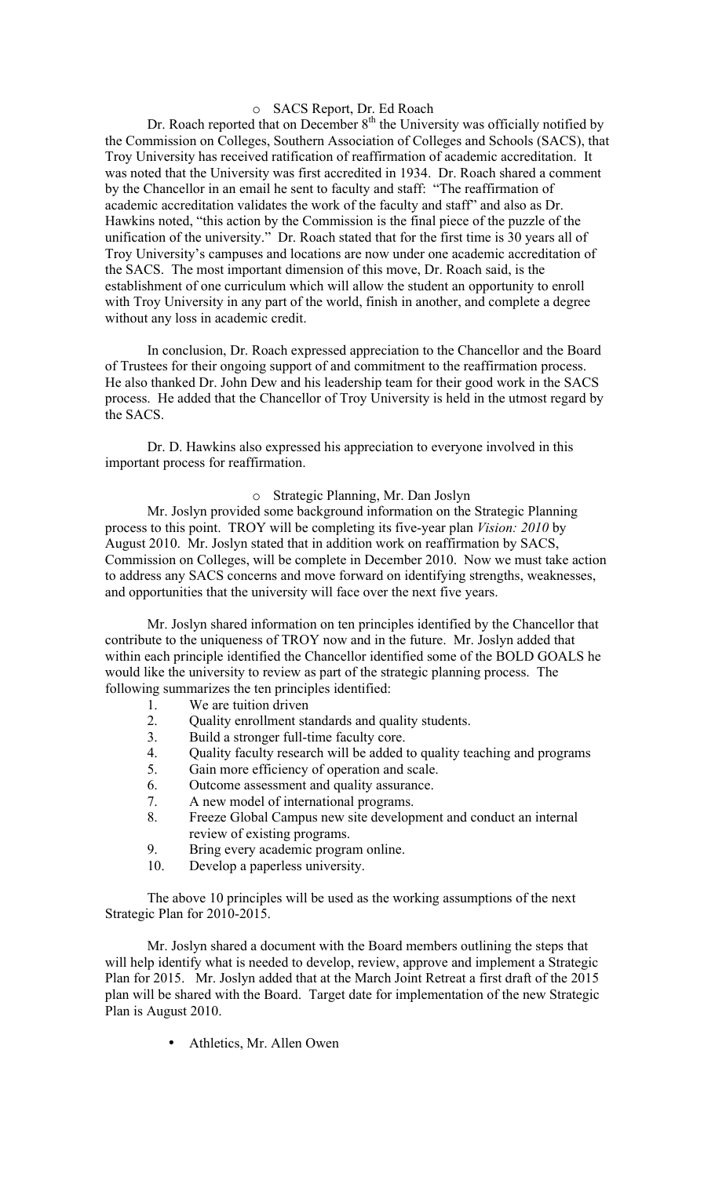# o SACS Report, Dr. Ed Roach

Dr. Roach reported that on December 8<sup>th</sup> the University was officially notified by the Commission on Colleges, Southern Association of Colleges and Schools (SACS), that Troy University has received ratification of reaffirmation of academic accreditation. It was noted that the University was first accredited in 1934. Dr. Roach shared a comment by the Chancellor in an email he sent to faculty and staff: "The reaffirmation of academic accreditation validates the work of the faculty and staff" and also as Dr. Hawkins noted, "this action by the Commission is the final piece of the puzzle of the unification of the university." Dr. Roach stated that for the first time is 30 years all of Troy University's campuses and locations are now under one academic accreditation of the SACS. The most important dimension of this move, Dr. Roach said, is the establishment of one curriculum which will allow the student an opportunity to enroll with Troy University in any part of the world, finish in another, and complete a degree without any loss in academic credit.

In conclusion, Dr. Roach expressed appreciation to the Chancellor and the Board of Trustees for their ongoing support of and commitment to the reaffirmation process. He also thanked Dr. John Dew and his leadership team for their good work in the SACS process. He added that the Chancellor of Troy University is held in the utmost regard by the SACS.

Dr. D. Hawkins also expressed his appreciation to everyone involved in this important process for reaffirmation.

#### o Strategic Planning, Mr. Dan Joslyn

Mr. Joslyn provided some background information on the Strategic Planning process to this point. TROY will be completing its five-year plan *Vision: 2010* by August 2010. Mr. Joslyn stated that in addition work on reaffirmation by SACS, Commission on Colleges, will be complete in December 2010. Now we must take action to address any SACS concerns and move forward on identifying strengths, weaknesses, and opportunities that the university will face over the next five years.

Mr. Joslyn shared information on ten principles identified by the Chancellor that contribute to the uniqueness of TROY now and in the future. Mr. Joslyn added that within each principle identified the Chancellor identified some of the BOLD GOALS he would like the university to review as part of the strategic planning process. The following summarizes the ten principles identified:

- 1. We are tuition driven
- 2. Quality enrollment standards and quality students.
- 3. Build a stronger full-time faculty core.
- 4. Quality faculty research will be added to quality teaching and programs
- 5. Gain more efficiency of operation and scale.
- 6. Outcome assessment and quality assurance.
- 7. A new model of international programs.
- 8. Freeze Global Campus new site development and conduct an internal review of existing programs.
- 9. Bring every academic program online.
- 10. Develop a paperless university.

The above 10 principles will be used as the working assumptions of the next Strategic Plan for 2010-2015.

Mr. Joslyn shared a document with the Board members outlining the steps that will help identify what is needed to develop, review, approve and implement a Strategic Plan for 2015. Mr. Joslyn added that at the March Joint Retreat a first draft of the 2015 plan will be shared with the Board. Target date for implementation of the new Strategic Plan is August 2010.

• Athletics, Mr. Allen Owen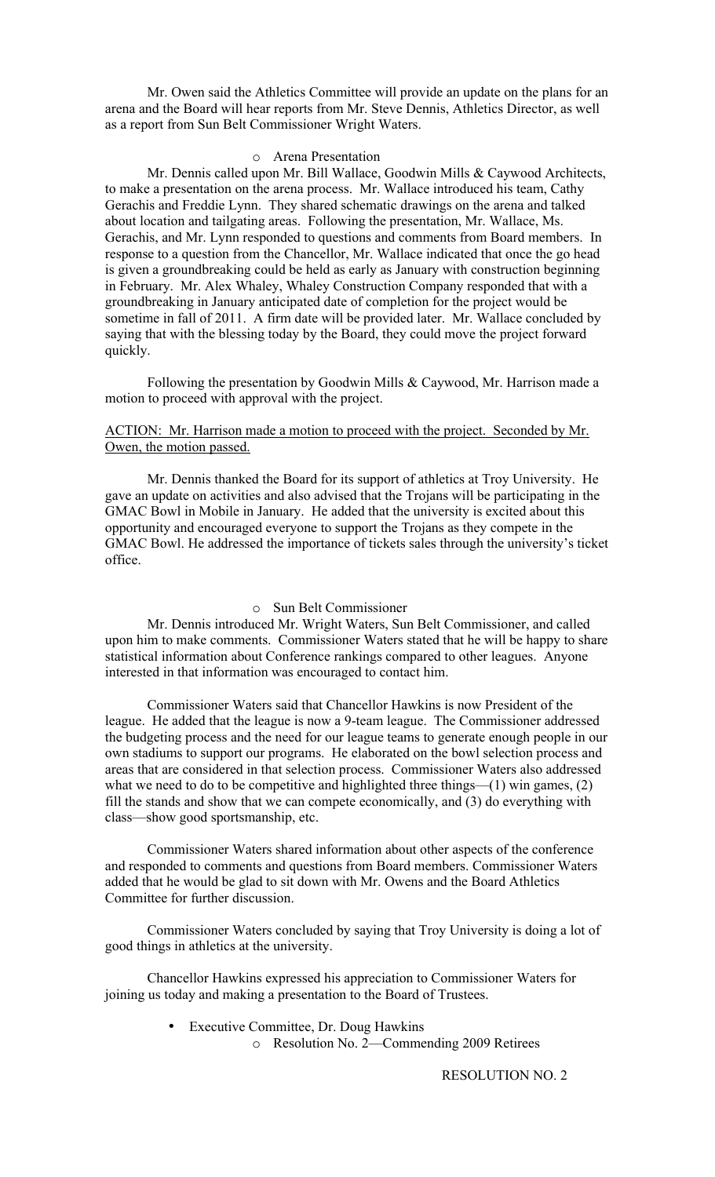Mr. Owen said the Athletics Committee will provide an update on the plans for an arena and the Board will hear reports from Mr. Steve Dennis, Athletics Director, as well as a report from Sun Belt Commissioner Wright Waters.

#### o Arena Presentation

Mr. Dennis called upon Mr. Bill Wallace, Goodwin Mills & Caywood Architects, to make a presentation on the arena process. Mr. Wallace introduced his team, Cathy Gerachis and Freddie Lynn. They shared schematic drawings on the arena and talked about location and tailgating areas. Following the presentation, Mr. Wallace, Ms. Gerachis, and Mr. Lynn responded to questions and comments from Board members. In response to a question from the Chancellor, Mr. Wallace indicated that once the go head is given a groundbreaking could be held as early as January with construction beginning in February. Mr. Alex Whaley, Whaley Construction Company responded that with a groundbreaking in January anticipated date of completion for the project would be sometime in fall of 2011. A firm date will be provided later. Mr. Wallace concluded by saying that with the blessing today by the Board, they could move the project forward quickly.

Following the presentation by Goodwin Mills & Caywood, Mr. Harrison made a motion to proceed with approval with the project.

# ACTION: Mr. Harrison made a motion to proceed with the project. Seconded by Mr. Owen, the motion passed.

Mr. Dennis thanked the Board for its support of athletics at Troy University. He gave an update on activities and also advised that the Trojans will be participating in the GMAC Bowl in Mobile in January. He added that the university is excited about this opportunity and encouraged everyone to support the Trojans as they compete in the GMAC Bowl. He addressed the importance of tickets sales through the university's ticket office.

#### o Sun Belt Commissioner

Mr. Dennis introduced Mr. Wright Waters, Sun Belt Commissioner, and called upon him to make comments. Commissioner Waters stated that he will be happy to share statistical information about Conference rankings compared to other leagues. Anyone interested in that information was encouraged to contact him.

Commissioner Waters said that Chancellor Hawkins is now President of the league. He added that the league is now a 9-team league. The Commissioner addressed the budgeting process and the need for our league teams to generate enough people in our own stadiums to support our programs. He elaborated on the bowl selection process and areas that are considered in that selection process. Commissioner Waters also addressed what we need to do to be competitive and highlighted three things—(1) win games, (2) fill the stands and show that we can compete economically, and (3) do everything with class—show good sportsmanship, etc.

Commissioner Waters shared information about other aspects of the conference and responded to comments and questions from Board members. Commissioner Waters added that he would be glad to sit down with Mr. Owens and the Board Athletics Committee for further discussion.

Commissioner Waters concluded by saying that Troy University is doing a lot of good things in athletics at the university.

Chancellor Hawkins expressed his appreciation to Commissioner Waters for joining us today and making a presentation to the Board of Trustees.

- Executive Committee, Dr. Doug Hawkins
	- o Resolution No. 2—Commending 2009 Retirees

RESOLUTION NO. 2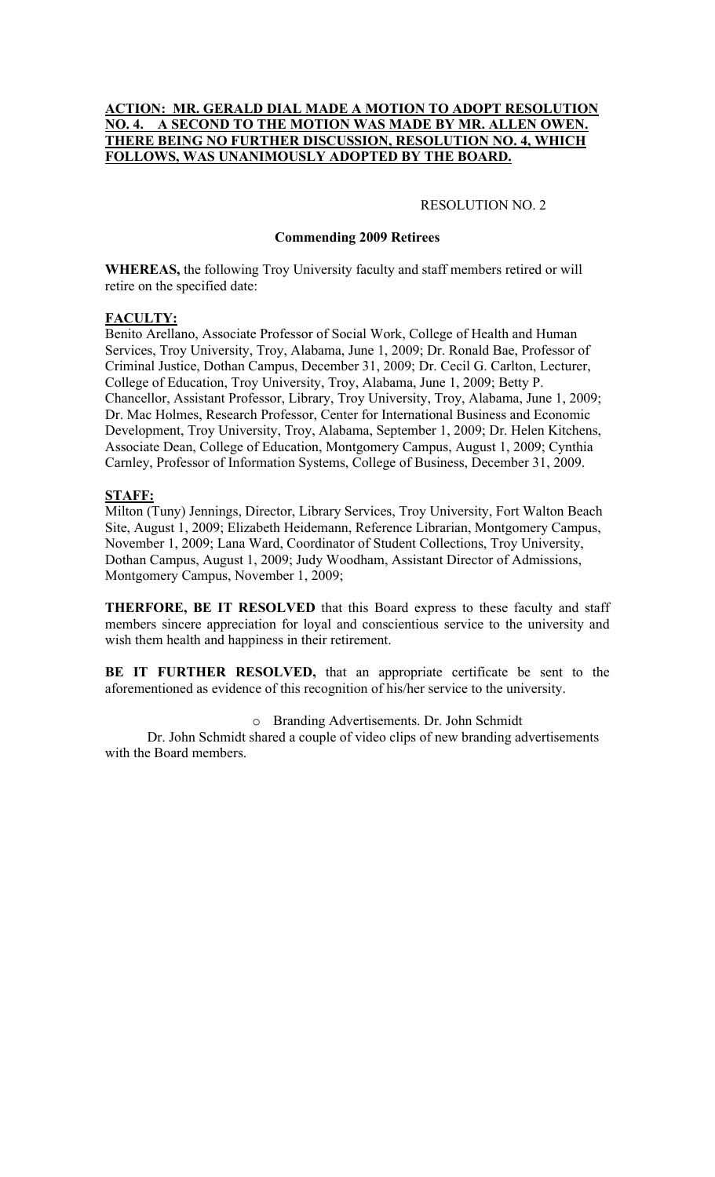# **ACTION: MR. GERALD DIAL MADE A MOTION TO ADOPT RESOLUTION NO. 4. A SECOND TO THE MOTION WAS MADE BY MR. ALLEN OWEN. THERE BEING NO FURTHER DISCUSSION, RESOLUTION NO. 4, WHICH FOLLOWS, WAS UNANIMOUSLY ADOPTED BY THE BOARD.**

#### RESOLUTION NO. 2

## **Commending 2009 Retirees**

**WHEREAS,** the following Troy University faculty and staff members retired or will retire on the specified date:

## **FACULTY:**

Benito Arellano, Associate Professor of Social Work, College of Health and Human Services, Troy University, Troy, Alabama, June 1, 2009; Dr. Ronald Bae, Professor of Criminal Justice, Dothan Campus, December 31, 2009; Dr. Cecil G. Carlton, Lecturer, College of Education, Troy University, Troy, Alabama, June 1, 2009; Betty P. Chancellor, Assistant Professor, Library, Troy University, Troy, Alabama, June 1, 2009; Dr. Mac Holmes, Research Professor, Center for International Business and Economic Development, Troy University, Troy, Alabama, September 1, 2009; Dr. Helen Kitchens, Associate Dean, College of Education, Montgomery Campus, August 1, 2009; Cynthia Carnley, Professor of Information Systems, College of Business, December 31, 2009.

# **STAFF:**

Milton (Tuny) Jennings, Director, Library Services, Troy University, Fort Walton Beach Site, August 1, 2009; Elizabeth Heidemann, Reference Librarian, Montgomery Campus, November 1, 2009; Lana Ward, Coordinator of Student Collections, Troy University, Dothan Campus, August 1, 2009; Judy Woodham, Assistant Director of Admissions, Montgomery Campus, November 1, 2009;

**THERFORE, BE IT RESOLVED** that this Board express to these faculty and staff members sincere appreciation for loyal and conscientious service to the university and wish them health and happiness in their retirement.

**BE IT FURTHER RESOLVED,** that an appropriate certificate be sent to the aforementioned as evidence of this recognition of his/her service to the university.

o Branding Advertisements. Dr. John Schmidt

Dr. John Schmidt shared a couple of video clips of new branding advertisements with the Board members.